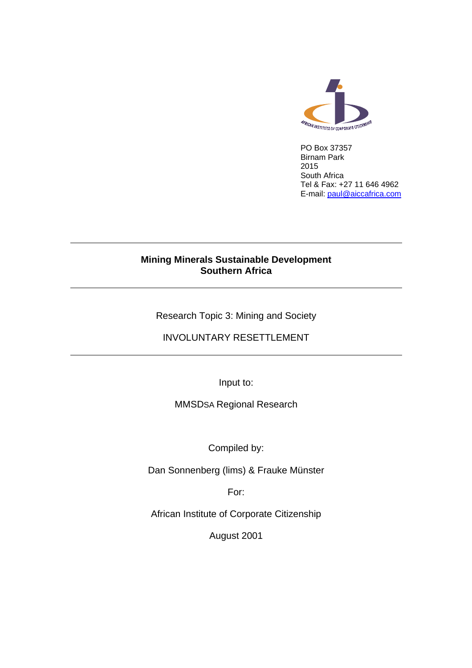

PO Box 37357 Birnam Park 2015 South Africa Tel & Fax: +27 11 646 4962 E-mail: [paul@aiccafrica.com](mailto:paul@aiccafrica.com)

## **Mining Minerals Sustainable Development Southern Africa**

Research Topic 3: Mining and Society

## INVOLUNTARY RESETTLEMENT

Input to:

MMSDSA Regional Research

Compiled by:

Dan Sonnenberg (lims) & Frauke Münster

For:

African Institute of Corporate Citizenship

August 2001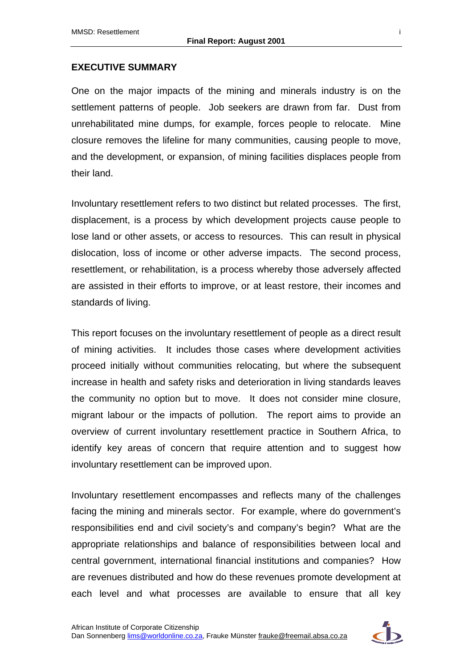#### **EXECUTIVE SUMMARY**

One on the major impacts of the mining and minerals industry is on the settlement patterns of people. Job seekers are drawn from far. Dust from unrehabilitated mine dumps, for example, forces people to relocate. Mine closure removes the lifeline for many communities, causing people to move, and the development, or expansion, of mining facilities displaces people from their land.

Involuntary resettlement refers to two distinct but related processes. The first, displacement, is a process by which development projects cause people to lose land or other assets, or access to resources. This can result in physical dislocation, loss of income or other adverse impacts. The second process, resettlement, or rehabilitation, is a process whereby those adversely affected are assisted in their efforts to improve, or at least restore, their incomes and standards of living.

This report focuses on the involuntary resettlement of people as a direct result of mining activities. It includes those cases where development activities proceed initially without communities relocating, but where the subsequent increase in health and safety risks and deterioration in living standards leaves the community no option but to move. It does not consider mine closure, migrant labour or the impacts of pollution. The report aims to provide an overview of current involuntary resettlement practice in Southern Africa, to identify key areas of concern that require attention and to suggest how involuntary resettlement can be improved upon.

Involuntary resettlement encompasses and reflects many of the challenges facing the mining and minerals sector. For example, where do government's responsibilities end and civil society's and company's begin? What are the appropriate relationships and balance of responsibilities between local and central government, international financial institutions and companies? How are revenues distributed and how do these revenues promote development at each level and what processes are available to ensure that all key

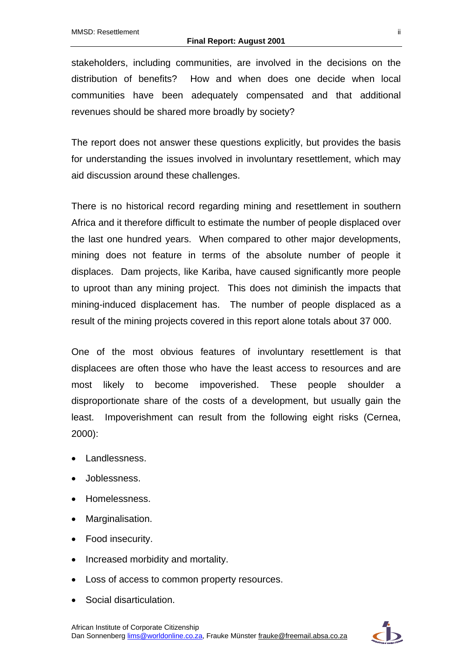stakeholders, including communities, are involved in the decisions on the distribution of benefits? How and when does one decide when local communities have been adequately compensated and that additional revenues should be shared more broadly by society?

The report does not answer these questions explicitly, but provides the basis for understanding the issues involved in involuntary resettlement, which may aid discussion around these challenges.

There is no historical record regarding mining and resettlement in southern Africa and it therefore difficult to estimate the number of people displaced over the last one hundred years. When compared to other major developments, mining does not feature in terms of the absolute number of people it displaces. Dam projects, like Kariba, have caused significantly more people to uproot than any mining project. This does not diminish the impacts that mining-induced displacement has. The number of people displaced as a result of the mining projects covered in this report alone totals about 37 000.

One of the most obvious features of involuntary resettlement is that displacees are often those who have the least access to resources and are most likely to become impoverished. These people shoulder a disproportionate share of the costs of a development, but usually gain the least. Impoverishment can result from the following eight risks (Cernea, 2000):

- Landlessness.
- Joblessness.
- Homelessness.
- Marginalisation.
- Food insecurity.
- Increased morbidity and mortality.
- Loss of access to common property resources.
- Social disarticulation.

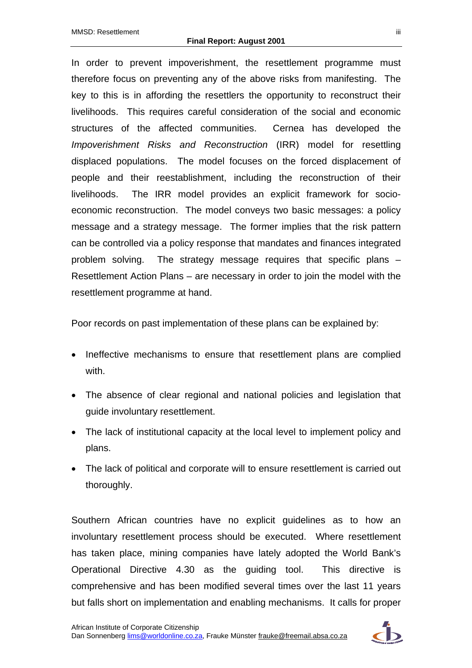In order to prevent impoverishment, the resettlement programme must therefore focus on preventing any of the above risks from manifesting. The key to this is in affording the resettlers the opportunity to reconstruct their livelihoods. This requires careful consideration of the social and economic structures of the affected communities. Cernea has developed the *Impoverishment Risks and Reconstruction* (IRR) model for resettling displaced populations. The model focuses on the forced displacement of people and their reestablishment, including the reconstruction of their livelihoods. The IRR model provides an explicit framework for socioeconomic reconstruction. The model conveys two basic messages: a policy message and a strategy message. The former implies that the risk pattern can be controlled via a policy response that mandates and finances integrated problem solving. The strategy message requires that specific plans – Resettlement Action Plans – are necessary in order to join the model with the resettlement programme at hand.

Poor records on past implementation of these plans can be explained by:

- Ineffective mechanisms to ensure that resettlement plans are complied with.
- The absence of clear regional and national policies and legislation that guide involuntary resettlement.
- The lack of institutional capacity at the local level to implement policy and plans.
- The lack of political and corporate will to ensure resettlement is carried out thoroughly.

Southern African countries have no explicit guidelines as to how an involuntary resettlement process should be executed. Where resettlement has taken place, mining companies have lately adopted the World Bank's Operational Directive 4.30 as the guiding tool. This directive is comprehensive and has been modified several times over the last 11 years but falls short on implementation and enabling mechanisms. It calls for proper

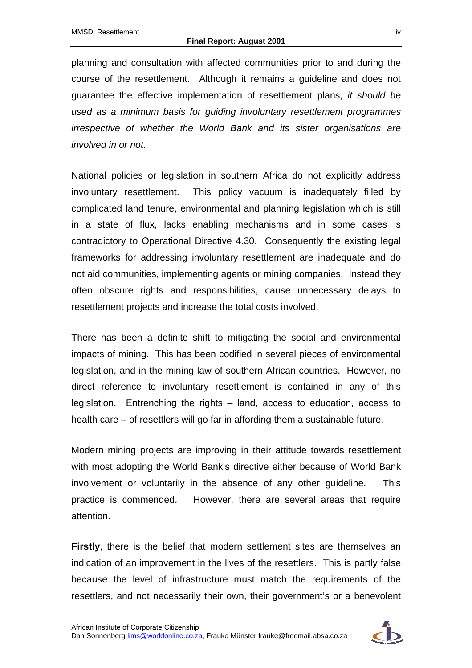planning and consultation with affected communities prior to and during the course of the resettlement. Although it remains a guideline and does not guarantee the effective implementation of resettlement plans, *it should be used as a minimum basis for guiding involuntary resettlement programmes irrespective of whether the World Bank and its sister organisations are involved in or not*.

National policies or legislation in southern Africa do not explicitly address involuntary resettlement. This policy vacuum is inadequately filled by complicated land tenure, environmental and planning legislation which is still in a state of flux, lacks enabling mechanisms and in some cases is contradictory to Operational Directive 4.30. Consequently the existing legal frameworks for addressing involuntary resettlement are inadequate and do not aid communities, implementing agents or mining companies. Instead they often obscure rights and responsibilities, cause unnecessary delays to resettlement projects and increase the total costs involved.

There has been a definite shift to mitigating the social and environmental impacts of mining. This has been codified in several pieces of environmental legislation, and in the mining law of southern African countries. However, no direct reference to involuntary resettlement is contained in any of this legislation. Entrenching the rights – land, access to education, access to health care – of resettlers will go far in affording them a sustainable future.

Modern mining projects are improving in their attitude towards resettlement with most adopting the World Bank's directive either because of World Bank involvement or voluntarily in the absence of any other guideline. This practice is commended. However, there are several areas that require attention.

**Firstly**, there is the belief that modern settlement sites are themselves an indication of an improvement in the lives of the resettlers. This is partly false because the level of infrastructure must match the requirements of the resettlers, and not necessarily their own, their government's or a benevolent

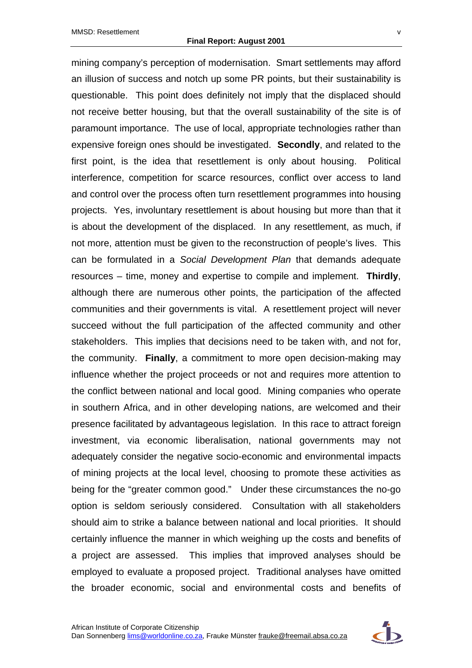mining company's perception of modernisation. Smart settlements may afford an illusion of success and notch up some PR points, but their sustainability is questionable. This point does definitely not imply that the displaced should not receive better housing, but that the overall sustainability of the site is of paramount importance. The use of local, appropriate technologies rather than expensive foreign ones should be investigated. **Secondly**, and related to the first point, is the idea that resettlement is only about housing. Political interference, competition for scarce resources, conflict over access to land and control over the process often turn resettlement programmes into housing projects. Yes, involuntary resettlement is about housing but more than that it is about the development of the displaced. In any resettlement, as much, if not more, attention must be given to the reconstruction of people's lives. This can be formulated in a *Social Development Plan* that demands adequate resources – time, money and expertise to compile and implement. **Thirdly**, although there are numerous other points, the participation of the affected communities and their governments is vital. A resettlement project will never succeed without the full participation of the affected community and other stakeholders. This implies that decisions need to be taken with, and not for, the community. **Finally**, a commitment to more open decision-making may influence whether the project proceeds or not and requires more attention to the conflict between national and local good. Mining companies who operate in southern Africa, and in other developing nations, are welcomed and their presence facilitated by advantageous legislation. In this race to attract foreign investment, via economic liberalisation, national governments may not adequately consider the negative socio-economic and environmental impacts of mining projects at the local level, choosing to promote these activities as being for the "greater common good." Under these circumstances the no-go option is seldom seriously considered. Consultation with all stakeholders should aim to strike a balance between national and local priorities. It should certainly influence the manner in which weighing up the costs and benefits of a project are assessed. This implies that improved analyses should be employed to evaluate a proposed project. Traditional analyses have omitted the broader economic, social and environmental costs and benefits of

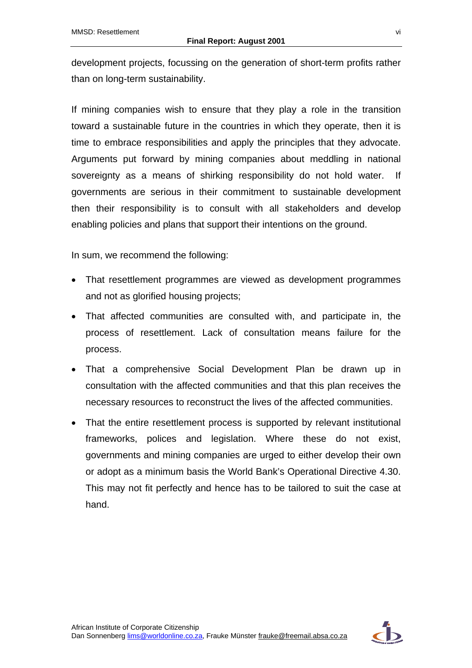development projects, focussing on the generation of short-term profits rather than on long-term sustainability.

If mining companies wish to ensure that they play a role in the transition toward a sustainable future in the countries in which they operate, then it is time to embrace responsibilities and apply the principles that they advocate. Arguments put forward by mining companies about meddling in national sovereignty as a means of shirking responsibility do not hold water. If governments are serious in their commitment to sustainable development then their responsibility is to consult with all stakeholders and develop enabling policies and plans that support their intentions on the ground.

In sum, we recommend the following:

- That resettlement programmes are viewed as development programmes and not as glorified housing projects;
- That affected communities are consulted with, and participate in, the process of resettlement. Lack of consultation means failure for the process.
- That a comprehensive Social Development Plan be drawn up in consultation with the affected communities and that this plan receives the necessary resources to reconstruct the lives of the affected communities.
- That the entire resettlement process is supported by relevant institutional frameworks, polices and legislation. Where these do not exist, governments and mining companies are urged to either develop their own or adopt as a minimum basis the World Bank's Operational Directive 4.30. This may not fit perfectly and hence has to be tailored to suit the case at hand.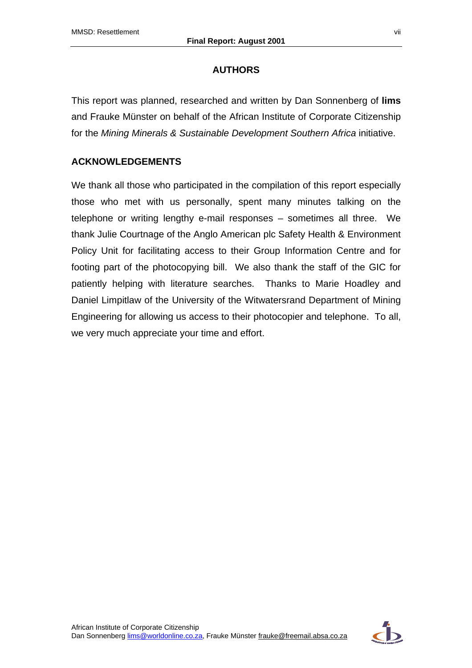## **AUTHORS**

This report was planned, researched and written by Dan Sonnenberg of **lims** and Frauke Münster on behalf of the African Institute of Corporate Citizenship for the *Mining Minerals & Sustainable Development Southern Africa* initiative.

# **ACKNOWLEDGEMENTS**

We thank all those who participated in the compilation of this report especially those who met with us personally, spent many minutes talking on the telephone or writing lengthy e-mail responses – sometimes all three. We thank Julie Courtnage of the Anglo American plc Safety Health & Environment Policy Unit for facilitating access to their Group Information Centre and for footing part of the photocopying bill. We also thank the staff of the GIC for patiently helping with literature searches. Thanks to Marie Hoadley and Daniel Limpitlaw of the University of the Witwatersrand Department of Mining Engineering for allowing us access to their photocopier and telephone. To all, we very much appreciate your time and effort.

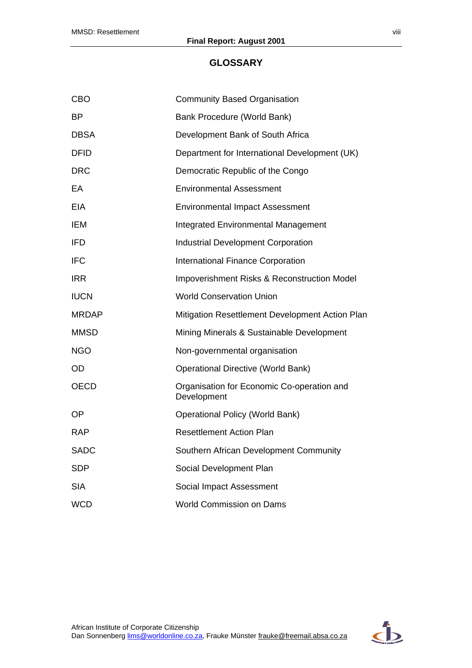#### **GLOSSARY**

| <b>CBO</b>   | <b>Community Based Organisation</b>                       |
|--------------|-----------------------------------------------------------|
| ВP           | Bank Procedure (World Bank)                               |
| <b>DBSA</b>  | Development Bank of South Africa                          |
| <b>DFID</b>  | Department for International Development (UK)             |
| DRC          | Democratic Republic of the Congo                          |
| EA           | <b>Environmental Assessment</b>                           |
| EIA          | <b>Environmental Impact Assessment</b>                    |
| IEM          | <b>Integrated Environmental Management</b>                |
| <b>IFD</b>   | <b>Industrial Development Corporation</b>                 |
| <b>IFC</b>   | <b>International Finance Corporation</b>                  |
| <b>IRR</b>   | Impoverishment Risks & Reconstruction Model               |
| <b>IUCN</b>  | <b>World Conservation Union</b>                           |
| <b>MRDAP</b> | Mitigation Resettlement Development Action Plan           |
| MMSD         | Mining Minerals & Sustainable Development                 |
| <b>NGO</b>   | Non-governmental organisation                             |
| OD           | <b>Operational Directive (World Bank)</b>                 |
| <b>OECD</b>  | Organisation for Economic Co-operation and<br>Development |
| <b>OP</b>    | <b>Operational Policy (World Bank)</b>                    |
| <b>RAP</b>   | <b>Resettlement Action Plan</b>                           |
| <b>SADC</b>  | Southern African Development Community                    |
| <b>SDP</b>   | Social Development Plan                                   |
| <b>SIA</b>   | Social Impact Assessment                                  |
| <b>WCD</b>   | <b>World Commission on Dams</b>                           |

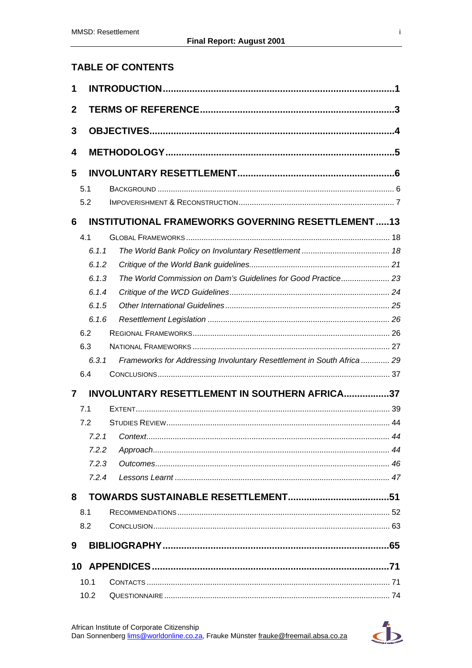# **TABLE OF CONTENTS**

| 5.1 |              |                                                                                                                                                                                                                                                                                                                                                                      |
|-----|--------------|----------------------------------------------------------------------------------------------------------------------------------------------------------------------------------------------------------------------------------------------------------------------------------------------------------------------------------------------------------------------|
| 5.2 |              |                                                                                                                                                                                                                                                                                                                                                                      |
|     |              |                                                                                                                                                                                                                                                                                                                                                                      |
| 4.1 |              |                                                                                                                                                                                                                                                                                                                                                                      |
|     |              |                                                                                                                                                                                                                                                                                                                                                                      |
|     |              |                                                                                                                                                                                                                                                                                                                                                                      |
|     |              |                                                                                                                                                                                                                                                                                                                                                                      |
|     |              |                                                                                                                                                                                                                                                                                                                                                                      |
|     |              |                                                                                                                                                                                                                                                                                                                                                                      |
|     |              |                                                                                                                                                                                                                                                                                                                                                                      |
| 6.2 |              |                                                                                                                                                                                                                                                                                                                                                                      |
| 6.3 |              |                                                                                                                                                                                                                                                                                                                                                                      |
|     |              |                                                                                                                                                                                                                                                                                                                                                                      |
| 6.4 |              |                                                                                                                                                                                                                                                                                                                                                                      |
|     |              |                                                                                                                                                                                                                                                                                                                                                                      |
| 7.1 |              |                                                                                                                                                                                                                                                                                                                                                                      |
| 7.2 |              |                                                                                                                                                                                                                                                                                                                                                                      |
|     |              | 44                                                                                                                                                                                                                                                                                                                                                                   |
|     |              |                                                                                                                                                                                                                                                                                                                                                                      |
|     |              |                                                                                                                                                                                                                                                                                                                                                                      |
|     |              |                                                                                                                                                                                                                                                                                                                                                                      |
|     |              |                                                                                                                                                                                                                                                                                                                                                                      |
| 8.1 |              |                                                                                                                                                                                                                                                                                                                                                                      |
| 8.2 |              |                                                                                                                                                                                                                                                                                                                                                                      |
|     |              |                                                                                                                                                                                                                                                                                                                                                                      |
|     |              |                                                                                                                                                                                                                                                                                                                                                                      |
|     |              |                                                                                                                                                                                                                                                                                                                                                                      |
|     |              |                                                                                                                                                                                                                                                                                                                                                                      |
|     | 10.1<br>10.2 | <b>INSTITUTIONAL FRAMEWORKS GOVERNING RESETTLEMENT13</b><br>6.1.1<br>6.1.2<br>The World Commission on Dam's Guidelines for Good Practice 23<br>6.1.3<br>6.1.4<br>6.1.5<br>6.1.6<br>Frameworks for Addressing Involuntary Resettlement in South Africa  29<br>6.3.1<br><b>INVOLUNTARY RESETTLEMENT IN SOUTHERN AFRICA37</b><br>721 Context<br>7.2.2<br>7.2.3<br>7.2.4 |

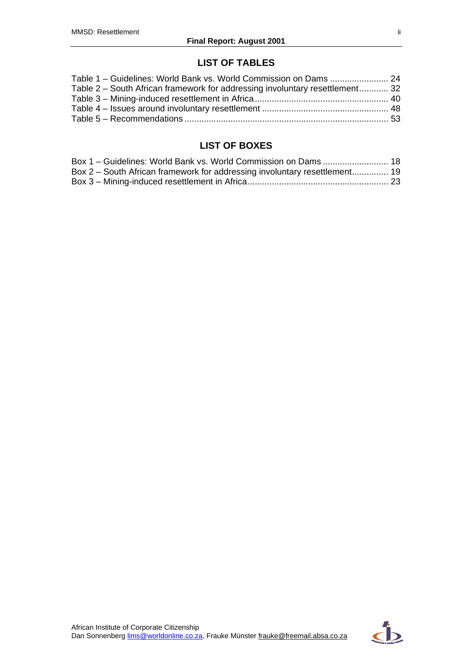### **LIST OF TABLES**

| Table 2 – South African framework for addressing involuntary resettlement 32 |  |
|------------------------------------------------------------------------------|--|
|                                                                              |  |
|                                                                              |  |
|                                                                              |  |
|                                                                              |  |

# **LIST OF BOXES**

| Box 1 - Guidelines: World Bank vs. World Commission on Dams  18            |  |
|----------------------------------------------------------------------------|--|
| Box 2 – South African framework for addressing involuntary resettlement 19 |  |
|                                                                            |  |

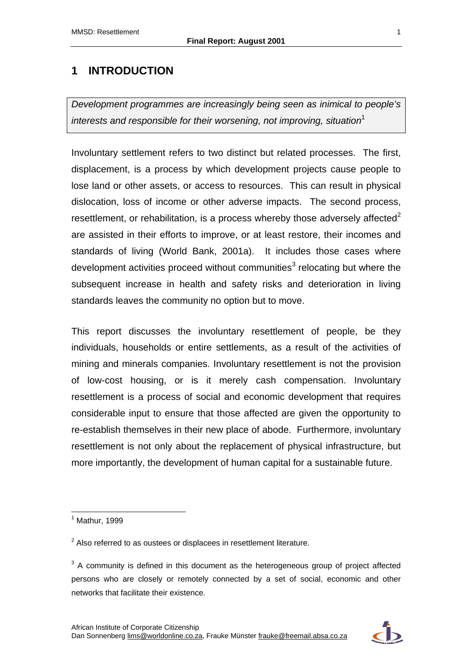# <span id="page-11-0"></span>**1 INTRODUCTION**

*Development programmes are increasingly being seen as inimical to people's interests and responsible for their worsening, not improving, situation*<sup>1</sup>

Involuntary settlement refers to two distinct but related processes. The first, displacement, is a process by which development projects cause people to lose land or other assets, or access to resources. This can result in physical dislocation, loss of income or other adverse impacts. The second process, resettlement, or rehabilitation, is a process whereby those adversely affected<sup>2</sup> are assisted in their efforts to improve, or at least restore, their incomes and standards of living (World Bank, 2001a). It includes those cases where development activities proceed without communities<sup>3</sup> relocating but where the subsequent increase in health and safety risks and deterioration in living standards leaves the community no option but to move.

This report discusses the involuntary resettlement of people, be they individuals, households or entire settlements, as a result of the activities of mining and minerals companies. Involuntary resettlement is not the provision of low-cost housing, or is it merely cash compensation. Involuntary resettlement is a process of social and economic development that requires considerable input to ensure that those affected are given the opportunity to re-establish themselves in their new place of abode. Furthermore, involuntary resettlement is not only about the replacement of physical infrastructure, but more importantly, the development of human capital for a sustainable future.

 $\overline{a}$ 



<sup>1</sup> Mathur, 1999

 $2$  Also referred to as oustees or displacees in resettlement literature.

 $3$  A community is defined in this document as the heterogeneous group of project affected persons who are closely or remotely connected by a set of social, economic and other networks that facilitate their existence.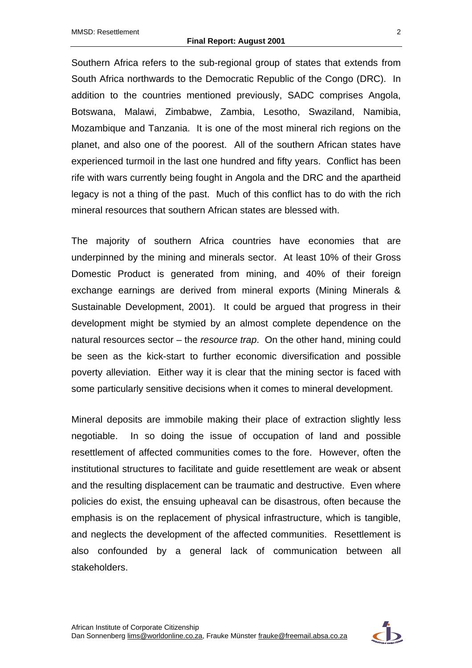Southern Africa refers to the sub-regional group of states that extends from South Africa northwards to the Democratic Republic of the Congo (DRC). In addition to the countries mentioned previously, SADC comprises Angola, Botswana, Malawi, Zimbabwe, Zambia, Lesotho, Swaziland, Namibia, Mozambique and Tanzania. It is one of the most mineral rich regions on the planet, and also one of the poorest. All of the southern African states have experienced turmoil in the last one hundred and fifty years. Conflict has been rife with wars currently being fought in Angola and the DRC and the apartheid legacy is not a thing of the past. Much of this conflict has to do with the rich mineral resources that southern African states are blessed with.

The majority of southern Africa countries have economies that are underpinned by the mining and minerals sector. At least 10% of their Gross Domestic Product is generated from mining, and 40% of their foreign exchange earnings are derived from mineral exports (Mining Minerals & Sustainable Development, 2001). It could be argued that progress in their development might be stymied by an almost complete dependence on the natural resources sector – the *resource trap*. On the other hand, mining could be seen as the kick-start to further economic diversification and possible poverty alleviation. Either way it is clear that the mining sector is faced with some particularly sensitive decisions when it comes to mineral development.

Mineral deposits are immobile making their place of extraction slightly less negotiable. In so doing the issue of occupation of land and possible resettlement of affected communities comes to the fore. However, often the institutional structures to facilitate and guide resettlement are weak or absent and the resulting displacement can be traumatic and destructive. Even where policies do exist, the ensuing upheaval can be disastrous, often because the emphasis is on the replacement of physical infrastructure, which is tangible, and neglects the development of the affected communities. Resettlement is also confounded by a general lack of communication between all stakeholders.

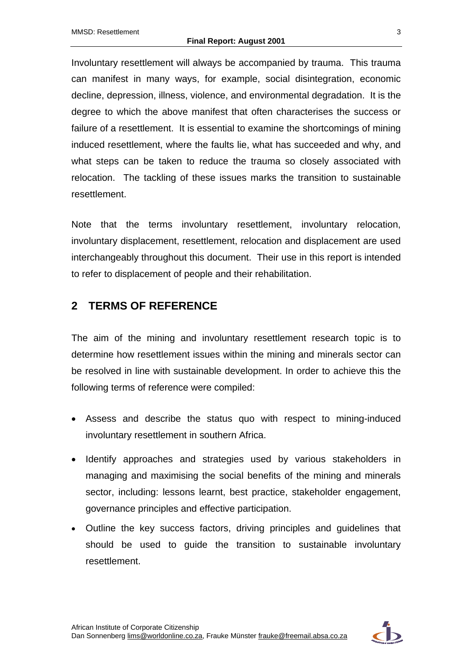Involuntary resettlement will always be accompanied by trauma. This trauma can manifest in many ways, for example, social disintegration, economic decline, depression, illness, violence, and environmental degradation. It is the degree to which the above manifest that often characterises the success or failure of a resettlement. It is essential to examine the shortcomings of mining induced resettlement, where the faults lie, what has succeeded and why, and what steps can be taken to reduce the trauma so closely associated with relocation. The tackling of these issues marks the transition to sustainable resettlement.

Note that the terms involuntary resettlement, involuntary relocation, involuntary displacement, resettlement, relocation and displacement are used interchangeably throughout this document. Their use in this report is intended to refer to displacement of people and their rehabilitation.

# <span id="page-13-0"></span>**2 TERMS OF REFERENCE**

The aim of the mining and involuntary resettlement research topic is to determine how resettlement issues within the mining and minerals sector can be resolved in line with sustainable development. In order to achieve this the following terms of reference were compiled:

- Assess and describe the status quo with respect to mining-induced involuntary resettlement in southern Africa.
- Identify approaches and strategies used by various stakeholders in managing and maximising the social benefits of the mining and minerals sector, including: lessons learnt, best practice, stakeholder engagement, governance principles and effective participation.
- Outline the key success factors, driving principles and guidelines that should be used to guide the transition to sustainable involuntary resettlement.

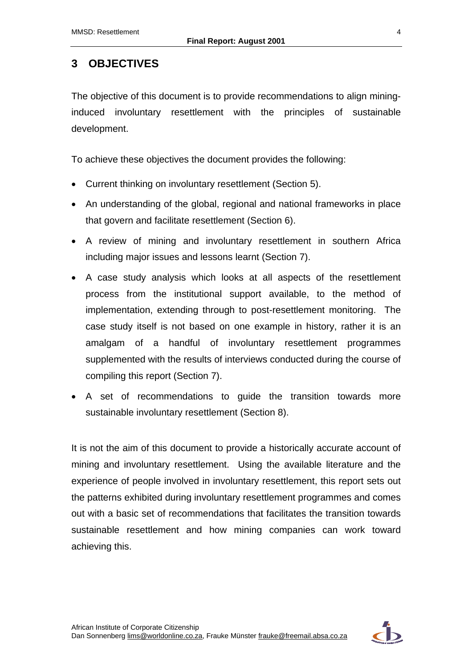# <span id="page-14-0"></span>**3 OBJECTIVES**

The objective of this document is to provide recommendations to align mininginduced involuntary resettlement with the principles of sustainable development.

To achieve these objectives the document provides the following:

- Current thinking on involuntary resettlement (Section 5).
- An understanding of the global, regional and national frameworks in place that govern and facilitate resettlement (Section 6).
- A review of mining and involuntary resettlement in southern Africa including major issues and lessons learnt (Section 7).
- A case study analysis which looks at all aspects of the resettlement process from the institutional support available, to the method of implementation, extending through to post-resettlement monitoring. The case study itself is not based on one example in history, rather it is an amalgam of a handful of involuntary resettlement programmes supplemented with the results of interviews conducted during the course of compiling this report (Section 7).
- A set of recommendations to guide the transition towards more sustainable involuntary resettlement (Section 8).

It is not the aim of this document to provide a historically accurate account of mining and involuntary resettlement. Using the available literature and the experience of people involved in involuntary resettlement, this report sets out the patterns exhibited during involuntary resettlement programmes and comes out with a basic set of recommendations that facilitates the transition towards sustainable resettlement and how mining companies can work toward achieving this.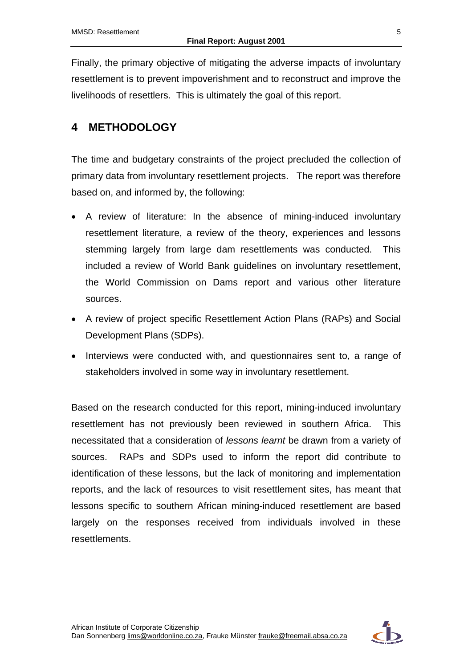Finally, the primary objective of mitigating the adverse impacts of involuntary resettlement is to prevent impoverishment and to reconstruct and improve the livelihoods of resettlers. This is ultimately the goal of this report.

# <span id="page-15-0"></span>**4 METHODOLOGY**

The time and budgetary constraints of the project precluded the collection of primary data from involuntary resettlement projects. The report was therefore based on, and informed by, the following:

- A review of literature: In the absence of mining-induced involuntary resettlement literature, a review of the theory, experiences and lessons stemming largely from large dam resettlements was conducted. This included a review of World Bank guidelines on involuntary resettlement, the World Commission on Dams report and various other literature sources.
- A review of project specific Resettlement Action Plans (RAPs) and Social Development Plans (SDPs).
- Interviews were conducted with, and questionnaires sent to, a range of stakeholders involved in some way in involuntary resettlement.

Based on the research conducted for this report, mining-induced involuntary resettlement has not previously been reviewed in southern Africa. This necessitated that a consideration of *lessons learnt* be drawn from a variety of sources. RAPs and SDPs used to inform the report did contribute to identification of these lessons, but the lack of monitoring and implementation reports, and the lack of resources to visit resettlement sites, has meant that lessons specific to southern African mining-induced resettlement are based largely on the responses received from individuals involved in these resettlements.

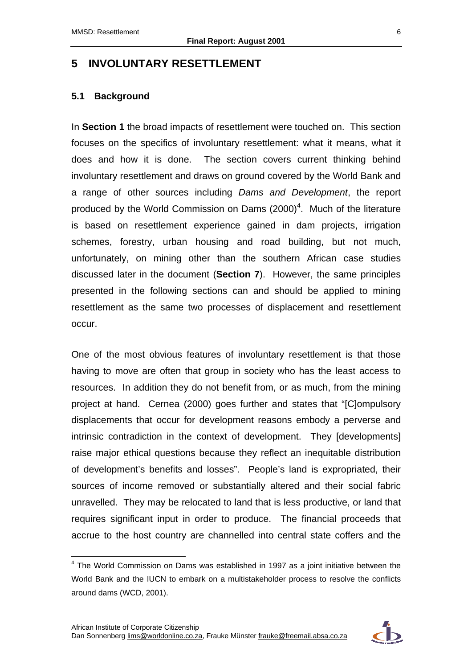# <span id="page-16-0"></span>**5 INVOLUNTARY RESETTLEMENT**

#### <span id="page-16-1"></span>**5.1 Background**

 $\overline{a}$ 

In **Section 1** the broad impacts of resettlement were touched on. This section focuses on the specifics of involuntary resettlement: what it means, what it does and how it is done. The section covers current thinking behind involuntary resettlement and draws on ground covered by the World Bank and a range of other sources including *Dams and Development*, the report produced by the World Commission on Dams  $(2000)^4$ . Much of the literature is based on resettlement experience gained in dam projects, irrigation schemes, forestry, urban housing and road building, but not much, unfortunately, on mining other than the southern African case studies discussed later in the document (**Section 7**). However, the same principles presented in the following sections can and should be applied to mining resettlement as the same two processes of displacement and resettlement occur.

One of the most obvious features of involuntary resettlement is that those having to move are often that group in society who has the least access to resources. In addition they do not benefit from, or as much, from the mining project at hand. Cernea (2000) goes further and states that "[C]ompulsory displacements that occur for development reasons embody a perverse and intrinsic contradiction in the context of development. They [developments] raise major ethical questions because they reflect an inequitable distribution of development's benefits and losses". People's land is expropriated, their sources of income removed or substantially altered and their social fabric unravelled. They may be relocated to land that is less productive, or land that requires significant input in order to produce. The financial proceeds that accrue to the host country are channelled into central state coffers and the



<sup>&</sup>lt;sup>4</sup> The World Commission on Dams was established in 1997 as a joint initiative between the World Bank and the IUCN to embark on a multistakeholder process to resolve the conflicts around dams (WCD, 2001).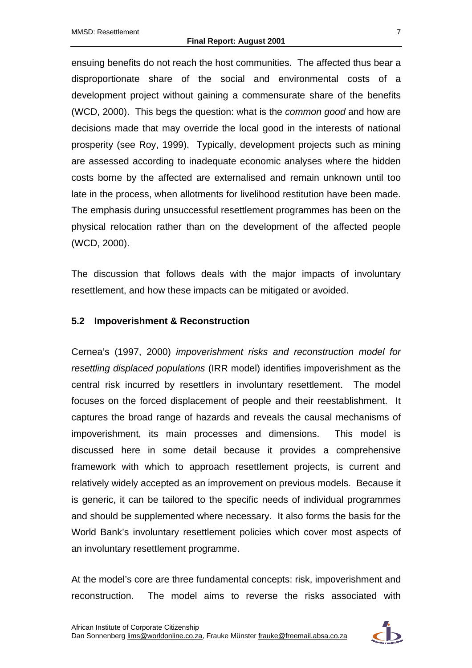ensuing benefits do not reach the host communities. The affected thus bear a disproportionate share of the social and environmental costs of a development project without gaining a commensurate share of the benefits (WCD, 2000). This begs the question: what is the *common good* and how are decisions made that may override the local good in the interests of national prosperity (see Roy, 1999). Typically, development projects such as mining are assessed according to inadequate economic analyses where the hidden costs borne by the affected are externalised and remain unknown until too late in the process, when allotments for livelihood restitution have been made. The emphasis during unsuccessful resettlement programmes has been on the physical relocation rather than on the development of the affected people (WCD, 2000).

The discussion that follows deals with the major impacts of involuntary resettlement, and how these impacts can be mitigated or avoided.

### <span id="page-17-0"></span>**5.2 Impoverishment & Reconstruction**

Cernea's (1997, 2000) *impoverishment risks and reconstruction model for resettling displaced populations* (IRR model) identifies impoverishment as the central risk incurred by resettlers in involuntary resettlement. The model focuses on the forced displacement of people and their reestablishment. It captures the broad range of hazards and reveals the causal mechanisms of impoverishment, its main processes and dimensions. This model is discussed here in some detail because it provides a comprehensive framework with which to approach resettlement projects, is current and relatively widely accepted as an improvement on previous models. Because it is generic, it can be tailored to the specific needs of individual programmes and should be supplemented where necessary. It also forms the basis for the World Bank's involuntary resettlement policies which cover most aspects of an involuntary resettlement programme.

At the model's core are three fundamental concepts: risk, impoverishment and reconstruction. The model aims to reverse the risks associated with

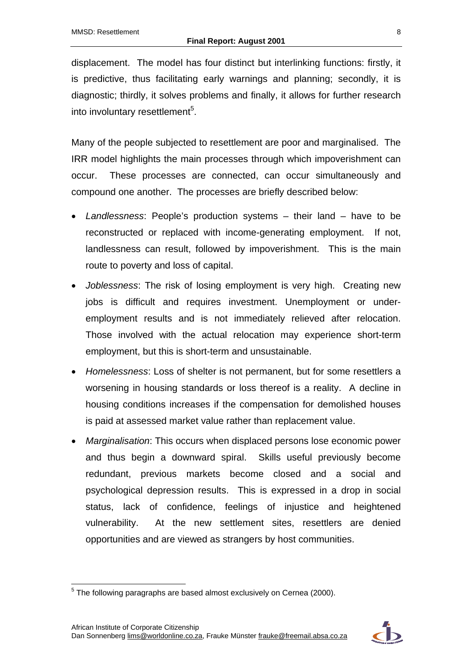displacement. The model has four distinct but interlinking functions: firstly, it is predictive, thus facilitating early warnings and planning; secondly, it is diagnostic; thirdly, it solves problems and finally, it allows for further research into involuntary resettlement<sup>5</sup>.

Many of the people subjected to resettlement are poor and marginalised. The IRR model highlights the main processes through which impoverishment can occur. These processes are connected, can occur simultaneously and compound one another. The processes are briefly described below:

- *Landlessness*: People's production systems their land have to be reconstructed or replaced with income-generating employment. If not, landlessness can result, followed by impoverishment. This is the main route to poverty and loss of capital.
- *Joblessness*: The risk of losing employment is very high. Creating new jobs is difficult and requires investment. Unemployment or underemployment results and is not immediately relieved after relocation. Those involved with the actual relocation may experience short-term employment, but this is short-term and unsustainable.
- *Homelessness*: Loss of shelter is not permanent, but for some resettlers a worsening in housing standards or loss thereof is a reality. A decline in housing conditions increases if the compensation for demolished houses is paid at assessed market value rather than replacement value.
- *Marginalisation*: This occurs when displaced persons lose economic power and thus begin a downward spiral. Skills useful previously become redundant, previous markets become closed and a social and psychological depression results. This is expressed in a drop in social status, lack of confidence, feelings of injustice and heightened vulnerability. At the new settlement sites, resettlers are denied opportunities and are viewed as strangers by host communities.



 5 The following paragraphs are based almost exclusively on Cernea (2000).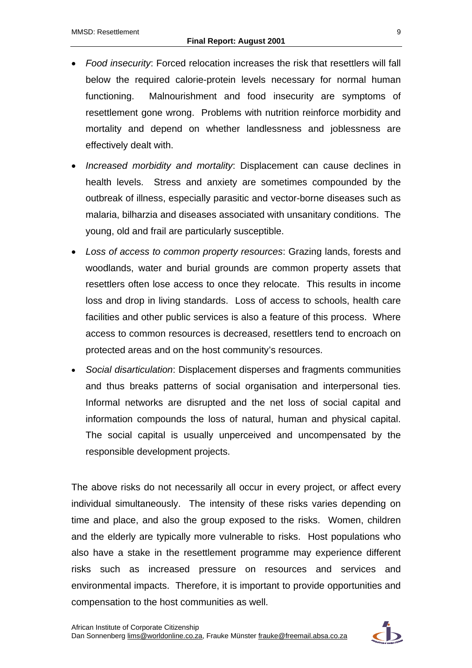- *Food insecurity*: Forced relocation increases the risk that resettlers will fall below the required calorie-protein levels necessary for normal human functioning. Malnourishment and food insecurity are symptoms of resettlement gone wrong. Problems with nutrition reinforce morbidity and mortality and depend on whether landlessness and joblessness are effectively dealt with.
- *Increased morbidity and mortality*: Displacement can cause declines in health levels. Stress and anxiety are sometimes compounded by the outbreak of illness, especially parasitic and vector-borne diseases such as malaria, bilharzia and diseases associated with unsanitary conditions. The young, old and frail are particularly susceptible.
- *Loss of access to common property resources*: Grazing lands, forests and woodlands, water and burial grounds are common property assets that resettlers often lose access to once they relocate. This results in income loss and drop in living standards. Loss of access to schools, health care facilities and other public services is also a feature of this process. Where access to common resources is decreased, resettlers tend to encroach on protected areas and on the host community's resources.
- *Social disarticulation*: Displacement disperses and fragments communities and thus breaks patterns of social organisation and interpersonal ties. Informal networks are disrupted and the net loss of social capital and information compounds the loss of natural, human and physical capital. The social capital is usually unperceived and uncompensated by the responsible development projects.

The above risks do not necessarily all occur in every project, or affect every individual simultaneously. The intensity of these risks varies depending on time and place, and also the group exposed to the risks. Women, children and the elderly are typically more vulnerable to risks. Host populations who also have a stake in the resettlement programme may experience different risks such as increased pressure on resources and services and environmental impacts. Therefore, it is important to provide opportunities and compensation to the host communities as well.

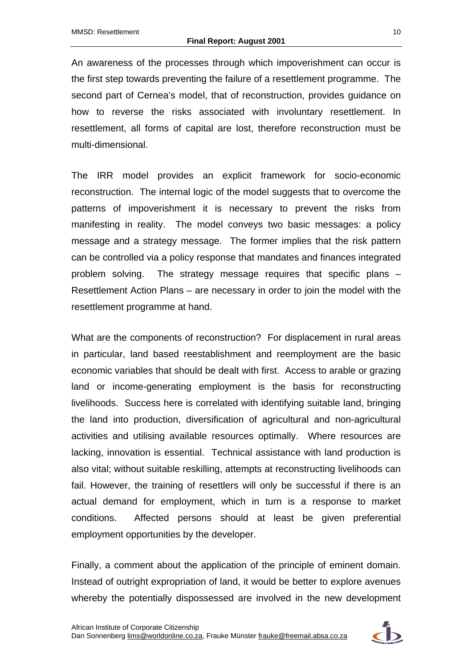An awareness of the processes through which impoverishment can occur is the first step towards preventing the failure of a resettlement programme. The second part of Cernea's model, that of reconstruction, provides guidance on how to reverse the risks associated with involuntary resettlement. In resettlement, all forms of capital are lost, therefore reconstruction must be multi-dimensional.

The IRR model provides an explicit framework for socio-economic reconstruction. The internal logic of the model suggests that to overcome the patterns of impoverishment it is necessary to prevent the risks from manifesting in reality. The model conveys two basic messages: a policy message and a strategy message. The former implies that the risk pattern can be controlled via a policy response that mandates and finances integrated problem solving. The strategy message requires that specific plans – Resettlement Action Plans – are necessary in order to join the model with the resettlement programme at hand.

What are the components of reconstruction? For displacement in rural areas in particular, land based reestablishment and reemployment are the basic economic variables that should be dealt with first. Access to arable or grazing land or income-generating employment is the basis for reconstructing livelihoods. Success here is correlated with identifying suitable land, bringing the land into production, diversification of agricultural and non-agricultural activities and utilising available resources optimally. Where resources are lacking, innovation is essential. Technical assistance with land production is also vital; without suitable reskilling, attempts at reconstructing livelihoods can fail. However, the training of resettlers will only be successful if there is an actual demand for employment, which in turn is a response to market conditions. Affected persons should at least be given preferential employment opportunities by the developer.

Finally, a comment about the application of the principle of eminent domain. Instead of outright expropriation of land, it would be better to explore avenues whereby the potentially dispossessed are involved in the new development

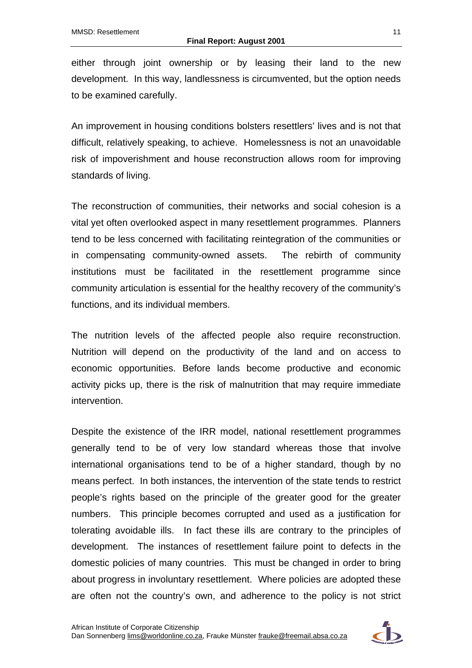either through joint ownership or by leasing their land to the new development. In this way, landlessness is circumvented, but the option needs to be examined carefully.

An improvement in housing conditions bolsters resettlers' lives and is not that difficult, relatively speaking, to achieve. Homelessness is not an unavoidable risk of impoverishment and house reconstruction allows room for improving standards of living.

The reconstruction of communities, their networks and social cohesion is a vital yet often overlooked aspect in many resettlement programmes. Planners tend to be less concerned with facilitating reintegration of the communities or in compensating community-owned assets. The rebirth of community institutions must be facilitated in the resettlement programme since community articulation is essential for the healthy recovery of the community's functions, and its individual members.

The nutrition levels of the affected people also require reconstruction. Nutrition will depend on the productivity of the land and on access to economic opportunities. Before lands become productive and economic activity picks up, there is the risk of malnutrition that may require immediate intervention.

Despite the existence of the IRR model, national resettlement programmes generally tend to be of very low standard whereas those that involve international organisations tend to be of a higher standard, though by no means perfect. In both instances, the intervention of the state tends to restrict people's rights based on the principle of the greater good for the greater numbers. This principle becomes corrupted and used as a justification for tolerating avoidable ills. In fact these ills are contrary to the principles of development. The instances of resettlement failure point to defects in the domestic policies of many countries. This must be changed in order to bring about progress in involuntary resettlement. Where policies are adopted these are often not the country's own, and adherence to the policy is not strict

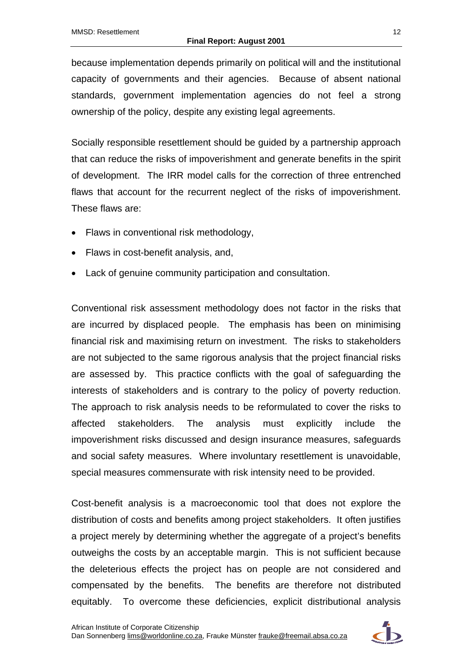because implementation depends primarily on political will and the institutional capacity of governments and their agencies. Because of absent national standards, government implementation agencies do not feel a strong ownership of the policy, despite any existing legal agreements.

Socially responsible resettlement should be guided by a partnership approach that can reduce the risks of impoverishment and generate benefits in the spirit of development. The IRR model calls for the correction of three entrenched flaws that account for the recurrent neglect of the risks of impoverishment. These flaws are:

- Flaws in conventional risk methodology,
- Flaws in cost-benefit analysis, and,
- Lack of genuine community participation and consultation.

Conventional risk assessment methodology does not factor in the risks that are incurred by displaced people. The emphasis has been on minimising financial risk and maximising return on investment. The risks to stakeholders are not subjected to the same rigorous analysis that the project financial risks are assessed by. This practice conflicts with the goal of safeguarding the interests of stakeholders and is contrary to the policy of poverty reduction. The approach to risk analysis needs to be reformulated to cover the risks to affected stakeholders. The analysis must explicitly include the impoverishment risks discussed and design insurance measures, safeguards and social safety measures. Where involuntary resettlement is unavoidable, special measures commensurate with risk intensity need to be provided.

Cost-benefit analysis is a macroeconomic tool that does not explore the distribution of costs and benefits among project stakeholders. It often justifies a project merely by determining whether the aggregate of a project's benefits outweighs the costs by an acceptable margin. This is not sufficient because the deleterious effects the project has on people are not considered and compensated by the benefits. The benefits are therefore not distributed equitably. To overcome these deficiencies, explicit distributional analysis

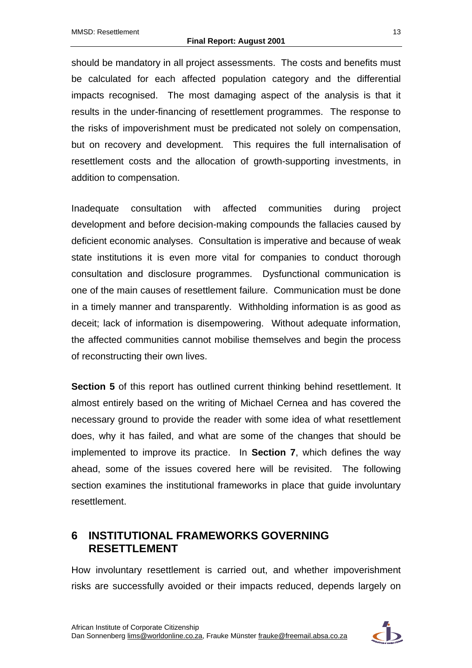should be mandatory in all project assessments. The costs and benefits must be calculated for each affected population category and the differential impacts recognised. The most damaging aspect of the analysis is that it results in the under-financing of resettlement programmes. The response to the risks of impoverishment must be predicated not solely on compensation, but on recovery and development. This requires the full internalisation of resettlement costs and the allocation of growth-supporting investments, in addition to compensation.

Inadequate consultation with affected communities during project development and before decision-making compounds the fallacies caused by deficient economic analyses. Consultation is imperative and because of weak state institutions it is even more vital for companies to conduct thorough consultation and disclosure programmes. Dysfunctional communication is one of the main causes of resettlement failure. Communication must be done in a timely manner and transparently. Withholding information is as good as deceit; lack of information is disempowering. Without adequate information, the affected communities cannot mobilise themselves and begin the process of reconstructing their own lives.

**Section 5** of this report has outlined current thinking behind resettlement. It almost entirely based on the writing of Michael Cernea and has covered the necessary ground to provide the reader with some idea of what resettlement does, why it has failed, and what are some of the changes that should be implemented to improve its practice. In **Section 7**, which defines the way ahead, some of the issues covered here will be revisited. The following section examines the institutional frameworks in place that guide involuntary resettlement.

# <span id="page-23-0"></span>**6 INSTITUTIONAL FRAMEWORKS GOVERNING RESETTLEMENT**

How involuntary resettlement is carried out, and whether impoverishment risks are successfully avoided or their impacts reduced, depends largely on

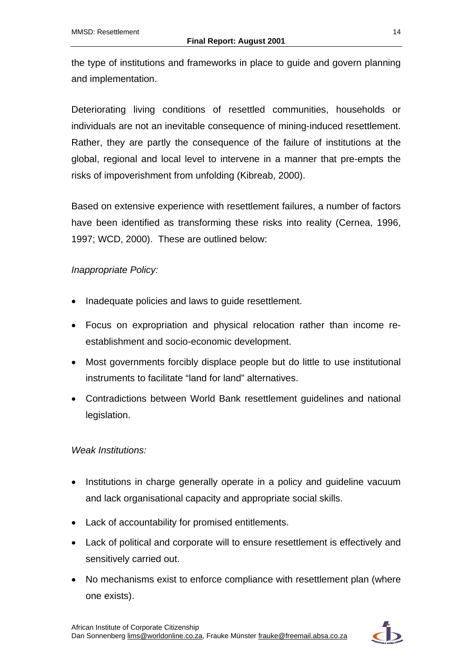the type of institutions and frameworks in place to guide and govern planning and implementation.

Deteriorating living conditions of resettled communities, households or individuals are not an inevitable consequence of mining-induced resettlement. Rather, they are partly the consequence of the failure of institutions at the global, regional and local level to intervene in a manner that pre-empts the risks of impoverishment from unfolding (Kibreab, 2000).

Based on extensive experience with resettlement failures, a number of factors have been identified as transforming these risks into reality (Cernea, 1996, 1997; WCD, 2000). These are outlined below:

### *Inappropriate Policy:*

- Inadequate policies and laws to guide resettlement.
- Focus on expropriation and physical relocation rather than income reestablishment and socio-economic development.
- Most governments forcibly displace people but do little to use institutional instruments to facilitate "land for land" alternatives.
- Contradictions between World Bank resettlement guidelines and national legislation.

#### *Weak Institutions:*

- Institutions in charge generally operate in a policy and guideline vacuum and lack organisational capacity and appropriate social skills.
- Lack of accountability for promised entitlements.
- Lack of political and corporate will to ensure resettlement is effectively and sensitively carried out.
- No mechanisms exist to enforce compliance with resettlement plan (where one exists).

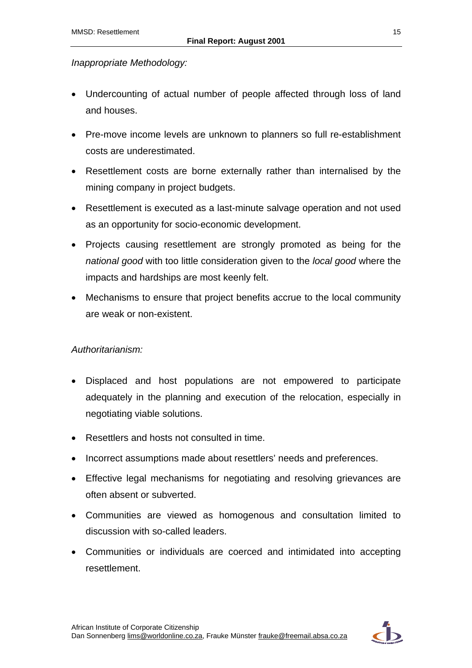### *Inappropriate Methodology:*

- Undercounting of actual number of people affected through loss of land and houses.
- Pre-move income levels are unknown to planners so full re-establishment costs are underestimated.
- Resettlement costs are borne externally rather than internalised by the mining company in project budgets.
- Resettlement is executed as a last-minute salvage operation and not used as an opportunity for socio-economic development.
- Projects causing resettlement are strongly promoted as being for the *national good* with too little consideration given to the *local good* where the impacts and hardships are most keenly felt.
- Mechanisms to ensure that project benefits accrue to the local community are weak or non-existent.

#### *Authoritarianism:*

- Displaced and host populations are not empowered to participate adequately in the planning and execution of the relocation, especially in negotiating viable solutions.
- Resettlers and hosts not consulted in time.
- Incorrect assumptions made about resettlers' needs and preferences.
- Effective legal mechanisms for negotiating and resolving grievances are often absent or subverted.
- Communities are viewed as homogenous and consultation limited to discussion with so-called leaders.
- Communities or individuals are coerced and intimidated into accepting resettlement.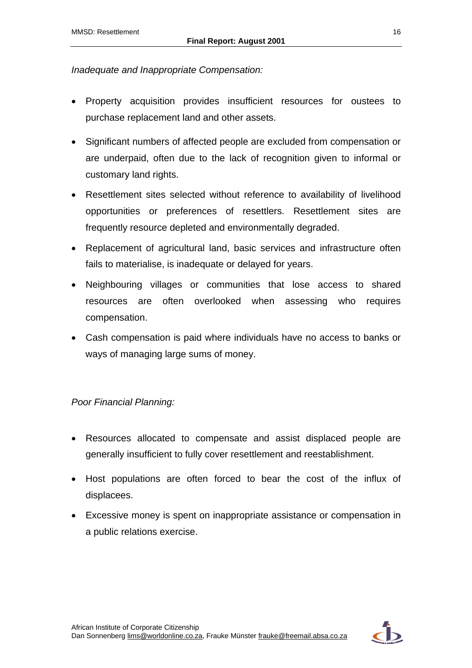#### *Inadequate and Inappropriate Compensation:*

- Property acquisition provides insufficient resources for oustees to purchase replacement land and other assets.
- Significant numbers of affected people are excluded from compensation or are underpaid, often due to the lack of recognition given to informal or customary land rights.
- Resettlement sites selected without reference to availability of livelihood opportunities or preferences of resettlers. Resettlement sites are frequently resource depleted and environmentally degraded.
- Replacement of agricultural land, basic services and infrastructure often fails to materialise, is inadequate or delayed for years.
- Neighbouring villages or communities that lose access to shared resources are often overlooked when assessing who requires compensation.
- Cash compensation is paid where individuals have no access to banks or ways of managing large sums of money.

#### *Poor Financial Planning:*

- Resources allocated to compensate and assist displaced people are generally insufficient to fully cover resettlement and reestablishment.
- Host populations are often forced to bear the cost of the influx of displacees.
- Excessive money is spent on inappropriate assistance or compensation in a public relations exercise.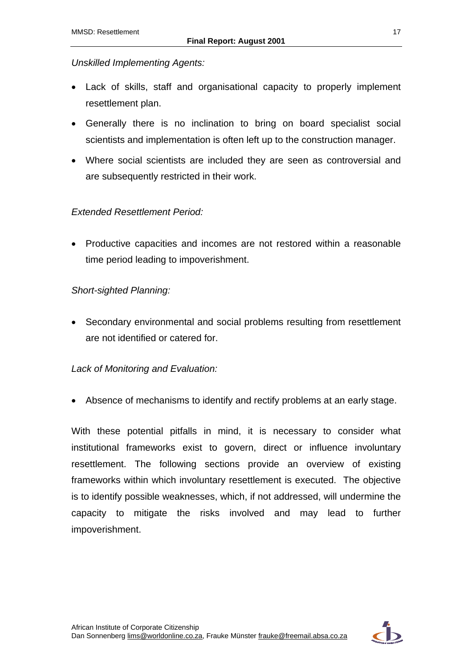### *Unskilled Implementing Agents:*

- Lack of skills, staff and organisational capacity to properly implement resettlement plan.
- Generally there is no inclination to bring on board specialist social scientists and implementation is often left up to the construction manager.
- Where social scientists are included they are seen as controversial and are subsequently restricted in their work.

### *Extended Resettlement Period:*

• Productive capacities and incomes are not restored within a reasonable time period leading to impoverishment.

### *Short-sighted Planning:*

• Secondary environmental and social problems resulting from resettlement are not identified or catered for.

#### *Lack of Monitoring and Evaluation:*

• Absence of mechanisms to identify and rectify problems at an early stage.

With these potential pitfalls in mind, it is necessary to consider what institutional frameworks exist to govern, direct or influence involuntary resettlement. The following sections provide an overview of existing frameworks within which involuntary resettlement is executed. The objective is to identify possible weaknesses, which, if not addressed, will undermine the capacity to mitigate the risks involved and may lead to further impoverishment.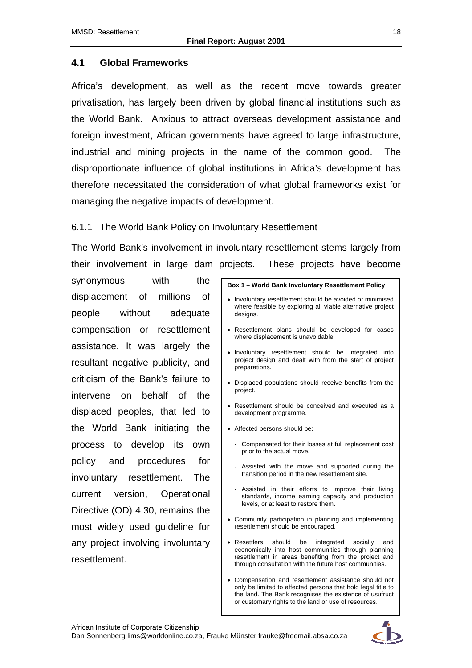#### <span id="page-28-0"></span>**4.1 Global Frameworks**

Africa's development, as well as the recent move towards greater privatisation, has largely been driven by global financial institutions such as the World Bank. Anxious to attract overseas development assistance and foreign investment, African governments have agreed to large infrastructure, industrial and mining projects in the name of the common good. The disproportionate influence of global institutions in Africa's development has therefore necessitated the consideration of what global frameworks exist for managing the negative impacts of development.

#### <span id="page-28-1"></span>6.1.1 The World Bank Policy on Involuntary Resettlement

The World Bank's involvement in involuntary resettlement stems largely from their involvement in large dam projects. These projects have become

synonymous with the displacement of millions of people without adequate compensation or resettlement assistance. It was largely the resultant negative publicity, and criticism of the Bank's failure to intervene on behalf of the displaced peoples, that led to the World Bank initiating the process to develop its own policy and procedures for involuntary resettlement. The current version, Operational Directive (OD) 4.30, remains the most widely used guideline for any project involving involuntary resettlement.

|                                                                                                                                     | Box 1 - World Bank Involuntary Resettlement Policy                                                                                                                                                                                    |  |
|-------------------------------------------------------------------------------------------------------------------------------------|---------------------------------------------------------------------------------------------------------------------------------------------------------------------------------------------------------------------------------------|--|
|                                                                                                                                     | Involuntary resettlement should be avoided or minimised<br>where feasible by exploring all viable alternative project<br>designs.                                                                                                     |  |
|                                                                                                                                     | Resettlement plans should be developed for cases<br>where displacement is unavoidable.                                                                                                                                                |  |
| Involuntary resettlement should be integrated into<br>٠<br>project design and dealt with from the start of project<br>preparations. |                                                                                                                                                                                                                                       |  |
|                                                                                                                                     | • Displaced populations should receive benefits from the<br>project.                                                                                                                                                                  |  |
|                                                                                                                                     | Resettlement should be conceived and executed as a<br>development programme.                                                                                                                                                          |  |
|                                                                                                                                     | Affected persons should be:                                                                                                                                                                                                           |  |
|                                                                                                                                     | - Compensated for their losses at full replacement cost<br>prior to the actual move.                                                                                                                                                  |  |
|                                                                                                                                     | Assisted with the move and supported during the<br>$\overline{a}$<br>transition period in the new resettlement site.                                                                                                                  |  |
|                                                                                                                                     | Assisted in their efforts to improve their living<br>standards, income earning capacity and production<br>levels, or at least to restore them.                                                                                        |  |
|                                                                                                                                     | • Community participation in planning and implementing<br>resettlement should be encouraged.                                                                                                                                          |  |
| ٠                                                                                                                                   | Resettlers<br>should<br>be<br>integrated<br>socially<br>and<br>economically into host communities through planning<br>resettlement in areas benefiting from the project and<br>through consultation with the future host communities. |  |

• Compensation and resettlement assistance should not only be limited to affected persons that hold legal title to the land. The Bank recognises the existence of usufruct or customary rights to the land or use of resources.

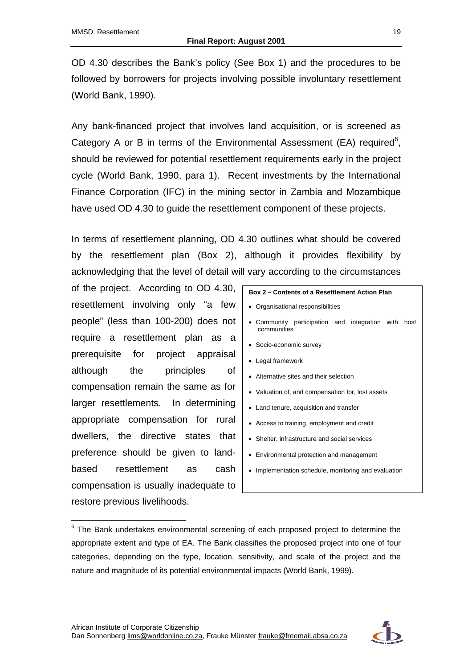OD 4.30 describes the Bank's policy (See Box 1) and the procedures to be followed by borrowers for projects involving possible involuntary resettlement (World Bank, 1990).

Any bank-financed project that involves land acquisition, or is screened as Category A or B in terms of the Environmental Assessment (EA) required $6$ , should be reviewed for potential resettlement requirements early in the project cycle (World Bank, 1990, para 1). Recent investments by the International Finance Corporation (IFC) in the mining sector in Zambia and Mozambique have used OD 4.30 to guide the resettlement component of these projects.

In terms of resettlement planning, OD 4.30 outlines what should be covered by the resettlement plan (Box 2), although it provides flexibility by acknowledging that the level of detail will vary according to the circumstances

of the project. According to OD 4.30, resettlement involving only "a few people" (less than 100-200) does not require a resettlement plan as a prerequisite for project appraisal although the principles of compensation remain the same as for larger resettlements. In determining appropriate compensation for rural dwellers, the directive states that preference should be given to landbased resettlement as cash compensation is usually inadequate to restore previous livelihoods.

 $\overline{a}$ 

| Box 2 – Contents of a Resettlement Action Plan                     |  |  |  |  |  |
|--------------------------------------------------------------------|--|--|--|--|--|
| • Organisational responsibilities                                  |  |  |  |  |  |
| • Community participation and integration with host<br>communities |  |  |  |  |  |
| • Socio-economic survey                                            |  |  |  |  |  |
| • Legal framework                                                  |  |  |  |  |  |
| • Alternative sites and their selection                            |  |  |  |  |  |
| • Valuation of, and compensation for, lost assets                  |  |  |  |  |  |

- Land tenure, acquisition and transfer
- Access to training, employment and credit
- Shelter, infrastructure and social services
- Environmental protection and management
- Implementation schedule, monitoring and evaluation



 $6$  The Bank undertakes environmental screening of each proposed project to determine the appropriate extent and type of EA. The Bank classifies the proposed project into one of four categories, depending on the type, location, sensitivity, and scale of the project and the nature and magnitude of its potential environmental impacts (World Bank, 1999).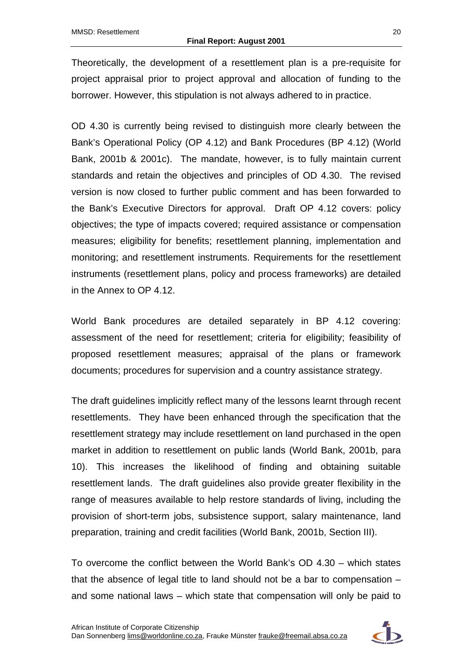Theoretically, the development of a resettlement plan is a pre-requisite for project appraisal prior to project approval and allocation of funding to the borrower. However, this stipulation is not always adhered to in practice.

OD 4.30 is currently being revised to distinguish more clearly between the Bank's Operational Policy (OP 4.12) and Bank Procedures (BP 4.12) (World Bank, 2001b & 2001c). The mandate, however, is to fully maintain current standards and retain the objectives and principles of OD 4.30. The revised version is now closed to further public comment and has been forwarded to the Bank's Executive Directors for approval. Draft OP 4.12 covers: policy objectives; the type of impacts covered; required assistance or compensation measures; eligibility for benefits; resettlement planning, implementation and monitoring; and resettlement instruments. Requirements for the resettlement instruments (resettlement plans, policy and process frameworks) are detailed in the Annex to OP 4.12.

World Bank procedures are detailed separately in BP 4.12 covering: assessment of the need for resettlement; criteria for eligibility; feasibility of proposed resettlement measures; appraisal of the plans or framework documents; procedures for supervision and a country assistance strategy.

The draft guidelines implicitly reflect many of the lessons learnt through recent resettlements. They have been enhanced through the specification that the resettlement strategy may include resettlement on land purchased in the open market in addition to resettlement on public lands (World Bank, 2001b, para 10). This increases the likelihood of finding and obtaining suitable resettlement lands. The draft guidelines also provide greater flexibility in the range of measures available to help restore standards of living, including the provision of short-term jobs, subsistence support, salary maintenance, land preparation, training and credit facilities (World Bank, 2001b, Section III).

To overcome the conflict between the World Bank's OD 4.30 – which states that the absence of legal title to land should not be a bar to compensation – and some national laws – which state that compensation will only be paid to

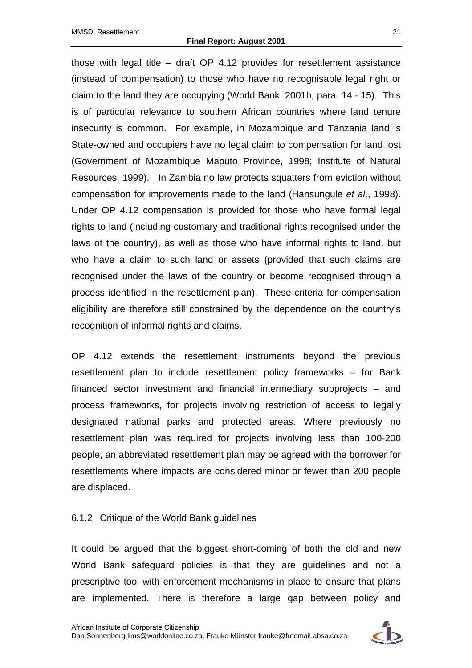those with legal title – draft OP 4.12 provides for resettlement assistance (instead of compensation) to those who have no recognisable legal right or claim to the land they are occupying (World Bank, 2001b, para. 14 - 15). This is of particular relevance to southern African countries where land tenure insecurity is common. For example, in Mozambique and Tanzania land is State-owned and occupiers have no legal claim to compensation for land lost (Government of Mozambique Maputo Province, 1998; Institute of Natural Resources, 1999). In Zambia no law protects squatters from eviction without compensation for improvements made to the land (Hansungule *et al*., 1998). Under OP 4.12 compensation is provided for those who have formal legal rights to land (including customary and traditional rights recognised under the laws of the country), as well as those who have informal rights to land, but who have a claim to such land or assets (provided that such claims are recognised under the laws of the country or become recognised through a process identified in the resettlement plan). These criteria for compensation eligibility are therefore still constrained by the dependence on the country's recognition of informal rights and claims.

OP 4.12 extends the resettlement instruments beyond the previous resettlement plan to include resettlement policy frameworks – for Bank financed sector investment and financial intermediary subprojects – and process frameworks, for projects involving restriction of access to legally designated national parks and protected areas. Where previously no resettlement plan was required for projects involving less than 100-200 people, an abbreviated resettlement plan may be agreed with the borrower for resettlements where impacts are considered minor or fewer than 200 people are displaced.

#### <span id="page-31-0"></span>6.1.2 Critique of the World Bank guidelines

It could be argued that the biggest short-coming of both the old and new World Bank safeguard policies is that they are guidelines and not a prescriptive tool with enforcement mechanisms in place to ensure that plans are implemented. There is therefore a large gap between policy and

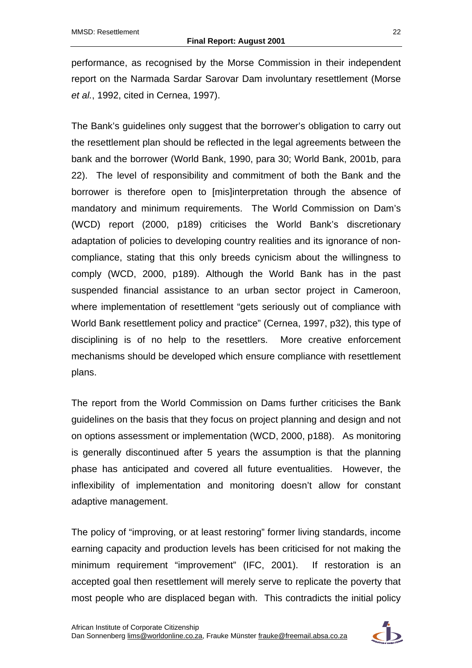performance, as recognised by the Morse Commission in their independent report on the Narmada Sardar Sarovar Dam involuntary resettlement (Morse *et al.*, 1992, cited in Cernea, 1997).

The Bank's guidelines only suggest that the borrower's obligation to carry out the resettlement plan should be reflected in the legal agreements between the bank and the borrower (World Bank, 1990, para 30; World Bank, 2001b, para 22). The level of responsibility and commitment of both the Bank and the borrower is therefore open to [mis]interpretation through the absence of mandatory and minimum requirements. The World Commission on Dam's (WCD) report (2000, p189) criticises the World Bank's discretionary adaptation of policies to developing country realities and its ignorance of noncompliance, stating that this only breeds cynicism about the willingness to comply (WCD, 2000, p189). Although the World Bank has in the past suspended financial assistance to an urban sector project in Cameroon, where implementation of resettlement "gets seriously out of compliance with World Bank resettlement policy and practice" (Cernea, 1997, p32), this type of disciplining is of no help to the resettlers. More creative enforcement mechanisms should be developed which ensure compliance with resettlement plans.

The report from the World Commission on Dams further criticises the Bank guidelines on the basis that they focus on project planning and design and not on options assessment or implementation (WCD, 2000, p188). As monitoring is generally discontinued after 5 years the assumption is that the planning phase has anticipated and covered all future eventualities. However, the inflexibility of implementation and monitoring doesn't allow for constant adaptive management.

The policy of "improving, or at least restoring" former living standards, income earning capacity and production levels has been criticised for not making the minimum requirement "improvement" (IFC, 2001). If restoration is an accepted goal then resettlement will merely serve to replicate the poverty that most people who are displaced began with. This contradicts the initial policy

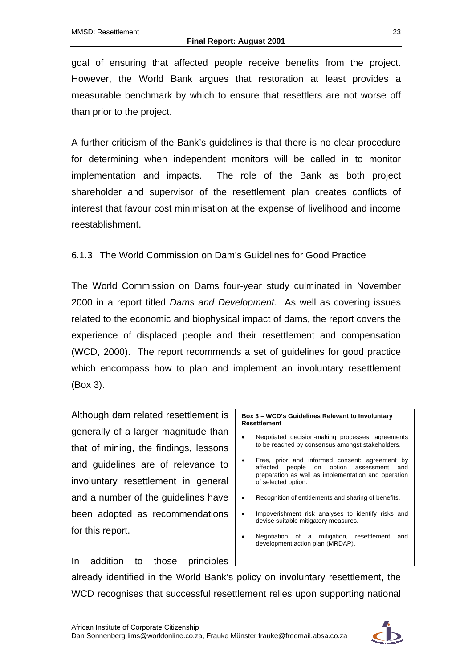goal of ensuring that affected people receive benefits from the project. However, the World Bank argues that restoration at least provides a measurable benchmark by which to ensure that resettlers are not worse off than prior to the project.

A further criticism of the Bank's guidelines is that there is no clear procedure for determining when independent monitors will be called in to monitor implementation and impacts. The role of the Bank as both project shareholder and supervisor of the resettlement plan creates conflicts of interest that favour cost minimisation at the expense of livelihood and income reestablishment.

<span id="page-33-0"></span>6.1.3 The World Commission on Dam's Guidelines for Good Practice

The World Commission on Dams four-year study culminated in November 2000 in a report titled *Dams and Development*. As well as covering issues related to the economic and biophysical impact of dams, the report covers the experience of displaced people and their resettlement and compensation (WCD, 2000). The report recommends a set of guidelines for good practice which encompass how to plan and implement an involuntary resettlement (Box 3).

Although dam related resettlement is generally of a larger magnitude than that of mining, the findings, lessons and guidelines are of relevance to involuntary resettlement in general and a number of the guidelines have been adopted as recommendations for this report.

In addition to those principles

**Box 3 – WCD's Guidelines Relevant to Involuntary Resettlement** 

- Negotiated decision-making processes: agreements to be reached by consensus amongst stakeholders.
- Free, prior and informed consent: agreement by affected people on option assessment and preparation as well as implementation and operation of selected option.
- Recognition of entitlements and sharing of benefits.
- Impoverishment risk analyses to identify risks and devise suitable mitigatory measures.
- Negotiation of a mitigation, resettlement and development action plan (MRDAP).

already identified in the World Bank's policy on involuntary resettlement, the WCD recognises that successful resettlement relies upon supporting national

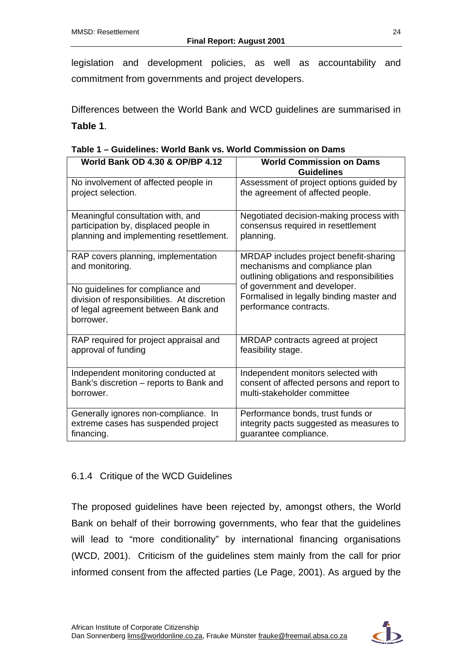legislation and development policies, as well as accountability and commitment from governments and project developers.

Differences between the World Bank and WCD guidelines are summarised in **Table 1**.

<span id="page-34-1"></span>

|  |  | Table 1 – Guidelines: World Bank vs. World Commission on Dams |  |
|--|--|---------------------------------------------------------------|--|
|  |  |                                                               |  |

| <b>World Bank OD 4.30 &amp; OP/BP 4.12</b>                                                                                          | <b>World Commission on Dams</b><br><b>Guidelines</b>                                                                   |  |  |
|-------------------------------------------------------------------------------------------------------------------------------------|------------------------------------------------------------------------------------------------------------------------|--|--|
| No involvement of affected people in                                                                                                | Assessment of project options guided by                                                                                |  |  |
| project selection.                                                                                                                  | the agreement of affected people.                                                                                      |  |  |
| Meaningful consultation with, and                                                                                                   | Negotiated decision-making process with                                                                                |  |  |
| participation by, displaced people in                                                                                               | consensus required in resettlement                                                                                     |  |  |
| planning and implementing resettlement.                                                                                             | planning.                                                                                                              |  |  |
| RAP covers planning, implementation<br>and monitoring.                                                                              | MRDAP includes project benefit-sharing<br>mechanisms and compliance plan<br>outlining obligations and responsibilities |  |  |
| No guidelines for compliance and<br>division of responsibilities. At discretion<br>of legal agreement between Bank and<br>borrower. | of government and developer.<br>Formalised in legally binding master and<br>performance contracts.                     |  |  |
| RAP required for project appraisal and                                                                                              | MRDAP contracts agreed at project                                                                                      |  |  |
| approval of funding                                                                                                                 | feasibility stage.                                                                                                     |  |  |
| Independent monitoring conducted at                                                                                                 | Independent monitors selected with                                                                                     |  |  |
| Bank's discretion - reports to Bank and                                                                                             | consent of affected persons and report to                                                                              |  |  |
| borrower.                                                                                                                           | multi-stakeholder committee                                                                                            |  |  |
| Generally ignores non-compliance. In                                                                                                | Performance bonds, trust funds or                                                                                      |  |  |
| extreme cases has suspended project                                                                                                 | integrity pacts suggested as measures to                                                                               |  |  |
| financing.                                                                                                                          | guarantee compliance.                                                                                                  |  |  |

#### <span id="page-34-0"></span>6.1.4 Critique of the WCD Guidelines

The proposed guidelines have been rejected by, amongst others, the World Bank on behalf of their borrowing governments, who fear that the guidelines will lead to "more conditionality" by international financing organisations (WCD, 2001). Criticism of the guidelines stem mainly from the call for prior informed consent from the affected parties (Le Page, 2001). As argued by the

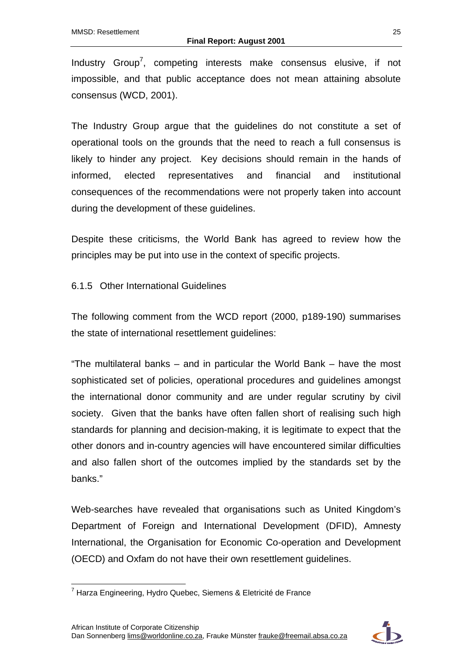Industry Group<sup>7</sup>, competing interests make consensus elusive, if not impossible, and that public acceptance does not mean attaining absolute consensus (WCD, 2001).

The Industry Group argue that the guidelines do not constitute a set of operational tools on the grounds that the need to reach a full consensus is likely to hinder any project. Key decisions should remain in the hands of informed, elected representatives and financial and institutional consequences of the recommendations were not properly taken into account during the development of these guidelines.

Despite these criticisms, the World Bank has agreed to review how the principles may be put into use in the context of specific projects.

#### <span id="page-35-0"></span>6.1.5 Other International Guidelines

The following comment from the WCD report (2000, p189-190) summarises the state of international resettlement guidelines:

"The multilateral banks – and in particular the World Bank – have the most sophisticated set of policies, operational procedures and guidelines amongst the international donor community and are under regular scrutiny by civil society. Given that the banks have often fallen short of realising such high standards for planning and decision-making, it is legitimate to expect that the other donors and in-country agencies will have encountered similar difficulties and also fallen short of the outcomes implied by the standards set by the banks."

Web-searches have revealed that organisations such as United Kingdom's Department of Foreign and International Development (DFID), Amnesty International, the Organisation for Economic Co-operation and Development (OECD) and Oxfam do not have their own resettlement guidelines.

 $\overline{a}$ <sup>7</sup> Harza Engineering, Hydro Quebec, Siemens & Eletricité de France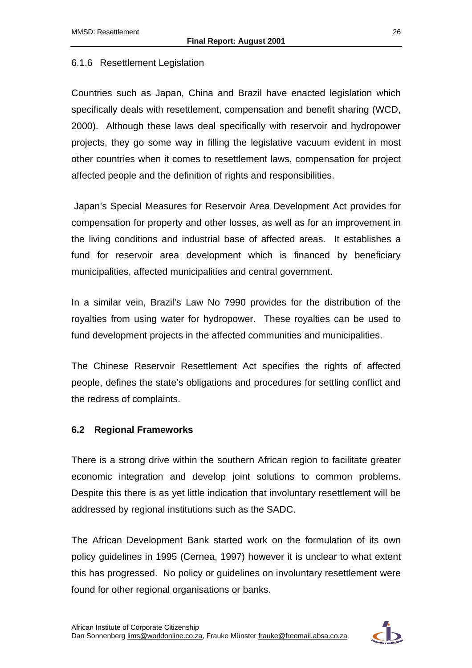#### 6.1.6 Resettlement Legislation

Countries such as Japan, China and Brazil have enacted legislation which specifically deals with resettlement, compensation and benefit sharing (WCD, 2000). Although these laws deal specifically with reservoir and hydropower projects, they go some way in filling the legislative vacuum evident in most other countries when it comes to resettlement laws, compensation for project affected people and the definition of rights and responsibilities.

 Japan's Special Measures for Reservoir Area Development Act provides for compensation for property and other losses, as well as for an improvement in the living conditions and industrial base of affected areas. It establishes a fund for reservoir area development which is financed by beneficiary municipalities, affected municipalities and central government.

In a similar vein, Brazil's Law No 7990 provides for the distribution of the royalties from using water for hydropower. These royalties can be used to fund development projects in the affected communities and municipalities.

The Chinese Reservoir Resettlement Act specifies the rights of affected people, defines the state's obligations and procedures for settling conflict and the redress of complaints.

#### **6.2 Regional Frameworks**

There is a strong drive within the southern African region to facilitate greater economic integration and develop joint solutions to common problems. Despite this there is as yet little indication that involuntary resettlement will be addressed by regional institutions such as the SADC.

The African Development Bank started work on the formulation of its own policy guidelines in 1995 (Cernea, 1997) however it is unclear to what extent this has progressed. No policy or guidelines on involuntary resettlement were found for other regional organisations or banks.

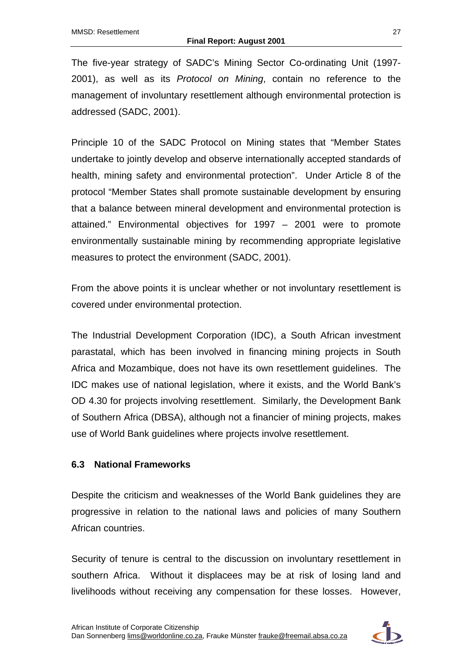The five-year strategy of SADC's Mining Sector Co-ordinating Unit (1997- 2001), as well as its *Protocol on Mining*, contain no reference to the management of involuntary resettlement although environmental protection is addressed (SADC, 2001).

Principle 10 of the SADC Protocol on Mining states that "Member States undertake to jointly develop and observe internationally accepted standards of health, mining safety and environmental protection". Under Article 8 of the protocol "Member States shall promote sustainable development by ensuring that a balance between mineral development and environmental protection is attained." Environmental objectives for 1997 – 2001 were to promote environmentally sustainable mining by recommending appropriate legislative measures to protect the environment (SADC, 2001).

From the above points it is unclear whether or not involuntary resettlement is covered under environmental protection.

The Industrial Development Corporation (IDC), a South African investment parastatal, which has been involved in financing mining projects in South Africa and Mozambique, does not have its own resettlement guidelines. The IDC makes use of national legislation, where it exists, and the World Bank's OD 4.30 for projects involving resettlement. Similarly, the Development Bank of Southern Africa (DBSA), although not a financier of mining projects, makes use of World Bank guidelines where projects involve resettlement.

#### **6.3 National Frameworks**

Despite the criticism and weaknesses of the World Bank guidelines they are progressive in relation to the national laws and policies of many Southern African countries.

Security of tenure is central to the discussion on involuntary resettlement in southern Africa. Without it displacees may be at risk of losing land and livelihoods without receiving any compensation for these losses. However,

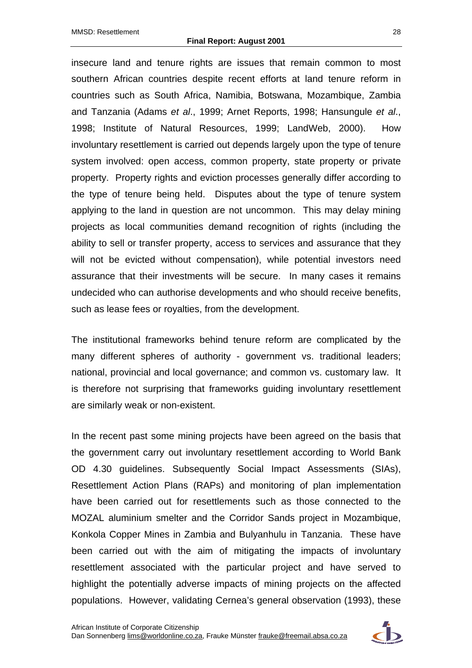insecure land and tenure rights are issues that remain common to most southern African countries despite recent efforts at land tenure reform in countries such as South Africa, Namibia, Botswana, Mozambique, Zambia and Tanzania (Adams *et al*., 1999; Arnet Reports, 1998; Hansungule *et al*., 1998; Institute of Natural Resources, 1999; LandWeb, 2000). How involuntary resettlement is carried out depends largely upon the type of tenure system involved: open access, common property, state property or private property. Property rights and eviction processes generally differ according to the type of tenure being held. Disputes about the type of tenure system applying to the land in question are not uncommon. This may delay mining projects as local communities demand recognition of rights (including the ability to sell or transfer property, access to services and assurance that they will not be evicted without compensation), while potential investors need assurance that their investments will be secure. In many cases it remains undecided who can authorise developments and who should receive benefits, such as lease fees or royalties, from the development.

The institutional frameworks behind tenure reform are complicated by the many different spheres of authority - government vs. traditional leaders; national, provincial and local governance; and common vs. customary law. It is therefore not surprising that frameworks guiding involuntary resettlement are similarly weak or non-existent.

In the recent past some mining projects have been agreed on the basis that the government carry out involuntary resettlement according to World Bank OD 4.30 guidelines. Subsequently Social Impact Assessments (SIAs), Resettlement Action Plans (RAPs) and monitoring of plan implementation have been carried out for resettlements such as those connected to the MOZAL aluminium smelter and the Corridor Sands project in Mozambique, Konkola Copper Mines in Zambia and Bulyanhulu in Tanzania. These have been carried out with the aim of mitigating the impacts of involuntary resettlement associated with the particular project and have served to highlight the potentially adverse impacts of mining projects on the affected populations. However, validating Cernea's general observation (1993), these

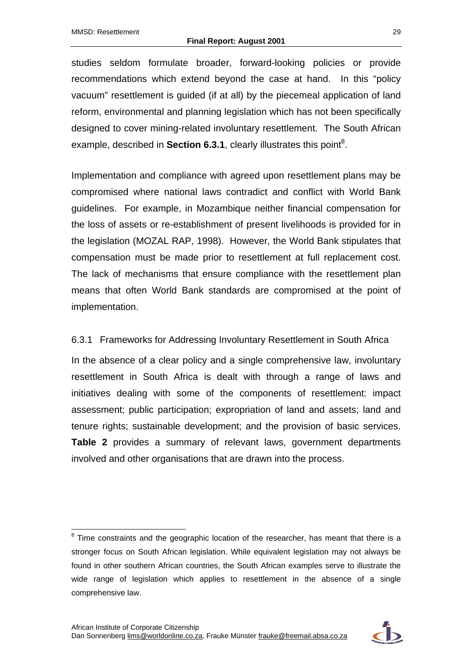studies seldom formulate broader, forward-looking policies or provide recommendations which extend beyond the case at hand. In this "policy vacuum" resettlement is guided (if at all) by the piecemeal application of land reform, environmental and planning legislation which has not been specifically designed to cover mining-related involuntary resettlement. The South African example, described in **Section 6.3.1**, clearly illustrates this point<sup>8</sup>.

Implementation and compliance with agreed upon resettlement plans may be compromised where national laws contradict and conflict with World Bank guidelines. For example, in Mozambique neither financial compensation for the loss of assets or re-establishment of present livelihoods is provided for in the legislation (MOZAL RAP, 1998). However, the World Bank stipulates that compensation must be made prior to resettlement at full replacement cost. The lack of mechanisms that ensure compliance with the resettlement plan means that often World Bank standards are compromised at the point of implementation.

#### 6.3.1 Frameworks for Addressing Involuntary Resettlement in South Africa

In the absence of a clear policy and a single comprehensive law, involuntary resettlement in South Africa is dealt with through a range of laws and initiatives dealing with some of the components of resettlement: impact assessment; public participation; expropriation of land and assets; land and tenure rights; sustainable development; and the provision of basic services. **Table 2** provides a summary of relevant laws, government departments involved and other organisations that are drawn into the process.



 $\overline{a}$  $8$  Time constraints and the geographic location of the researcher, has meant that there is a stronger focus on South African legislation. While equivalent legislation may not always be found in other southern African countries, the South African examples serve to illustrate the wide range of legislation which applies to resettlement in the absence of a single comprehensive law.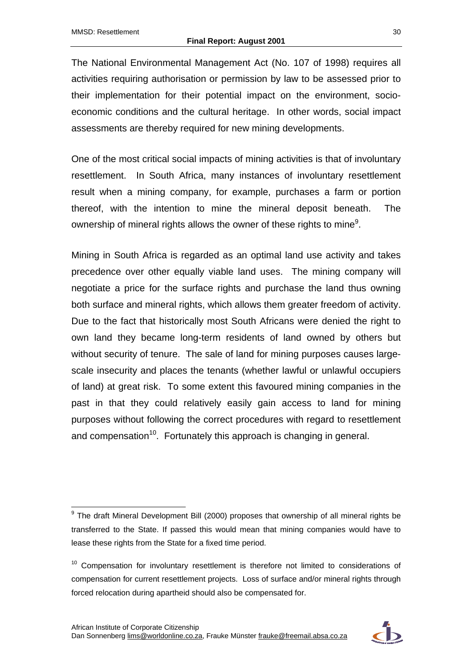The National Environmental Management Act (No. 107 of 1998) requires all activities requiring authorisation or permission by law to be assessed prior to their implementation for their potential impact on the environment, socioeconomic conditions and the cultural heritage. In other words, social impact assessments are thereby required for new mining developments.

One of the most critical social impacts of mining activities is that of involuntary resettlement. In South Africa, many instances of involuntary resettlement result when a mining company, for example, purchases a farm or portion thereof, with the intention to mine the mineral deposit beneath. The ownership of mineral rights allows the owner of these rights to mine<sup>9</sup>.

Mining in South Africa is regarded as an optimal land use activity and takes precedence over other equally viable land uses. The mining company will negotiate a price for the surface rights and purchase the land thus owning both surface and mineral rights, which allows them greater freedom of activity. Due to the fact that historically most South Africans were denied the right to own land they became long-term residents of land owned by others but without security of tenure. The sale of land for mining purposes causes largescale insecurity and places the tenants (whether lawful or unlawful occupiers of land) at great risk. To some extent this favoured mining companies in the past in that they could relatively easily gain access to land for mining purposes without following the correct procedures with regard to resettlement and compensation<sup>10</sup>. Fortunately this approach is changing in general.



 $\overline{a}$ <sup>9</sup> The draft Mineral Development Bill (2000) proposes that ownership of all mineral rights be transferred to the State. If passed this would mean that mining companies would have to lease these rights from the State for a fixed time period.

 $10$  Compensation for involuntary resettlement is therefore not limited to considerations of compensation for current resettlement projects. Loss of surface and/or mineral rights through forced relocation during apartheid should also be compensated for.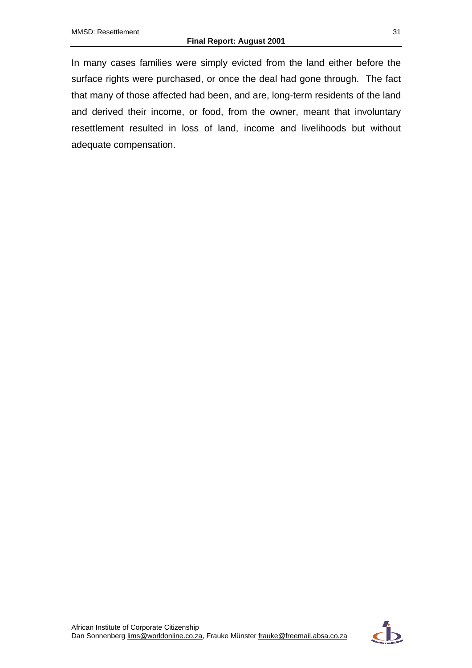In many cases families were simply evicted from the land either before the surface rights were purchased, or once the deal had gone through. The fact that many of those affected had been, and are, long-term residents of the land and derived their income, or food, from the owner, meant that involuntary resettlement resulted in loss of land, income and livelihoods but without adequate compensation.

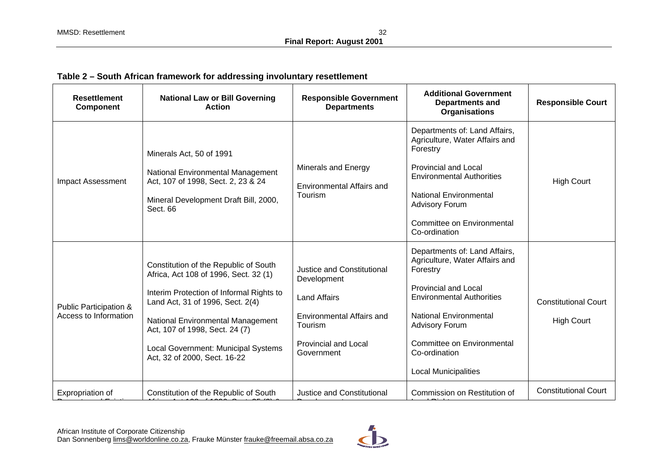| Table 2 – South African framework for addressing involuntary resettlement |  |  |  |  |  |
|---------------------------------------------------------------------------|--|--|--|--|--|
|---------------------------------------------------------------------------|--|--|--|--|--|

| <b>Resettlement</b><br><b>Component</b>         | <b>National Law or Bill Governing</b><br><b>Action</b>                                                                                                                                                                                                                                                              | <b>Responsible Government</b><br><b>Departments</b>                                                                                                          | <b>Additional Government</b><br><b>Departments and</b><br><b>Organisations</b>                                                                                                                                                                                                         | <b>Responsible Court</b>                         |
|-------------------------------------------------|---------------------------------------------------------------------------------------------------------------------------------------------------------------------------------------------------------------------------------------------------------------------------------------------------------------------|--------------------------------------------------------------------------------------------------------------------------------------------------------------|----------------------------------------------------------------------------------------------------------------------------------------------------------------------------------------------------------------------------------------------------------------------------------------|--------------------------------------------------|
| <b>Impact Assessment</b>                        | Minerals Act, 50 of 1991<br><b>National Environmental Management</b><br>Act, 107 of 1998, Sect. 2, 23 & 24<br>Mineral Development Draft Bill, 2000,<br>Sect. 66                                                                                                                                                     | Minerals and Energy<br><b>Environmental Affairs and</b><br>Tourism                                                                                           | Departments of: Land Affairs,<br>Agriculture, Water Affairs and<br>Forestry<br><b>Provincial and Local</b><br><b>Environmental Authorities</b><br><b>National Environmental</b><br><b>Advisory Forum</b><br>Committee on Environmental<br>Co-ordination                                | <b>High Court</b>                                |
| Public Participation &<br>Access to Information | Constitution of the Republic of South<br>Africa, Act 108 of 1996, Sect. 32 (1)<br>Interim Protection of Informal Rights to<br>Land Act, 31 of 1996, Sect. 2(4)<br><b>National Environmental Management</b><br>Act, 107 of 1998, Sect. 24 (7)<br>Local Government: Municipal Systems<br>Act, 32 of 2000, Sect. 16-22 | <b>Justice and Constitutional</b><br>Development<br><b>Land Affairs</b><br>Environmental Affairs and<br>Tourism<br><b>Provincial and Local</b><br>Government | Departments of: Land Affairs,<br>Agriculture, Water Affairs and<br>Forestry<br><b>Provincial and Local</b><br><b>Environmental Authorities</b><br><b>National Environmental</b><br><b>Advisory Forum</b><br>Committee on Environmental<br>Co-ordination<br><b>Local Municipalities</b> | <b>Constitutional Court</b><br><b>High Court</b> |
| Expropriation of                                | Constitution of the Republic of South                                                                                                                                                                                                                                                                               | Justice and Constitutional                                                                                                                                   | Commission on Restitution of                                                                                                                                                                                                                                                           | <b>Constitutional Court</b>                      |

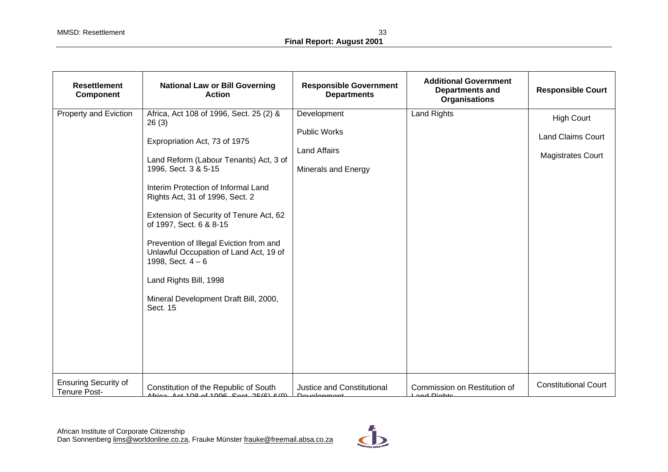| <b>Resettlement</b><br><b>Component</b>            | <b>National Law or Bill Governing</b><br><b>Action</b>                                                                                                                                                                                                                                                                                                                                                                                                                                         | <b>Responsible Government</b><br><b>Departments</b>                              | <b>Additional Government</b><br><b>Departments and</b><br><b>Organisations</b> | <b>Responsible Court</b>                                                  |
|----------------------------------------------------|------------------------------------------------------------------------------------------------------------------------------------------------------------------------------------------------------------------------------------------------------------------------------------------------------------------------------------------------------------------------------------------------------------------------------------------------------------------------------------------------|----------------------------------------------------------------------------------|--------------------------------------------------------------------------------|---------------------------------------------------------------------------|
| Property and Eviction                              | Africa, Act 108 of 1996, Sect. 25 (2) &<br>26(3)<br>Expropriation Act, 73 of 1975<br>Land Reform (Labour Tenants) Act, 3 of<br>1996, Sect. 3 & 5-15<br>Interim Protection of Informal Land<br>Rights Act, 31 of 1996, Sect. 2<br>Extension of Security of Tenure Act, 62<br>of 1997, Sect. 6 & 8-15<br>Prevention of Illegal Eviction from and<br>Unlawful Occupation of Land Act, 19 of<br>1998, Sect. $4 - 6$<br>Land Rights Bill, 1998<br>Mineral Development Draft Bill, 2000,<br>Sect. 15 | Development<br><b>Public Works</b><br><b>Land Affairs</b><br>Minerals and Energy | <b>Land Rights</b>                                                             | <b>High Court</b><br><b>Land Claims Court</b><br><b>Magistrates Court</b> |
| <b>Ensuring Security of</b><br><b>Tenure Post-</b> | Constitution of the Republic of South<br>$After in A1 and A2 and A3 are the 100$                                                                                                                                                                                                                                                                                                                                                                                                               | Justice and Constitutional<br>Douglopmont                                        | Commission on Restitution of<br><u>Lond Diabto</u>                             | <b>Constitutional Court</b>                                               |

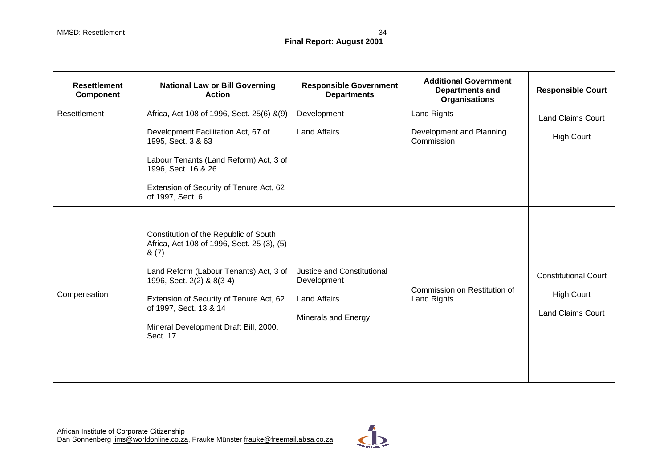| <b>Resettlement</b><br>Component | <b>National Law or Bill Governing</b><br><b>Action</b>                                                                                                                                                                                                                                        | <b>Responsible Government</b><br><b>Departments</b>                                     | <b>Additional Government</b><br><b>Departments and</b><br><b>Organisations</b> | <b>Responsible Court</b>                                                     |
|----------------------------------|-----------------------------------------------------------------------------------------------------------------------------------------------------------------------------------------------------------------------------------------------------------------------------------------------|-----------------------------------------------------------------------------------------|--------------------------------------------------------------------------------|------------------------------------------------------------------------------|
| Resettlement                     | Africa, Act 108 of 1996, Sect. 25(6) &(9)<br>Development Facilitation Act, 67 of<br>1995, Sect. 3 & 63<br>Labour Tenants (Land Reform) Act, 3 of<br>1996, Sect. 16 & 26<br>Extension of Security of Tenure Act, 62<br>of 1997, Sect. 6                                                        | Development<br><b>Land Affairs</b>                                                      | Land Rights<br>Development and Planning<br>Commission                          | <b>Land Claims Court</b><br><b>High Court</b>                                |
| Compensation                     | Constitution of the Republic of South<br>Africa, Act 108 of 1996, Sect. 25 (3), (5)<br>& (7)<br>Land Reform (Labour Tenants) Act, 3 of<br>1996, Sect. 2(2) & 8(3-4)<br>Extension of Security of Tenure Act, 62<br>of 1997, Sect. 13 & 14<br>Mineral Development Draft Bill, 2000,<br>Sect. 17 | Justice and Constitutional<br>Development<br><b>Land Affairs</b><br>Minerals and Energy | Commission on Restitution of<br>Land Rights                                    | <b>Constitutional Court</b><br><b>High Court</b><br><b>Land Claims Court</b> |

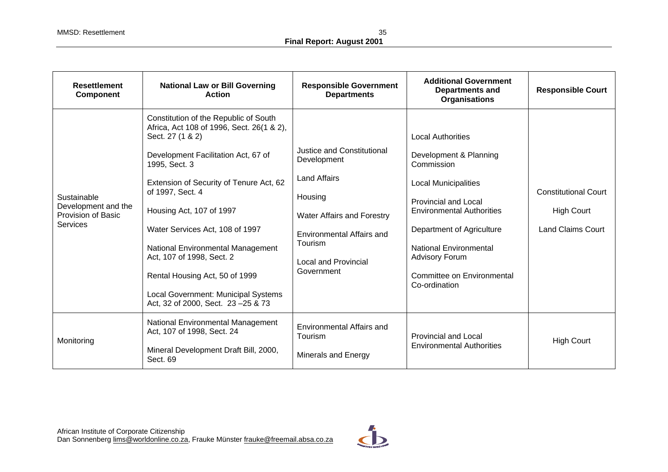| <b>Resettlement</b><br><b>Component</b>                                     | <b>National Law or Bill Governing</b><br><b>Action</b>                                                                                                                                                                                                                                                                                                                                                                                                                                | <b>Responsible Government</b><br><b>Departments</b>                                                                                                                                            | <b>Additional Government</b><br><b>Departments and</b><br><b>Organisations</b>                                                                                                                                                                                                                           | <b>Responsible Court</b>                                                     |
|-----------------------------------------------------------------------------|---------------------------------------------------------------------------------------------------------------------------------------------------------------------------------------------------------------------------------------------------------------------------------------------------------------------------------------------------------------------------------------------------------------------------------------------------------------------------------------|------------------------------------------------------------------------------------------------------------------------------------------------------------------------------------------------|----------------------------------------------------------------------------------------------------------------------------------------------------------------------------------------------------------------------------------------------------------------------------------------------------------|------------------------------------------------------------------------------|
| Sustainable<br>Development and the<br>Provision of Basic<br><b>Services</b> | Constitution of the Republic of South<br>Africa, Act 108 of 1996, Sect. 26(1 & 2),<br>Sect. 27 (1 & 2)<br>Development Facilitation Act, 67 of<br>1995, Sect. 3<br>Extension of Security of Tenure Act, 62<br>of 1997, Sect. 4<br>Housing Act, 107 of 1997<br>Water Services Act, 108 of 1997<br><b>National Environmental Management</b><br>Act, 107 of 1998, Sect. 2<br>Rental Housing Act, 50 of 1999<br>Local Government: Municipal Systems<br>Act, 32 of 2000, Sect. 23 - 25 & 73 | Justice and Constitutional<br>Development<br><b>Land Affairs</b><br>Housing<br>Water Affairs and Forestry<br>Environmental Affairs and<br>Tourism<br><b>Local and Provincial</b><br>Government | <b>Local Authorities</b><br>Development & Planning<br>Commission<br><b>Local Municipalities</b><br><b>Provincial and Local</b><br><b>Environmental Authorities</b><br>Department of Agriculture<br><b>National Environmental</b><br><b>Advisory Forum</b><br>Committee on Environmental<br>Co-ordination | <b>Constitutional Court</b><br><b>High Court</b><br><b>Land Claims Court</b> |
| Monitoring                                                                  | National Environmental Management<br>Act, 107 of 1998, Sect. 24<br>Mineral Development Draft Bill, 2000,<br>Sect. 69                                                                                                                                                                                                                                                                                                                                                                  | Environmental Affairs and<br>Tourism<br>Minerals and Energy                                                                                                                                    | <b>Provincial and Local</b><br><b>Environmental Authorities</b>                                                                                                                                                                                                                                          | <b>High Court</b>                                                            |

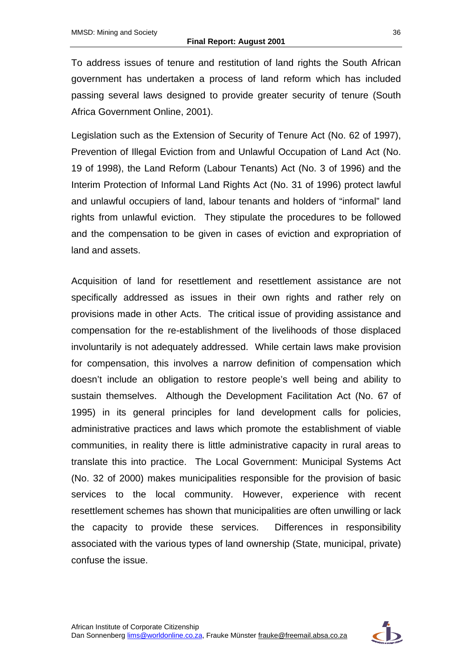To address issues of tenure and restitution of land rights the South African government has undertaken a process of land reform which has included passing several laws designed to provide greater security of tenure (South Africa Government Online, 2001).

Legislation such as the Extension of Security of Tenure Act (No. 62 of 1997), Prevention of Illegal Eviction from and Unlawful Occupation of Land Act (No. 19 of 1998), the Land Reform (Labour Tenants) Act (No. 3 of 1996) and the Interim Protection of Informal Land Rights Act (No. 31 of 1996) protect lawful and unlawful occupiers of land, labour tenants and holders of "informal" land rights from unlawful eviction. They stipulate the procedures to be followed and the compensation to be given in cases of eviction and expropriation of land and assets.

Acquisition of land for resettlement and resettlement assistance are not specifically addressed as issues in their own rights and rather rely on provisions made in other Acts. The critical issue of providing assistance and compensation for the re-establishment of the livelihoods of those displaced involuntarily is not adequately addressed. While certain laws make provision for compensation, this involves a narrow definition of compensation which doesn't include an obligation to restore people's well being and ability to sustain themselves. Although the Development Facilitation Act (No. 67 of 1995) in its general principles for land development calls for policies, administrative practices and laws which promote the establishment of viable communities, in reality there is little administrative capacity in rural areas to translate this into practice. The Local Government: Municipal Systems Act (No. 32 of 2000) makes municipalities responsible for the provision of basic services to the local community. However, experience with recent resettlement schemes has shown that municipalities are often unwilling or lack the capacity to provide these services. Differences in responsibility associated with the various types of land ownership (State, municipal, private) confuse the issue.

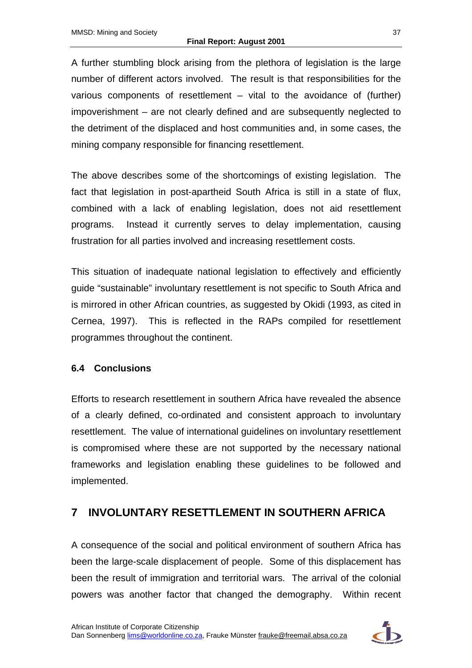A further stumbling block arising from the plethora of legislation is the large number of different actors involved. The result is that responsibilities for the various components of resettlement – vital to the avoidance of (further) impoverishment – are not clearly defined and are subsequently neglected to the detriment of the displaced and host communities and, in some cases, the mining company responsible for financing resettlement.

The above describes some of the shortcomings of existing legislation. The fact that legislation in post-apartheid South Africa is still in a state of flux, combined with a lack of enabling legislation, does not aid resettlement programs. Instead it currently serves to delay implementation, causing frustration for all parties involved and increasing resettlement costs.

This situation of inadequate national legislation to effectively and efficiently guide "sustainable" involuntary resettlement is not specific to South Africa and is mirrored in other African countries, as suggested by Okidi (1993, as cited in Cernea, 1997). This is reflected in the RAPs compiled for resettlement programmes throughout the continent.

#### **6.4 Conclusions**

Efforts to research resettlement in southern Africa have revealed the absence of a clearly defined, co-ordinated and consistent approach to involuntary resettlement. The value of international guidelines on involuntary resettlement is compromised where these are not supported by the necessary national frameworks and legislation enabling these guidelines to be followed and implemented.

## **7 INVOLUNTARY RESETTLEMENT IN SOUTHERN AFRICA**

A consequence of the social and political environment of southern Africa has been the large-scale displacement of people. Some of this displacement has been the result of immigration and territorial wars. The arrival of the colonial powers was another factor that changed the demography. Within recent

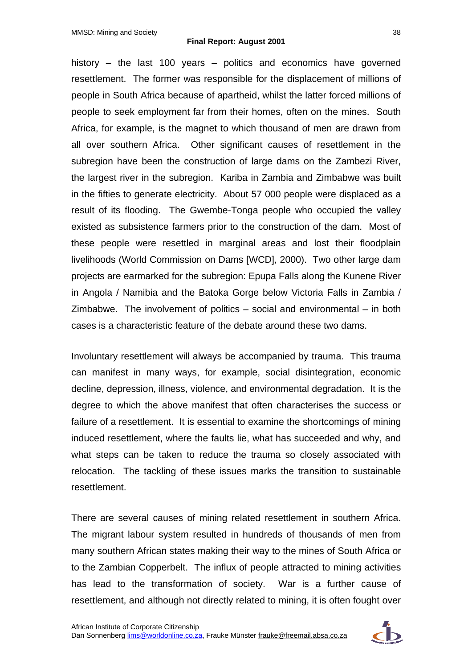history – the last 100 years – politics and economics have governed resettlement. The former was responsible for the displacement of millions of people in South Africa because of apartheid, whilst the latter forced millions of people to seek employment far from their homes, often on the mines. South Africa, for example, is the magnet to which thousand of men are drawn from all over southern Africa. Other significant causes of resettlement in the subregion have been the construction of large dams on the Zambezi River, the largest river in the subregion. Kariba in Zambia and Zimbabwe was built in the fifties to generate electricity. About 57 000 people were displaced as a result of its flooding. The Gwembe-Tonga people who occupied the valley existed as subsistence farmers prior to the construction of the dam. Most of these people were resettled in marginal areas and lost their floodplain livelihoods (World Commission on Dams [WCD], 2000). Two other large dam projects are earmarked for the subregion: Epupa Falls along the Kunene River in Angola / Namibia and the Batoka Gorge below Victoria Falls in Zambia / Zimbabwe. The involvement of politics – social and environmental – in both cases is a characteristic feature of the debate around these two dams.

Involuntary resettlement will always be accompanied by trauma. This trauma can manifest in many ways, for example, social disintegration, economic decline, depression, illness, violence, and environmental degradation. It is the degree to which the above manifest that often characterises the success or failure of a resettlement. It is essential to examine the shortcomings of mining induced resettlement, where the faults lie, what has succeeded and why, and what steps can be taken to reduce the trauma so closely associated with relocation. The tackling of these issues marks the transition to sustainable resettlement.

There are several causes of mining related resettlement in southern Africa. The migrant labour system resulted in hundreds of thousands of men from many southern African states making their way to the mines of South Africa or to the Zambian Copperbelt. The influx of people attracted to mining activities has lead to the transformation of society. War is a further cause of resettlement, and although not directly related to mining, it is often fought over

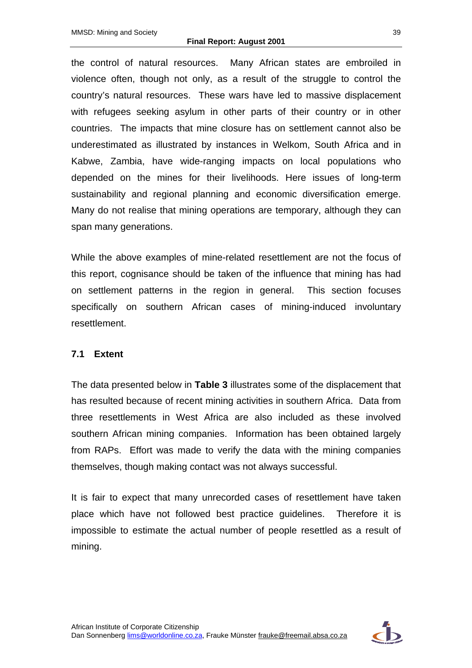the control of natural resources. Many African states are embroiled in violence often, though not only, as a result of the struggle to control the country's natural resources. These wars have led to massive displacement with refugees seeking asylum in other parts of their country or in other countries. The impacts that mine closure has on settlement cannot also be underestimated as illustrated by instances in Welkom, South Africa and in Kabwe, Zambia, have wide-ranging impacts on local populations who depended on the mines for their livelihoods. Here issues of long-term sustainability and regional planning and economic diversification emerge. Many do not realise that mining operations are temporary, although they can span many generations.

While the above examples of mine-related resettlement are not the focus of this report, cognisance should be taken of the influence that mining has had on settlement patterns in the region in general. This section focuses specifically on southern African cases of mining-induced involuntary resettlement.

#### **7.1 Extent**

The data presented below in **Table 3** illustrates some of the displacement that has resulted because of recent mining activities in southern Africa. Data from three resettlements in West Africa are also included as these involved southern African mining companies. Information has been obtained largely from RAPs. Effort was made to verify the data with the mining companies themselves, though making contact was not always successful.

It is fair to expect that many unrecorded cases of resettlement have taken place which have not followed best practice guidelines. Therefore it is impossible to estimate the actual number of people resettled as a result of mining.

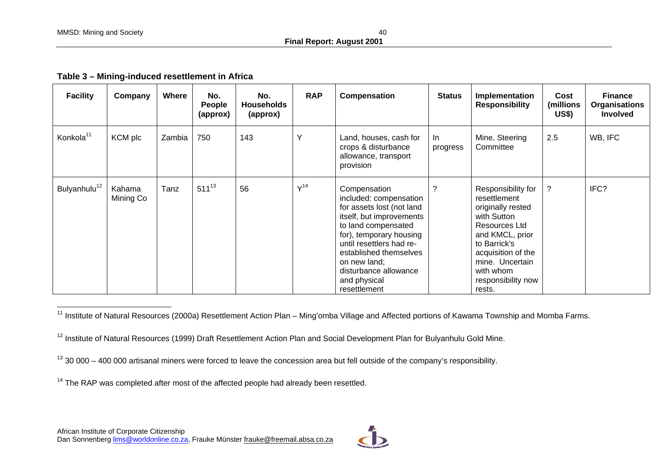| <b>Facility</b>          | Company             | Where  | No.<br>People<br>(approx) | No.<br><b>Households</b><br>(approx) | <b>RAP</b>      | Compensation                                                                                                                                                                                                                                                                     | <b>Status</b>   | Implementation<br><b>Responsibility</b>                                                                                                                                                                          | Cost<br>(millions<br><b>US\$)</b> | <b>Finance</b><br><b>Organisations</b><br><b>Involved</b> |
|--------------------------|---------------------|--------|---------------------------|--------------------------------------|-----------------|----------------------------------------------------------------------------------------------------------------------------------------------------------------------------------------------------------------------------------------------------------------------------------|-----------------|------------------------------------------------------------------------------------------------------------------------------------------------------------------------------------------------------------------|-----------------------------------|-----------------------------------------------------------|
| Konkola <sup>11</sup>    | KCM plc             | Zambia | 750                       | 143                                  | Y               | Land, houses, cash for<br>crops & disturbance<br>allowance, transport<br>provision                                                                                                                                                                                               | In.<br>progress | Mine, Steering<br>Committee                                                                                                                                                                                      | 2.5                               | WB, IFC                                                   |
| Bulyanhulu <sup>12</sup> | Kahama<br>Mining Co | Tanz   | $511^{13}$                | 56                                   | V <sup>14</sup> | Compensation<br>included: compensation<br>for assets lost (not land<br>itself, but improvements<br>to land compensated<br>for), temporary housing<br>until resettlers had re-<br>established themselves<br>on new land;<br>disturbance allowance<br>and physical<br>resettlement | $\gamma$        | Responsibility for<br>resettlement<br>originally rested<br>with Sutton<br>Resources Ltd<br>and KMCL, prior<br>to Barrick's<br>acquisition of the<br>mine. Uncertain<br>with whom<br>responsibility now<br>rests. | ?                                 | IFC?                                                      |

<sup>11</sup> Institute of Natural Resources (2000a) Resettlement Action Plan – Ming'omba Village and Affected portions of Kawama Township and Momba Farms.

<sup>12</sup> Institute of Natural Resources (1999) Draft Resettlement Action Plan and Social Development Plan for Bulyanhulu Gold Mine.

 $13$  30 000 – 400 000 artisanal miners were forced to leave the concession area but fell outside of the company's responsibility.

 $14$  The RAP was completed after most of the affected people had already been resettled.

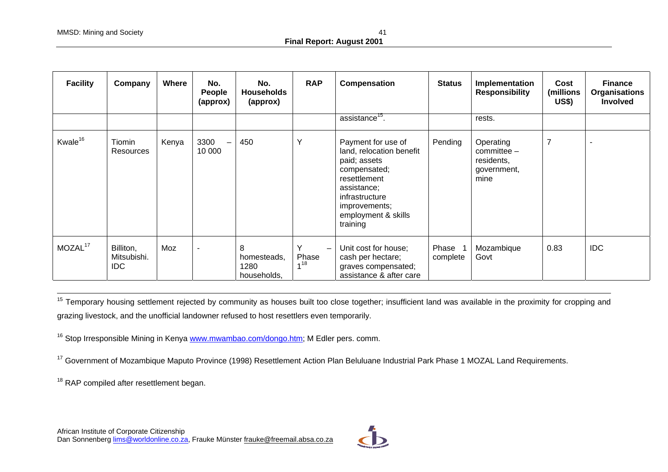| <b>Facility</b>     | Company                          | <b>Where</b> | No.<br>People<br>(approx) | No.<br><b>Households</b><br>(approx)    | <b>RAP</b>                                    | Compensation                                                                                                                                                                        | <b>Status</b>       | Implementation<br><b>Responsibility</b>                          | Cost<br>(millions<br><b>US\$)</b> | <b>Finance</b><br><b>Organisations</b><br><b>Involved</b> |
|---------------------|----------------------------------|--------------|---------------------------|-----------------------------------------|-----------------------------------------------|-------------------------------------------------------------------------------------------------------------------------------------------------------------------------------------|---------------------|------------------------------------------------------------------|-----------------------------------|-----------------------------------------------------------|
|                     |                                  |              |                           |                                         |                                               | assistance <sup>15</sup> .                                                                                                                                                          |                     | rests.                                                           |                                   |                                                           |
| Kwale <sup>16</sup> | Tiomin<br>Resources              | Kenya        | 3300<br>10 000            | 450                                     | $\checkmark$                                  | Payment for use of<br>land, relocation benefit<br>paid; assets<br>compensated;<br>resettlement<br>assistance;<br>infrastructure<br>improvements;<br>employment & skills<br>training | Pending             | Operating<br>$committeel -$<br>residents,<br>government,<br>mine | $\overline{7}$                    | $\overline{\phantom{0}}$                                  |
| MOZAL <sup>17</sup> | Billiton,<br>Mitsubishi.<br>IDC. | Moz          |                           | 8<br>homesteads,<br>1280<br>households, | Υ<br>$\overline{\phantom{a}}$<br>Phase<br>418 | Unit cost for house;<br>cash per hectare;<br>graves compensated;<br>assistance & after care                                                                                         | Phase 1<br>complete | Mozambique<br>Govt                                               | 0.83                              | <b>IDC</b>                                                |

<sup>15</sup> Temporary housing settlement rejected by community as houses built too close together; insufficient land was available in the proximity for cropping and grazing livestock, and the unofficial landowner refused to host resettlers even temporarily.

<sup>16</sup> Stop Irresponsible Mining in Kenya www.mwambao.com/dongo.htm; M Edler pers. comm.

<sup>17</sup> Government of Mozambique Maputo Province (1998) Resettlement Action Plan Beluluane Industrial Park Phase 1 MOZAL Land Requirements.

<sup>18</sup> RAP compiled after resettlement began.

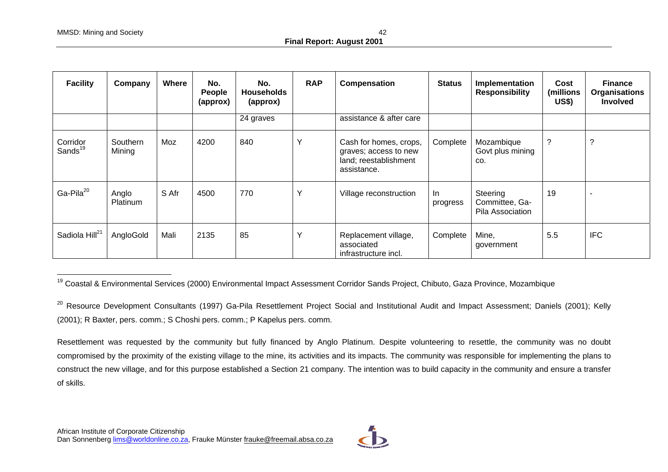| <b>Facility</b>                 | Company            | Where | No.<br>People<br>(approx) | No.<br><b>Households</b><br>(approx) | <b>RAP</b>   | Compensation                                                                            | <b>Status</b>   | Implementation<br><b>Responsibility</b>        | Cost<br>(millions<br><b>US\$)</b> | <b>Finance</b><br><b>Organisations</b><br>Involved |
|---------------------------------|--------------------|-------|---------------------------|--------------------------------------|--------------|-----------------------------------------------------------------------------------------|-----------------|------------------------------------------------|-----------------------------------|----------------------------------------------------|
|                                 |                    |       |                           | 24 graves                            |              | assistance & after care                                                                 |                 |                                                |                                   |                                                    |
| Corridor<br>Sands <sup>19</sup> | Southern<br>Mining | Moz   | 4200                      | 840                                  | $\checkmark$ | Cash for homes, crops,<br>graves; access to new<br>land; reestablishment<br>assistance. | Complete        | Mozambique<br>Govt plus mining<br>CO.          | ?                                 | C.                                                 |
| $Ga-Pila20$                     | Anglo<br>Platinum  | S Afr | 4500                      | 770                                  | $\checkmark$ | Village reconstruction                                                                  | In.<br>progress | Steering<br>Committee, Ga-<br>Pila Association | 19                                | -                                                  |
| Sadiola Hill <sup>21</sup>      | AngloGold          | Mali  | 2135                      | 85                                   | $\checkmark$ | Replacement village,<br>associated<br>infrastructure incl.                              | Complete        | Mine,<br>government                            | 5.5                               | <b>IFC</b>                                         |

<sup>19</sup> Coastal & Environmental Services (2000) Environmental Impact Assessment Corridor Sands Project, Chibuto, Gaza Province, Mozambique



<sup>&</sup>lt;sup>20</sup> Resource Development Consultants (1997) Ga-Pila Resettlement Project Social and Institutional Audit and Impact Assessment; Daniels (2001); Kelly (2001); R Baxter, pers. comm.; S Choshi pers. comm.; P Kapelus pers. comm.

Resettlement was requested by the community but fully financed by Anglo Platinum. Despite volunteering to resettle, the community was no doubt compromised by the proximity of the existing village to the mine, its activities and its impacts. The community was responsible for implementing the plans to construct the new village, and for this purpose established a Section 21 company. The intention was to build capacity in the community and ensure a transfer of skills.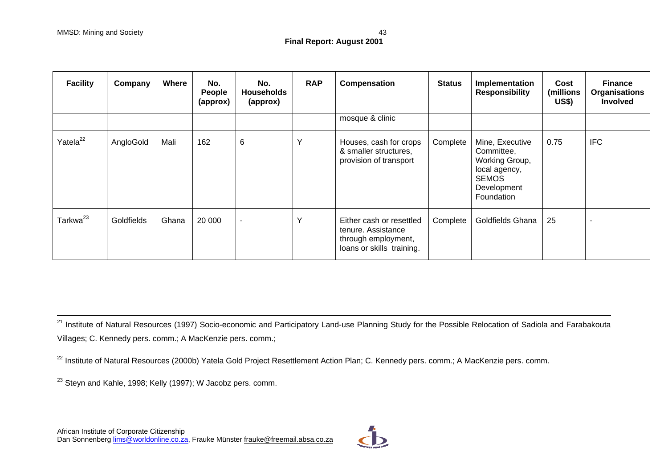| <b>Facility</b>      | Company    | <b>Where</b> | No.<br>People<br>(approx) | No.<br><b>Households</b><br>(approx) | <b>RAP</b>   | Compensation                                                                                       | <b>Status</b> | Implementation<br><b>Responsibility</b>                                                                       | Cost<br>(millions<br><b>US\$)</b> | <b>Finance</b><br><b>Organisations</b><br>Involved |
|----------------------|------------|--------------|---------------------------|--------------------------------------|--------------|----------------------------------------------------------------------------------------------------|---------------|---------------------------------------------------------------------------------------------------------------|-----------------------------------|----------------------------------------------------|
|                      |            |              |                           |                                      |              | mosque & clinic                                                                                    |               |                                                                                                               |                                   |                                                    |
| Yatela <sup>22</sup> | AngloGold  | Mali         | 162                       | 6                                    | $\checkmark$ | Houses, cash for crops<br>& smaller structures,<br>provision of transport                          | Complete      | Mine, Executive<br>Committee,<br>Working Group,<br>local agency,<br><b>SEMOS</b><br>Development<br>Foundation | 0.75                              | <b>IFC</b>                                         |
| Tarkwa <sup>23</sup> | Goldfields | Ghana        | 20 000                    | $\blacksquare$                       | $\checkmark$ | Either cash or resettled<br>tenure. Assistance<br>through employment,<br>loans or skills training. | Complete      | Goldfields Ghana                                                                                              | 25                                |                                                    |

<sup>21</sup> Institute of Natural Resources (1997) Socio-economic and Participatory Land-use Planning Study for the Possible Relocation of Sadiola and Farabakouta Villages; C. Kennedy pers. comm.; A MacKenzie pers. comm.;

<sup>22</sup> Institute of Natural Resources (2000b) Yatela Gold Project Resettlement Action Plan; C. Kennedy pers. comm.; A MacKenzie pers. comm.

<sup>23</sup> Steyn and Kahle, 1998; Kelly (1997); W Jacobz pers. comm.

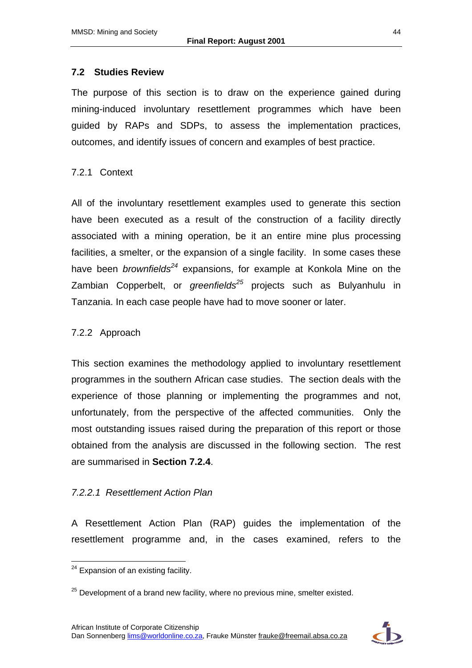#### **7.2 Studies Review**

The purpose of this section is to draw on the experience gained during mining-induced involuntary resettlement programmes which have been guided by RAPs and SDPs, to assess the implementation practices, outcomes, and identify issues of concern and examples of best practice.

#### 7.2.1 Context

All of the involuntary resettlement examples used to generate this section have been executed as a result of the construction of a facility directly associated with a mining operation, be it an entire mine plus processing facilities, a smelter, or the expansion of a single facility. In some cases these have been *brownfields<sup>24</sup>* expansions, for example at Konkola Mine on the Zambian Copperbelt, or *greenfields<sup>25</sup>* projects such as Bulyanhulu in Tanzania. In each case people have had to move sooner or later.

#### 7.2.2 Approach

This section examines the methodology applied to involuntary resettlement programmes in the southern African case studies. The section deals with the experience of those planning or implementing the programmes and not, unfortunately, from the perspective of the affected communities. Only the most outstanding issues raised during the preparation of this report or those obtained from the analysis are discussed in the following section. The rest are summarised in **Section 7.2.4**.

#### *7.2.2.1 Resettlement Action Plan*

A Resettlement Action Plan (RAP) guides the implementation of the resettlement programme and, in the cases examined, refers to the



 $\overline{a}$  $24$  Expansion of an existing facility.

 $25$  Development of a brand new facility, where no previous mine, smelter existed.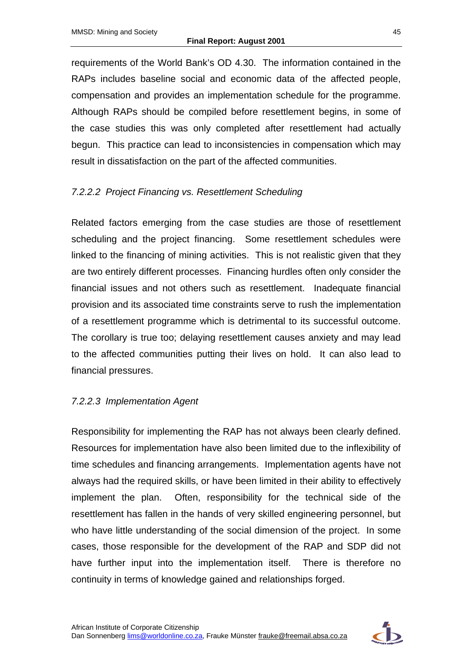requirements of the World Bank's OD 4.30. The information contained in the RAPs includes baseline social and economic data of the affected people, compensation and provides an implementation schedule for the programme. Although RAPs should be compiled before resettlement begins, in some of the case studies this was only completed after resettlement had actually begun. This practice can lead to inconsistencies in compensation which may result in dissatisfaction on the part of the affected communities.

### *7.2.2.2 Project Financing vs. Resettlement Scheduling*

Related factors emerging from the case studies are those of resettlement scheduling and the project financing. Some resettlement schedules were linked to the financing of mining activities. This is not realistic given that they are two entirely different processes. Financing hurdles often only consider the financial issues and not others such as resettlement. Inadequate financial provision and its associated time constraints serve to rush the implementation of a resettlement programme which is detrimental to its successful outcome. The corollary is true too; delaying resettlement causes anxiety and may lead to the affected communities putting their lives on hold. It can also lead to financial pressures.

#### *7.2.2.3 Implementation Agent*

Responsibility for implementing the RAP has not always been clearly defined. Resources for implementation have also been limited due to the inflexibility of time schedules and financing arrangements. Implementation agents have not always had the required skills, or have been limited in their ability to effectively implement the plan. Often, responsibility for the technical side of the resettlement has fallen in the hands of very skilled engineering personnel, but who have little understanding of the social dimension of the project. In some cases, those responsible for the development of the RAP and SDP did not have further input into the implementation itself. There is therefore no continuity in terms of knowledge gained and relationships forged.

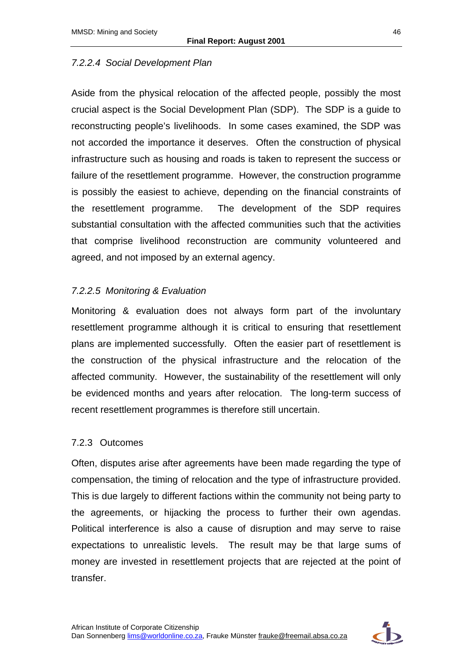## *7.2.2.4 Social Development Plan*

Aside from the physical relocation of the affected people, possibly the most crucial aspect is the Social Development Plan (SDP). The SDP is a guide to reconstructing people's livelihoods. In some cases examined, the SDP was not accorded the importance it deserves. Often the construction of physical infrastructure such as housing and roads is taken to represent the success or failure of the resettlement programme. However, the construction programme is possibly the easiest to achieve, depending on the financial constraints of the resettlement programme. The development of the SDP requires substantial consultation with the affected communities such that the activities that comprise livelihood reconstruction are community volunteered and agreed, and not imposed by an external agency.

## *7.2.2.5 Monitoring & Evaluation*

Monitoring & evaluation does not always form part of the involuntary resettlement programme although it is critical to ensuring that resettlement plans are implemented successfully. Often the easier part of resettlement is the construction of the physical infrastructure and the relocation of the affected community. However, the sustainability of the resettlement will only be evidenced months and years after relocation. The long-term success of recent resettlement programmes is therefore still uncertain.

## 7.2.3 Outcomes

Often, disputes arise after agreements have been made regarding the type of compensation, the timing of relocation and the type of infrastructure provided. This is due largely to different factions within the community not being party to the agreements, or hijacking the process to further their own agendas. Political interference is also a cause of disruption and may serve to raise expectations to unrealistic levels. The result may be that large sums of money are invested in resettlement projects that are rejected at the point of transfer.

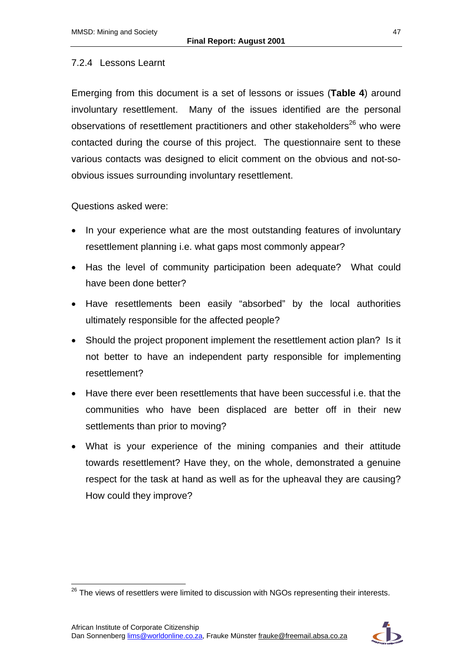### 7.2.4 Lessons Learnt

Emerging from this document is a set of lessons or issues (**Table 4**) around involuntary resettlement. Many of the issues identified are the personal observations of resettlement practitioners and other stakeholders $^{26}$  who were contacted during the course of this project. The questionnaire sent to these various contacts was designed to elicit comment on the obvious and not-soobvious issues surrounding involuntary resettlement.

### Questions asked were:

- In your experience what are the most outstanding features of involuntary resettlement planning i.e. what gaps most commonly appear?
- Has the level of community participation been adequate? What could have been done better?
- Have resettlements been easily "absorbed" by the local authorities ultimately responsible for the affected people?
- Should the project proponent implement the resettlement action plan? Is it not better to have an independent party responsible for implementing resettlement?
- Have there ever been resettlements that have been successful i.e. that the communities who have been displaced are better off in their new settlements than prior to moving?
- What is your experience of the mining companies and their attitude towards resettlement? Have they, on the whole, demonstrated a genuine respect for the task at hand as well as for the upheaval they are causing? How could they improve?



 $\overline{a}$  $^{26}$  The views of resettlers were limited to discussion with NGOs representing their interests.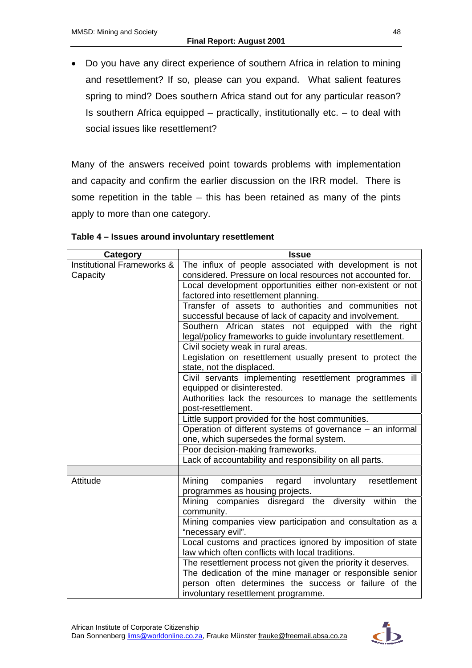• Do you have any direct experience of southern Africa in relation to mining and resettlement? If so, please can you expand. What salient features spring to mind? Does southern Africa stand out for any particular reason? Is southern Africa equipped – practically, institutionally etc. – to deal with social issues like resettlement?

Many of the answers received point towards problems with implementation and capacity and confirm the earlier discussion on the IRR model. There is some repetition in the table – this has been retained as many of the pints apply to more than one category.

| Category                              | <b>Issue</b>                                                 |
|---------------------------------------|--------------------------------------------------------------|
| <b>Institutional Frameworks &amp;</b> | The influx of people associated with development is not      |
| Capacity                              | considered. Pressure on local resources not accounted for.   |
|                                       | Local development opportunities either non-existent or not   |
|                                       | factored into resettlement planning.                         |
|                                       | Transfer of assets to authorities and communities not        |
|                                       | successful because of lack of capacity and involvement.      |
|                                       | Southern African states not equipped with the right          |
|                                       | legal/policy frameworks to guide involuntary resettlement.   |
|                                       | Civil society weak in rural areas.                           |
|                                       | Legislation on resettlement usually present to protect the   |
|                                       | state, not the displaced.                                    |
|                                       | Civil servants implementing resettlement programmes ill      |
|                                       | equipped or disinterested.                                   |
|                                       | Authorities lack the resources to manage the settlements     |
|                                       | post-resettlement.                                           |
|                                       | Little support provided for the host communities.            |
|                                       | Operation of different systems of governance – an informal   |
|                                       | one, which supersedes the formal system.                     |
|                                       | Poor decision-making frameworks.                             |
|                                       | Lack of accountability and responsibility on all parts.      |
|                                       |                                                              |
| Attitude                              | Mining<br>involuntary<br>resettlement<br>companies<br>regard |
|                                       | programmes as housing projects.                              |
|                                       | Mining companies disregard the diversity within the          |
|                                       | community.                                                   |
|                                       | Mining companies view participation and consultation as a    |
|                                       | "necessary evil".                                            |
|                                       | Local customs and practices ignored by imposition of state   |
|                                       | law which often conflicts with local traditions.             |
|                                       | The resettlement process not given the priority it deserves. |
|                                       | The dedication of the mine manager or responsible senior     |
|                                       | person often determines the success or failure of the        |
|                                       | involuntary resettlement programme.                          |

#### **Table 4 – Issues around involuntary resettlement**

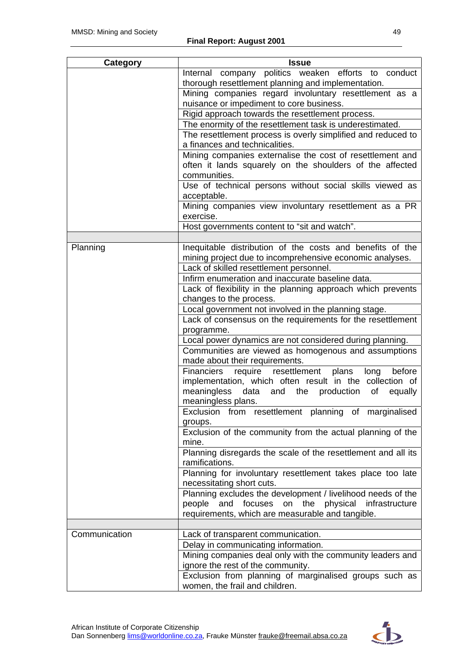| Category      | <b>Issue</b>                                                                                   |
|---------------|------------------------------------------------------------------------------------------------|
|               | Internal company politics weaken efforts to conduct                                            |
|               | thorough resettlement planning and implementation.                                             |
|               | Mining companies regard involuntary resettlement as a                                          |
|               | nuisance or impediment to core business.                                                       |
|               | Rigid approach towards the resettlement process.                                               |
|               | The enormity of the resettlement task is underestimated.                                       |
|               | The resettlement process is overly simplified and reduced to<br>a finances and technicalities. |
|               | Mining companies externalise the cost of resettlement and                                      |
|               | often it lands squarely on the shoulders of the affected                                       |
|               | communities.                                                                                   |
|               | Use of technical persons without social skills viewed as                                       |
|               | acceptable.                                                                                    |
|               | Mining companies view involuntary resettlement as a PR<br>exercise.                            |
|               | Host governments content to "sit and watch".                                                   |
|               |                                                                                                |
| Planning      | Inequitable distribution of the costs and benefits of the                                      |
|               | mining project due to incomprehensive economic analyses.                                       |
|               | Lack of skilled resettlement personnel.                                                        |
|               | Infirm enumeration and inaccurate baseline data.                                               |
|               | Lack of flexibility in the planning approach which prevents                                    |
|               | changes to the process.                                                                        |
|               | Local government not involved in the planning stage.                                           |
|               | Lack of consensus on the requirements for the resettlement                                     |
|               | programme.<br>Local power dynamics are not considered during planning.                         |
|               | Communities are viewed as homogenous and assumptions                                           |
|               | made about their requirements.                                                                 |
|               | <b>Financiers</b><br>require resettlement<br>before<br>plans<br>long                           |
|               | implementation, which often result in the collection of                                        |
|               | meaningless data and the production<br>equally<br>of                                           |
|               | meaningless plans.                                                                             |
|               | Exclusion from resettlement planning of marginalised                                           |
|               | groups.                                                                                        |
|               | Exclusion of the community from the actual planning of the                                     |
|               | mine.                                                                                          |
|               | Planning disregards the scale of the resettlement and all its                                  |
|               | ramifications.                                                                                 |
|               | Planning for involuntary resettlement takes place too late<br>necessitating short cuts.        |
|               | Planning excludes the development / livelihood needs of the                                    |
|               | people<br>and focuses<br>on the<br>physical infrastructure                                     |
|               | requirements, which are measurable and tangible.                                               |
|               |                                                                                                |
| Communication | Lack of transparent communication.                                                             |
|               | Delay in communicating information.                                                            |
|               | Mining companies deal only with the community leaders and                                      |
|               | ignore the rest of the community.                                                              |
|               | Exclusion from planning of marginalised groups such as                                         |
|               | women, the frail and children.                                                                 |

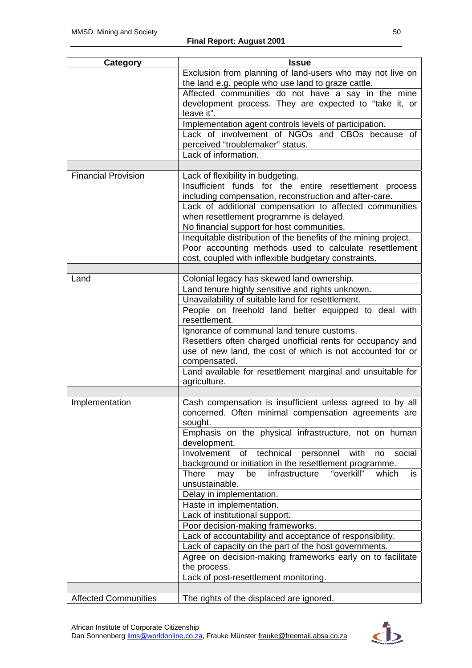| Category                    | <b>Issue</b>                                                                                                              |  |  |  |  |
|-----------------------------|---------------------------------------------------------------------------------------------------------------------------|--|--|--|--|
|                             | Exclusion from planning of land-users who may not live on<br>the land e.g. people who use land to graze cattle.           |  |  |  |  |
|                             | Affected communities do not have a say in the mine                                                                        |  |  |  |  |
|                             | development process. They are expected to "take it, or                                                                    |  |  |  |  |
|                             | leave it".                                                                                                                |  |  |  |  |
|                             | Implementation agent controls levels of participation.                                                                    |  |  |  |  |
|                             | Lack of involvement of NGOs and CBOs because of                                                                           |  |  |  |  |
|                             | perceived "troublemaker" status.                                                                                          |  |  |  |  |
|                             | Lack of information.                                                                                                      |  |  |  |  |
|                             |                                                                                                                           |  |  |  |  |
| <b>Financial Provision</b>  | Lack of flexibility in budgeting.                                                                                         |  |  |  |  |
|                             | Insufficient funds for the entire resettlement process                                                                    |  |  |  |  |
|                             | including compensation, reconstruction and after-care.                                                                    |  |  |  |  |
|                             | Lack of additional compensation to affected communities                                                                   |  |  |  |  |
|                             | when resettlement programme is delayed.                                                                                   |  |  |  |  |
|                             | No financial support for host communities.                                                                                |  |  |  |  |
|                             | Inequitable distribution of the benefits of the mining project.<br>Poor accounting methods used to calculate resettlement |  |  |  |  |
|                             | cost, coupled with inflexible budgetary constraints.                                                                      |  |  |  |  |
|                             |                                                                                                                           |  |  |  |  |
| Land                        | Colonial legacy has skewed land ownership.                                                                                |  |  |  |  |
|                             | Land tenure highly sensitive and rights unknown.                                                                          |  |  |  |  |
|                             | Unavailability of suitable land for resettlement.                                                                         |  |  |  |  |
|                             | People on freehold land better equipped to deal with                                                                      |  |  |  |  |
|                             | resettlement.                                                                                                             |  |  |  |  |
|                             | Ignorance of communal land tenure customs.                                                                                |  |  |  |  |
|                             | Resettlers often charged unofficial rents for occupancy and                                                               |  |  |  |  |
|                             | use of new land, the cost of which is not accounted for or                                                                |  |  |  |  |
|                             | compensated.                                                                                                              |  |  |  |  |
|                             | Land available for resettlement marginal and unsuitable for                                                               |  |  |  |  |
|                             | agriculture.                                                                                                              |  |  |  |  |
|                             |                                                                                                                           |  |  |  |  |
| Implementation              | Cash compensation is insufficient unless agreed to by all<br>concerned. Often minimal compensation agreements are         |  |  |  |  |
|                             | sought.                                                                                                                   |  |  |  |  |
|                             | Emphasis on the physical infrastructure, not on human                                                                     |  |  |  |  |
|                             | development.                                                                                                              |  |  |  |  |
|                             | of technical<br>Involvement<br>with<br>personnel<br>social<br>no                                                          |  |  |  |  |
|                             | background or initiation in the resettlement programme.                                                                   |  |  |  |  |
|                             | <b>There</b><br>"overkill"<br>infrastructure<br>is<br>may<br>be<br>which                                                  |  |  |  |  |
|                             | unsustainable.                                                                                                            |  |  |  |  |
|                             | Delay in implementation.                                                                                                  |  |  |  |  |
|                             | Haste in implementation.                                                                                                  |  |  |  |  |
|                             | Lack of institutional support.                                                                                            |  |  |  |  |
|                             | Poor decision-making frameworks.                                                                                          |  |  |  |  |
|                             | Lack of accountability and acceptance of responsibility.                                                                  |  |  |  |  |
|                             | Lack of capacity on the part of the host governments.                                                                     |  |  |  |  |
|                             | Agree on decision-making frameworks early on to facilitate                                                                |  |  |  |  |
|                             | the process.                                                                                                              |  |  |  |  |
|                             | Lack of post-resettlement monitoring.                                                                                     |  |  |  |  |
|                             |                                                                                                                           |  |  |  |  |
| <b>Affected Communities</b> | The rights of the displaced are ignored.                                                                                  |  |  |  |  |

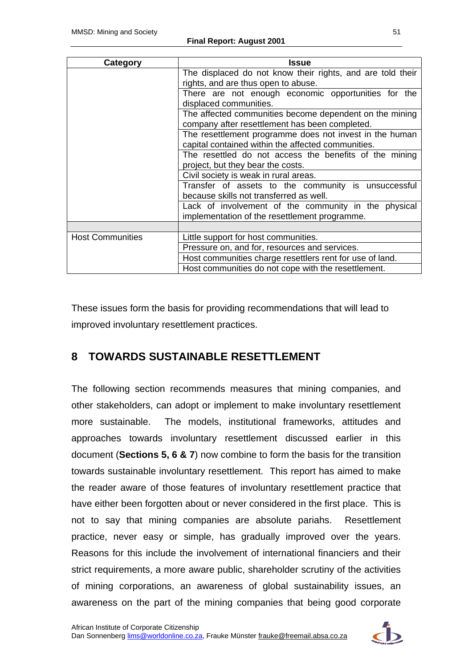| Category                | Issue                                                                                                         |  |  |  |  |  |  |
|-------------------------|---------------------------------------------------------------------------------------------------------------|--|--|--|--|--|--|
|                         | The displaced do not know their rights, and are told their<br>rights, and are thus open to abuse.             |  |  |  |  |  |  |
|                         | There are not enough economic opportunities for the<br>displaced communities.                                 |  |  |  |  |  |  |
|                         | The affected communities become dependent on the mining<br>company after resettlement has been completed.     |  |  |  |  |  |  |
|                         | The resettlement programme does not invest in the human<br>capital contained within the affected communities. |  |  |  |  |  |  |
|                         | The resettled do not access the benefits of the mining<br>project, but they bear the costs.                   |  |  |  |  |  |  |
|                         | Civil society is weak in rural areas.                                                                         |  |  |  |  |  |  |
|                         | Transfer of assets to the community is unsuccessful<br>because skills not transferred as well.                |  |  |  |  |  |  |
|                         | Lack of involvement of the community in the physical<br>implementation of the resettlement programme.         |  |  |  |  |  |  |
|                         |                                                                                                               |  |  |  |  |  |  |
| <b>Host Communities</b> | Little support for host communities.                                                                          |  |  |  |  |  |  |
|                         | Pressure on, and for, resources and services.                                                                 |  |  |  |  |  |  |
|                         | Host communities charge resettlers rent for use of land.                                                      |  |  |  |  |  |  |
|                         | Host communities do not cope with the resettlement.                                                           |  |  |  |  |  |  |

These issues form the basis for providing recommendations that will lead to improved involuntary resettlement practices.

# **8 TOWARDS SUSTAINABLE RESETTLEMENT**

The following section recommends measures that mining companies, and other stakeholders, can adopt or implement to make involuntary resettlement more sustainable. The models, institutional frameworks, attitudes and approaches towards involuntary resettlement discussed earlier in this document (**Sections 5, 6 & 7**) now combine to form the basis for the transition towards sustainable involuntary resettlement. This report has aimed to make the reader aware of those features of involuntary resettlement practice that have either been forgotten about or never considered in the first place. This is not to say that mining companies are absolute pariahs. Resettlement practice, never easy or simple, has gradually improved over the years. Reasons for this include the involvement of international financiers and their strict requirements, a more aware public, shareholder scrutiny of the activities of mining corporations, an awareness of global sustainability issues, an awareness on the part of the mining companies that being good corporate

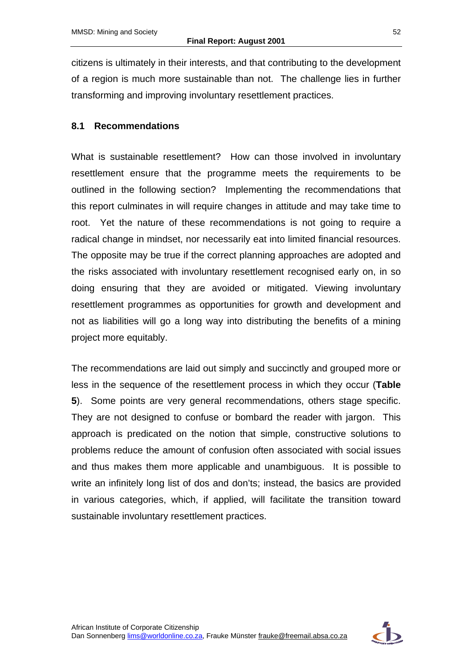citizens is ultimately in their interests, and that contributing to the development of a region is much more sustainable than not. The challenge lies in further transforming and improving involuntary resettlement practices.

#### **8.1 Recommendations**

What is sustainable resettlement? How can those involved in involuntary resettlement ensure that the programme meets the requirements to be outlined in the following section? Implementing the recommendations that this report culminates in will require changes in attitude and may take time to root. Yet the nature of these recommendations is not going to require a radical change in mindset, nor necessarily eat into limited financial resources. The opposite may be true if the correct planning approaches are adopted and the risks associated with involuntary resettlement recognised early on, in so doing ensuring that they are avoided or mitigated. Viewing involuntary resettlement programmes as opportunities for growth and development and not as liabilities will go a long way into distributing the benefits of a mining project more equitably.

The recommendations are laid out simply and succinctly and grouped more or less in the sequence of the resettlement process in which they occur (**Table 5**). Some points are very general recommendations, others stage specific. They are not designed to confuse or bombard the reader with jargon. This approach is predicated on the notion that simple, constructive solutions to problems reduce the amount of confusion often associated with social issues and thus makes them more applicable and unambiguous. It is possible to write an infinitely long list of dos and don'ts; instead, the basics are provided in various categories, which, if applied, will facilitate the transition toward sustainable involuntary resettlement practices.

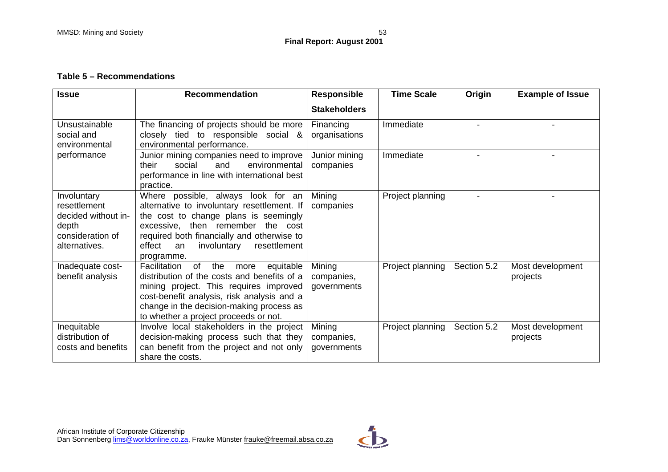#### **Table 5 – Recommendations**

| <b>Issue</b>                                                                                     | <b>Recommendation</b>                                                                                                                                                                                                                                                             | <b>Responsible</b>                  | <b>Time Scale</b> | Origin      | <b>Example of Issue</b>      |
|--------------------------------------------------------------------------------------------------|-----------------------------------------------------------------------------------------------------------------------------------------------------------------------------------------------------------------------------------------------------------------------------------|-------------------------------------|-------------------|-------------|------------------------------|
|                                                                                                  |                                                                                                                                                                                                                                                                                   | <b>Stakeholders</b>                 |                   |             |                              |
| Unsustainable<br>social and<br>environmental                                                     | The financing of projects should be more<br>closely tied to responsible social &<br>environmental performance.                                                                                                                                                                    | Financing<br>organisations          | Immediate         |             |                              |
| performance                                                                                      | Junior mining companies need to improve<br>their<br>social<br>and<br>environmental<br>performance in line with international best<br>practice.                                                                                                                                    | Junior mining<br>companies          | Immediate         |             |                              |
| Involuntary<br>resettlement<br>decided without in-<br>depth<br>consideration of<br>alternatives. | Where possible, always look for an<br>alternative to involuntary resettlement. If<br>the cost to change plans is seemingly<br>excessive, then remember the cost<br>required both financially and otherwise to<br>effect<br>resettlement<br>involuntary<br>an<br>programme.        | Mining<br>companies                 | Project planning  |             |                              |
| Inadequate cost-<br>benefit analysis                                                             | of<br><b>Facilitation</b><br>the<br>equitable<br>more<br>distribution of the costs and benefits of a<br>mining project. This requires improved<br>cost-benefit analysis, risk analysis and a<br>change in the decision-making process as<br>to whether a project proceeds or not. | Mining<br>companies,<br>governments | Project planning  | Section 5.2 | Most development<br>projects |
| Inequitable<br>distribution of<br>costs and benefits                                             | Involve local stakeholders in the project<br>decision-making process such that they<br>can benefit from the project and not only<br>share the costs.                                                                                                                              | Mining<br>companies,<br>governments | Project planning  | Section 5.2 | Most development<br>projects |

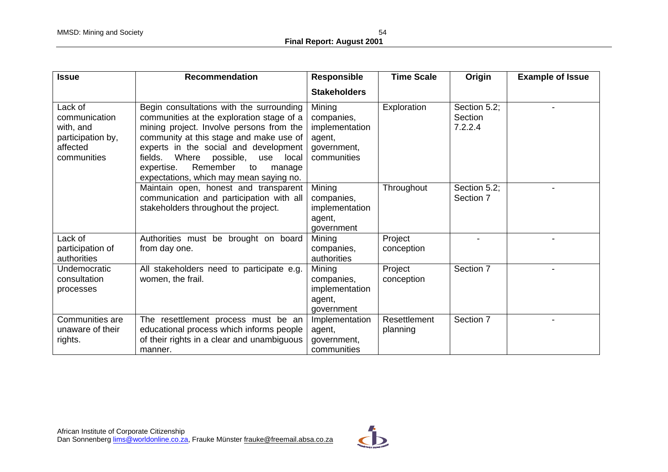| <b>Issue</b>                                                                          | <b>Recommendation</b>                                                                                                                                                                                                                                                                                                                                       | <b>Responsible</b>                                                             | <b>Time Scale</b>        | Origin                             | <b>Example of Issue</b> |
|---------------------------------------------------------------------------------------|-------------------------------------------------------------------------------------------------------------------------------------------------------------------------------------------------------------------------------------------------------------------------------------------------------------------------------------------------------------|--------------------------------------------------------------------------------|--------------------------|------------------------------------|-------------------------|
|                                                                                       |                                                                                                                                                                                                                                                                                                                                                             | <b>Stakeholders</b>                                                            |                          |                                    |                         |
| Lack of<br>communication<br>with, and<br>participation by,<br>affected<br>communities | Begin consultations with the surrounding<br>communities at the exploration stage of a<br>mining project. Involve persons from the<br>community at this stage and make use of<br>experts in the social and development<br>fields.<br>Where<br>possible,<br>local<br>use<br>expertise.<br>Remember<br>to<br>manage<br>expectations, which may mean saying no. | Mining<br>companies,<br>implementation<br>agent,<br>government,<br>communities | Exploration              | Section 5.2;<br>Section<br>7.2.2.4 |                         |
|                                                                                       | Maintain open, honest and transparent<br>communication and participation with all<br>stakeholders throughout the project.                                                                                                                                                                                                                                   | Mining<br>companies,<br>implementation<br>agent,<br>government                 | Throughout               | Section 5.2;<br>Section 7          |                         |
| Lack of<br>participation of<br>authorities                                            | Authorities must be brought on board<br>from day one.                                                                                                                                                                                                                                                                                                       | Mining<br>companies,<br>authorities                                            | Project<br>conception    |                                    |                         |
| Undemocratic<br>consultation<br>processes                                             | All stakeholders need to participate e.g.<br>women, the frail.                                                                                                                                                                                                                                                                                              | Mining<br>companies,<br>implementation<br>agent,<br>government                 | Project<br>conception    | Section 7                          |                         |
| Communities are<br>unaware of their<br>rights.                                        | The resettlement process must be an<br>educational process which informs people<br>of their rights in a clear and unambiguous<br>manner.                                                                                                                                                                                                                    | Implementation<br>agent,<br>government,<br>communities                         | Resettlement<br>planning | Section 7                          |                         |

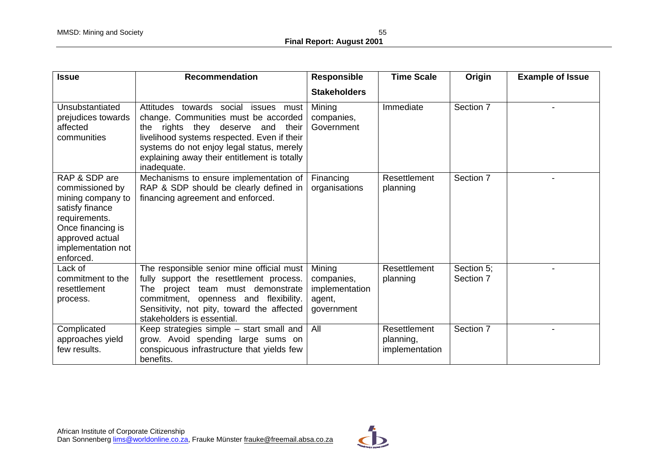| <b>Issue</b>                                                                                                                                                         | <b>Recommendation</b>                                                                                                                                                                                                                                                        | <b>Responsible</b>                                             | <b>Time Scale</b>                           | Origin                  | <b>Example of Issue</b> |
|----------------------------------------------------------------------------------------------------------------------------------------------------------------------|------------------------------------------------------------------------------------------------------------------------------------------------------------------------------------------------------------------------------------------------------------------------------|----------------------------------------------------------------|---------------------------------------------|-------------------------|-------------------------|
|                                                                                                                                                                      |                                                                                                                                                                                                                                                                              | <b>Stakeholders</b>                                            |                                             |                         |                         |
| Unsubstantiated<br>prejudices towards<br>affected<br>communities                                                                                                     | Attitudes towards social issues must<br>change. Communities must be accorded<br>the rights they deserve and their<br>livelihood systems respected. Even if their<br>systems do not enjoy legal status, merely<br>explaining away their entitlement is totally<br>inadequate. | Mining<br>companies,<br>Government                             | Immediate                                   | Section 7               |                         |
| RAP & SDP are<br>commissioned by<br>mining company to<br>satisfy finance<br>requirements.<br>Once financing is<br>approved actual<br>implementation not<br>enforced. | Mechanisms to ensure implementation of<br>RAP & SDP should be clearly defined in<br>financing agreement and enforced.                                                                                                                                                        | Financing<br>organisations                                     | Resettlement<br>planning                    | Section 7               |                         |
| Lack of<br>commitment to the<br>resettlement<br>process.                                                                                                             | The responsible senior mine official must<br>fully support the resettlement process.<br>project team must demonstrate<br>The<br>commitment, openness and flexibility.<br>Sensitivity, not pity, toward the affected<br>stakeholders is essential.                            | Mining<br>companies,<br>implementation<br>agent,<br>government | Resettlement<br>planning                    | Section 5;<br>Section 7 |                         |
| Complicated<br>approaches yield<br>few results.                                                                                                                      | Keep strategies simple – start small and<br>grow. Avoid spending large sums on<br>conspicuous infrastructure that yields few<br>benefits.                                                                                                                                    | All                                                            | Resettlement<br>planning,<br>implementation | Section 7               |                         |

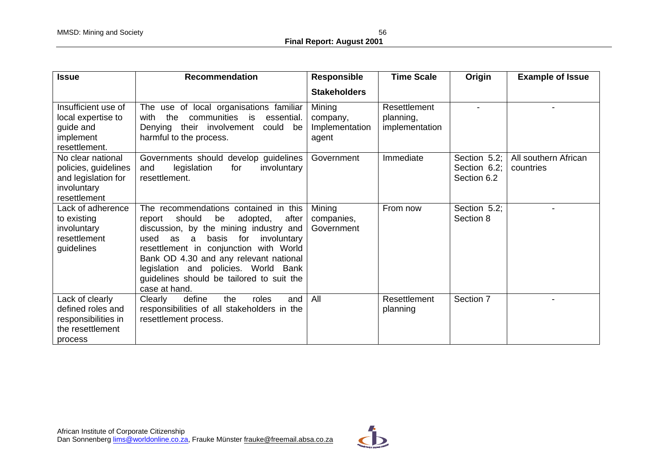| <b>Issue</b>                                                                                    | <b>Recommendation</b>                                                                                                                                                                                                                                                                                                                                                      | <b>Responsible</b>                            | <b>Time Scale</b>                           | Origin                                      | <b>Example of Issue</b>           |
|-------------------------------------------------------------------------------------------------|----------------------------------------------------------------------------------------------------------------------------------------------------------------------------------------------------------------------------------------------------------------------------------------------------------------------------------------------------------------------------|-----------------------------------------------|---------------------------------------------|---------------------------------------------|-----------------------------------|
|                                                                                                 |                                                                                                                                                                                                                                                                                                                                                                            | <b>Stakeholders</b>                           |                                             |                                             |                                   |
| Insufficient use of<br>local expertise to<br>guide and<br>implement<br>resettlement.            | The use of local organisations familiar<br>communities is<br>with<br>the<br>essential.<br>Denying their involvement<br>could be<br>harmful to the process.                                                                                                                                                                                                                 | Mining<br>company,<br>Implementation<br>agent | Resettlement<br>planning,<br>implementation |                                             |                                   |
| No clear national<br>policies, guidelines<br>and legislation for<br>involuntary<br>resettlement | Governments should develop guidelines<br>legislation<br>and<br>involuntary<br>for<br>resettlement.                                                                                                                                                                                                                                                                         | Government                                    | Immediate                                   | Section 5.2;<br>Section 6.2;<br>Section 6.2 | All southern African<br>countries |
| Lack of adherence<br>to existing<br>involuntary<br>resettlement<br>guidelines                   | The recommendations contained in this<br>should<br>be<br>report<br>adopted,<br>after<br>discussion, by the mining industry and<br>basis<br>used<br>as<br>for<br>involuntary<br>a<br>resettlement in conjunction with World<br>Bank OD 4.30 and any relevant national<br>legislation and policies. World Bank<br>guidelines should be tailored to suit the<br>case at hand. | Mining<br>companies,<br>Government            | From now                                    | Section 5.2;<br>Section 8                   |                                   |
| Lack of clearly<br>defined roles and<br>responsibilities in<br>the resettlement<br>process      | define<br>Clearly<br>the<br>roles<br>and<br>responsibilities of all stakeholders in the<br>resettlement process.                                                                                                                                                                                                                                                           | All                                           | Resettlement<br>planning                    | Section 7                                   |                                   |

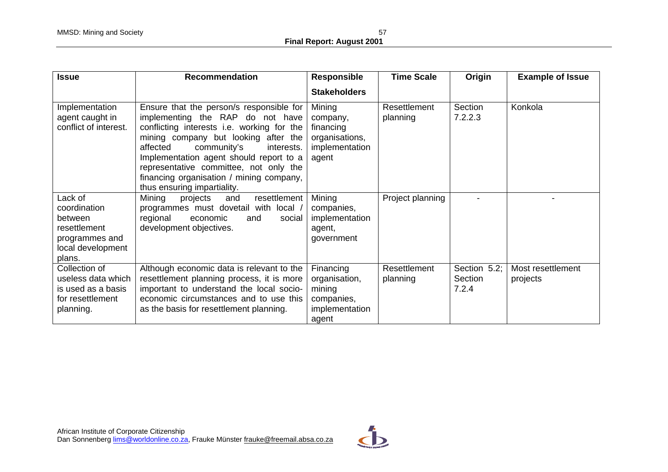| <b>Issue</b>                                                                                        | <b>Recommendation</b>                                                                                                                                                                                                                                                                                                                                                       | <b>Responsible</b>                                                            | <b>Time Scale</b>        | Origin                           | <b>Example of Issue</b>       |
|-----------------------------------------------------------------------------------------------------|-----------------------------------------------------------------------------------------------------------------------------------------------------------------------------------------------------------------------------------------------------------------------------------------------------------------------------------------------------------------------------|-------------------------------------------------------------------------------|--------------------------|----------------------------------|-------------------------------|
|                                                                                                     |                                                                                                                                                                                                                                                                                                                                                                             | <b>Stakeholders</b>                                                           |                          |                                  |                               |
| Implementation<br>agent caught in<br>conflict of interest.                                          | Ensure that the person/s responsible for<br>implementing the RAP do not have<br>conflicting interests i.e. working for the<br>mining company but looking after the<br>affected<br>community's<br>interests.<br>Implementation agent should report to a<br>representative committee, not only the<br>financing organisation / mining company,<br>thus ensuring impartiality. | Mining<br>company,<br>financing<br>organisations,<br>implementation<br>agent  | Resettlement<br>planning | Section<br>7.2.2.3               | Konkola                       |
| Lack of<br>coordination<br>between<br>resettlement<br>programmes and<br>local development<br>plans. | Mining<br>resettlement<br>projects<br>and<br>with local<br>programmes must dovetail<br>regional<br>economic<br>and<br>social<br>development objectives.                                                                                                                                                                                                                     | Mining<br>companies,<br>implementation<br>agent,<br>government                | Project planning         |                                  |                               |
| Collection of<br>useless data which<br>is used as a basis<br>for resettlement<br>planning.          | Although economic data is relevant to the<br>resettlement planning process, it is more<br>important to understand the local socio-<br>economic circumstances and to use this<br>as the basis for resettlement planning.                                                                                                                                                     | Financing<br>organisation,<br>mining<br>companies,<br>implementation<br>agent | Resettlement<br>planning | Section 5.2;<br>Section<br>7.2.4 | Most resettlement<br>projects |

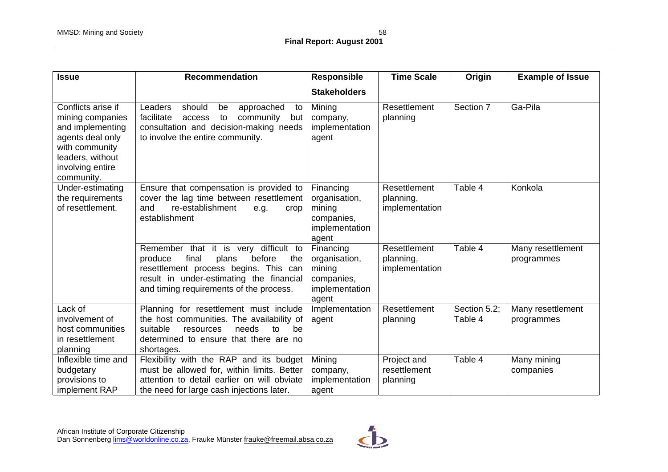| <b>Issue</b>                                                                                                                                           | <b>Recommendation</b>                                                                                                                                                                                               | <b>Responsible</b>                                                            | <b>Time Scale</b>                           | Origin                  | <b>Example of Issue</b>         |
|--------------------------------------------------------------------------------------------------------------------------------------------------------|---------------------------------------------------------------------------------------------------------------------------------------------------------------------------------------------------------------------|-------------------------------------------------------------------------------|---------------------------------------------|-------------------------|---------------------------------|
|                                                                                                                                                        |                                                                                                                                                                                                                     | <b>Stakeholders</b>                                                           |                                             |                         |                                 |
| Conflicts arise if<br>mining companies<br>and implementing<br>agents deal only<br>with community<br>leaders, without<br>involving entire<br>community. | Leaders<br>approached<br>should<br>be<br>to<br>facilitate<br>to<br>community<br>access<br>but<br>consultation and decision-making needs<br>to involve the entire community.                                         | Mining<br>company,<br>implementation<br>agent                                 | Resettlement<br>planning                    | Section 7               | Ga-Pila                         |
| Under-estimating<br>the requirements<br>of resettlement.                                                                                               | Ensure that compensation is provided to<br>cover the lag time between resettlement<br>and<br>re-establishment<br>e.g.<br>crop<br>establishment                                                                      | Financing<br>organisation,<br>mining<br>companies,<br>implementation<br>agent | Resettlement<br>planning,<br>implementation | Table 4                 | Konkola                         |
|                                                                                                                                                        | Remember that it is very difficult to<br>produce<br>final<br>plans<br>before<br>the<br>resettlement process begins. This can<br>result in under-estimating the financial<br>and timing requirements of the process. | Financing<br>organisation,<br>mining<br>companies,<br>implementation<br>agent | Resettlement<br>planning,<br>implementation | Table 4                 | Many resettlement<br>programmes |
| Lack of<br>involvement of<br>host communities<br>in resettlement<br>planning                                                                           | Planning for resettlement must include<br>the host communities. The availability of<br>suitable<br>needs<br>resources<br>to to<br>be<br>determined to ensure that there are no<br>shortages.                        | Implementation<br>agent                                                       | Resettlement<br>planning                    | Section 5.2;<br>Table 4 | Many resettlement<br>programmes |
| Inflexible time and<br>budgetary<br>provisions to<br>implement RAP                                                                                     | Flexibility with the RAP and its budget<br>must be allowed for, within limits. Better<br>attention to detail earlier on will obviate<br>the need for large cash injections later.                                   | Mining<br>company,<br>implementation<br>agent                                 | Project and<br>resettlement<br>planning     | Table 4                 | Many mining<br>companies        |

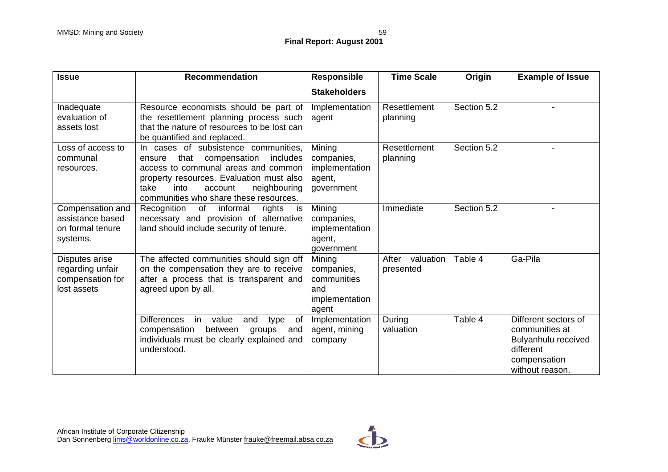| <b>Issue</b>                                                          | <b>Recommendation</b>                                                                                                                                                                                                                                      | Responsible                                                           | <b>Time Scale</b>               | Origin      | <b>Example of Issue</b>                                                                                       |
|-----------------------------------------------------------------------|------------------------------------------------------------------------------------------------------------------------------------------------------------------------------------------------------------------------------------------------------------|-----------------------------------------------------------------------|---------------------------------|-------------|---------------------------------------------------------------------------------------------------------------|
|                                                                       |                                                                                                                                                                                                                                                            | <b>Stakeholders</b>                                                   |                                 |             |                                                                                                               |
| Inadequate<br>evaluation of<br>assets lost                            | Resource economists should be part of<br>the resettlement planning process such<br>that the nature of resources to be lost can<br>be quantified and replaced.                                                                                              | Implementation<br>agent                                               | Resettlement<br>planning        | Section 5.2 |                                                                                                               |
| Loss of access to<br>communal<br>resources.                           | In cases of subsistence communities,<br>compensation<br>includes<br>that<br>ensure<br>access to communal areas and common<br>property resources. Evaluation must also<br>take<br>into<br>neighbouring<br>account<br>communities who share these resources. | Mining<br>companies,<br>implementation<br>agent,<br>government        | Resettlement<br>planning        | Section 5.2 |                                                                                                               |
| Compensation and<br>assistance based<br>on formal tenure<br>systems.  | Recognition<br>of<br>informal<br>rights<br>is<br>necessary and provision of alternative<br>land should include security of tenure.                                                                                                                         | Mining<br>companies,<br>implementation<br>agent,<br>government        | Immediate                       | Section 5.2 |                                                                                                               |
| Disputes arise<br>regarding unfair<br>compensation for<br>lost assets | The affected communities should sign off<br>on the compensation they are to receive<br>after a process that is transparent and<br>agreed upon by all.                                                                                                      | Mining<br>companies,<br>communities<br>and<br>implementation<br>agent | After<br>valuation<br>presented | Table 4     | Ga-Pila                                                                                                       |
|                                                                       | <b>Differences</b><br>in<br>value<br>and<br><b>of</b><br>type<br>between<br>compensation<br>groups<br>and<br>individuals must be clearly explained and<br>understood.                                                                                      | Implementation<br>agent, mining<br>company                            | During<br>valuation             | Table 4     | Different sectors of<br>communities at<br>Bulyanhulu received<br>different<br>compensation<br>without reason. |

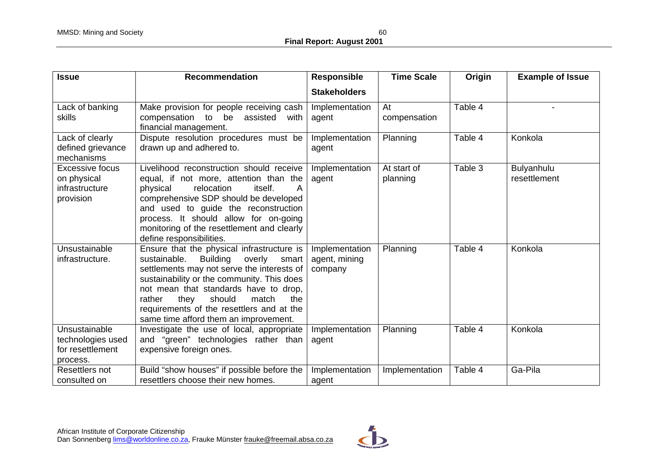| <b>Issue</b>                                                         | Recommendation                                                                                                                                                                                                                                                                                                                                                          | <b>Responsible</b>                         | <b>Time Scale</b>       | Origin  | <b>Example of Issue</b>    |
|----------------------------------------------------------------------|-------------------------------------------------------------------------------------------------------------------------------------------------------------------------------------------------------------------------------------------------------------------------------------------------------------------------------------------------------------------------|--------------------------------------------|-------------------------|---------|----------------------------|
|                                                                      |                                                                                                                                                                                                                                                                                                                                                                         | <b>Stakeholders</b>                        |                         |         |                            |
| Lack of banking<br>skills                                            | Make provision for people receiving cash<br>compensation to be<br>assisted with<br>financial management.                                                                                                                                                                                                                                                                | Implementation<br>agent                    | At<br>compensation      | Table 4 |                            |
| Lack of clearly<br>defined grievance<br>mechanisms                   | Dispute resolution procedures must be<br>drawn up and adhered to.                                                                                                                                                                                                                                                                                                       | Implementation<br>agent                    | Planning                | Table 4 | Konkola                    |
| <b>Excessive focus</b><br>on physical<br>infrastructure<br>provision | Livelihood reconstruction should receive<br>equal, if not more, attention than the<br>relocation<br>itself.<br>physical<br>A<br>comprehensive SDP should be developed<br>and used to guide the reconstruction<br>process. It should allow for on-going<br>monitoring of the resettlement and clearly<br>define responsibilities.                                        | Implementation<br>agent                    | At start of<br>planning | Table 3 | Bulyanhulu<br>resettlement |
| Unsustainable<br>infrastructure.                                     | Ensure that the physical infrastructure is<br>sustainable.<br><b>Building</b><br>overly<br>smart<br>settlements may not serve the interests of<br>sustainability or the community. This does<br>not mean that standards have to drop,<br>they<br>should<br>rather<br>match<br>the<br>requirements of the resettlers and at the<br>same time afford them an improvement. | Implementation<br>agent, mining<br>company | Planning                | Table 4 | Konkola                    |
| Unsustainable<br>technologies used<br>for resettlement<br>process.   | Investigate the use of local, appropriate<br>and "green" technologies rather than<br>expensive foreign ones.                                                                                                                                                                                                                                                            | Implementation<br>agent                    | Planning                | Table 4 | Konkola                    |
| Resettlers not<br>consulted on                                       | Build "show houses" if possible before the<br>resettlers choose their new homes.                                                                                                                                                                                                                                                                                        | Implementation<br>agent                    | Implementation          | Table 4 | Ga-Pila                    |

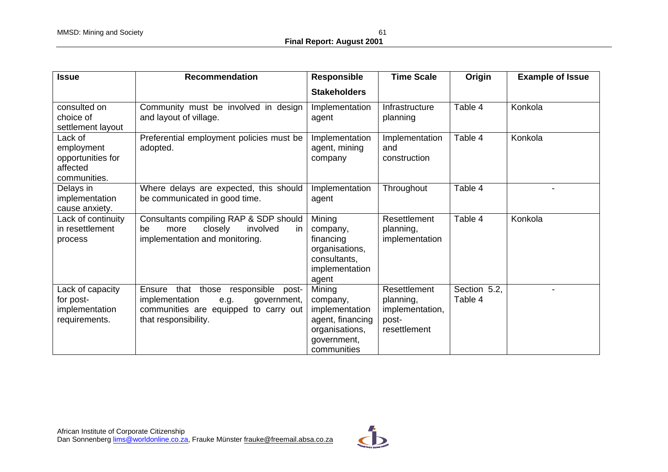| <b>Issue</b>                                                           | <b>Recommendation</b>                                                                                                                            | <b>Responsible</b>                                                                                       | <b>Time Scale</b>                                                     | Origin                  | <b>Example of Issue</b> |
|------------------------------------------------------------------------|--------------------------------------------------------------------------------------------------------------------------------------------------|----------------------------------------------------------------------------------------------------------|-----------------------------------------------------------------------|-------------------------|-------------------------|
|                                                                        |                                                                                                                                                  | <b>Stakeholders</b>                                                                                      |                                                                       |                         |                         |
| consulted on<br>choice of<br>settlement layout                         | Community must be involved in design<br>and layout of village.                                                                                   | Implementation<br>agent                                                                                  | Infrastructure<br>planning                                            | Table 4                 | Konkola                 |
| Lack of<br>employment<br>opportunities for<br>affected<br>communities. | Preferential employment policies must be<br>adopted.                                                                                             | Implementation<br>agent, mining<br>company                                                               | Implementation<br>and<br>construction                                 | Table 4                 | Konkola                 |
| Delays in<br>implementation<br>cause anxiety.                          | Where delays are expected, this should<br>be communicated in good time.                                                                          | Implementation<br>agent                                                                                  | Throughout                                                            | Table 4                 |                         |
| Lack of continuity<br>in resettlement<br>process                       | Consultants compiling RAP & SDP should<br>closely<br>involved<br>be<br>more<br>in.<br>implementation and monitoring.                             | Mining<br>company,<br>financing<br>organisations,<br>consultants,<br>implementation<br>agent             | Resettlement<br>planning,<br>implementation                           | Table 4                 | Konkola                 |
| Lack of capacity<br>for post-<br>implementation<br>requirements.       | that those responsible post-<br>Ensure<br>implementation<br>government,<br>e.g.<br>communities are equipped to carry out<br>that responsibility. | Mining<br>company,<br>implementation<br>agent, financing<br>organisations,<br>government,<br>communities | Resettlement<br>planning,<br>implementation,<br>post-<br>resettlement | Section 5.2,<br>Table 4 |                         |

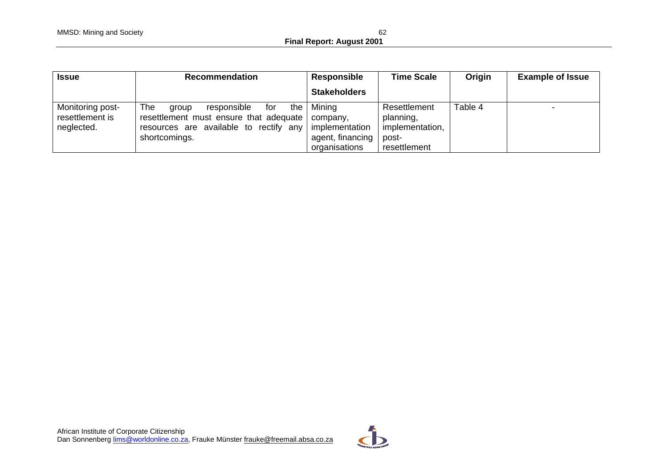| <b>Issue</b>                                      | <b>Recommendation</b>                                                                                                                                               | Responsible                                       | <b>Time Scale</b>                                                     | Origin  | <b>Example of Issue</b> |
|---------------------------------------------------|---------------------------------------------------------------------------------------------------------------------------------------------------------------------|---------------------------------------------------|-----------------------------------------------------------------------|---------|-------------------------|
|                                                   |                                                                                                                                                                     | <b>Stakeholders</b>                               |                                                                       |         |                         |
| Monitoring post-<br>resettlement is<br>neglected. | The<br>responsible<br>for<br>aroup<br>resettlement must ensure that adequate   company,<br>resources are available to rectify any   implementation<br>shortcomings. | the   Mining<br>agent, financing<br>organisations | Resettlement<br>planning,<br>implementation,<br>post-<br>resettlement | Table 4 |                         |

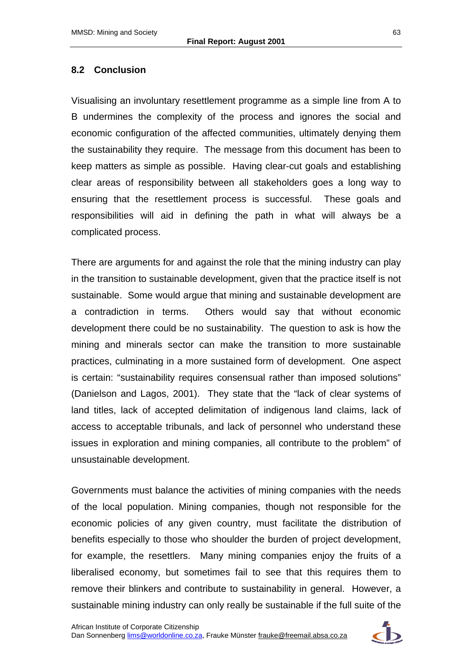### **8.2 Conclusion**

Visualising an involuntary resettlement programme as a simple line from A to B undermines the complexity of the process and ignores the social and economic configuration of the affected communities, ultimately denying them the sustainability they require. The message from this document has been to keep matters as simple as possible. Having clear-cut goals and establishing clear areas of responsibility between all stakeholders goes a long way to ensuring that the resettlement process is successful. These goals and responsibilities will aid in defining the path in what will always be a complicated process.

There are arguments for and against the role that the mining industry can play in the transition to sustainable development, given that the practice itself is not sustainable. Some would argue that mining and sustainable development are a contradiction in terms. Others would say that without economic development there could be no sustainability. The question to ask is how the mining and minerals sector can make the transition to more sustainable practices, culminating in a more sustained form of development. One aspect is certain: "sustainability requires consensual rather than imposed solutions" (Danielson and Lagos, 2001). They state that the "lack of clear systems of land titles, lack of accepted delimitation of indigenous land claims, lack of access to acceptable tribunals, and lack of personnel who understand these issues in exploration and mining companies, all contribute to the problem" of unsustainable development.

Governments must balance the activities of mining companies with the needs of the local population. Mining companies, though not responsible for the economic policies of any given country, must facilitate the distribution of benefits especially to those who shoulder the burden of project development, for example, the resettlers. Many mining companies enjoy the fruits of a liberalised economy, but sometimes fail to see that this requires them to remove their blinkers and contribute to sustainability in general. However, a sustainable mining industry can only really be sustainable if the full suite of the

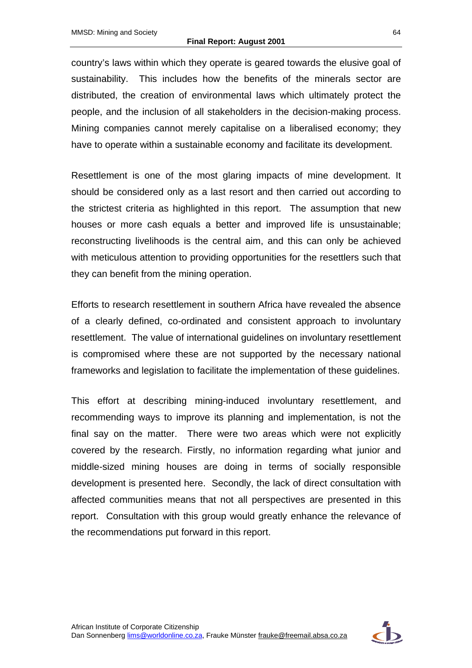country's laws within which they operate is geared towards the elusive goal of sustainability. This includes how the benefits of the minerals sector are distributed, the creation of environmental laws which ultimately protect the people, and the inclusion of all stakeholders in the decision-making process. Mining companies cannot merely capitalise on a liberalised economy; they have to operate within a sustainable economy and facilitate its development.

Resettlement is one of the most glaring impacts of mine development. It should be considered only as a last resort and then carried out according to the strictest criteria as highlighted in this report. The assumption that new houses or more cash equals a better and improved life is unsustainable; reconstructing livelihoods is the central aim, and this can only be achieved with meticulous attention to providing opportunities for the resettlers such that they can benefit from the mining operation.

Efforts to research resettlement in southern Africa have revealed the absence of a clearly defined, co-ordinated and consistent approach to involuntary resettlement. The value of international guidelines on involuntary resettlement is compromised where these are not supported by the necessary national frameworks and legislation to facilitate the implementation of these guidelines.

This effort at describing mining-induced involuntary resettlement, and recommending ways to improve its planning and implementation, is not the final say on the matter. There were two areas which were not explicitly covered by the research. Firstly, no information regarding what junior and middle-sized mining houses are doing in terms of socially responsible development is presented here. Secondly, the lack of direct consultation with affected communities means that not all perspectives are presented in this report. Consultation with this group would greatly enhance the relevance of the recommendations put forward in this report.

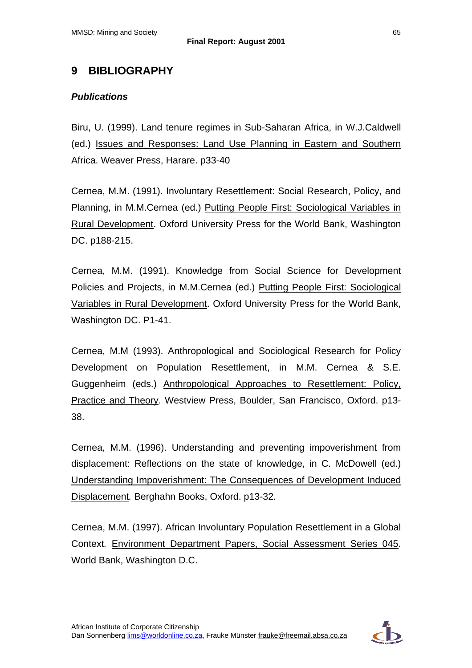# **9 BIBLIOGRAPHY**

### *Publications*

Biru, U. (1999). Land tenure regimes in Sub-Saharan Africa, in W.J.Caldwell (ed.) Issues and Responses: Land Use Planning in Eastern and Southern Africa. Weaver Press, Harare. p33-40

Cernea, M.M. (1991). Involuntary Resettlement: Social Research, Policy, and Planning, in M.M.Cernea (ed.) Putting People First: Sociological Variables in Rural Development. Oxford University Press for the World Bank, Washington DC. p188-215.

Cernea, M.M. (1991). Knowledge from Social Science for Development Policies and Projects, in M.M.Cernea (ed.) Putting People First: Sociological Variables in Rural Development. Oxford University Press for the World Bank, Washington DC. P1-41.

Cernea, M.M (1993). Anthropological and Sociological Research for Policy Development on Population Resettlement, in M.M. Cernea & S.E. Guggenheim (eds.) Anthropological Approaches to Resettlement: Policy, Practice and Theory. Westview Press, Boulder, San Francisco, Oxford. p13- 38.

Cernea, M.M. (1996). Understanding and preventing impoverishment from displacement: Reflections on the state of knowledge, in C. McDowell (ed.) Understanding Impoverishment: The Consequences of Development Induced Displacement*.* Berghahn Books, Oxford. p13-32.

Cernea, M.M. (1997). African Involuntary Population Resettlement in a Global Context*.* Environment Department Papers, Social Assessment Series 045. World Bank, Washington D.C.

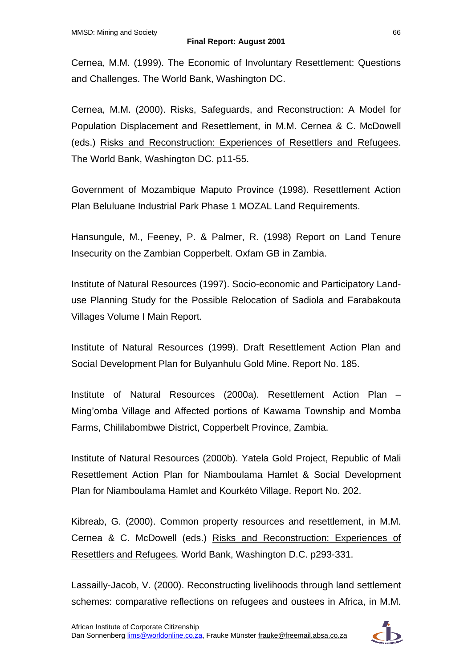Cernea, M.M. (1999). The Economic of Involuntary Resettlement: Questions and Challenges. The World Bank, Washington DC.

Cernea, M.M. (2000). Risks, Safeguards, and Reconstruction: A Model for Population Displacement and Resettlement, in M.M. Cernea & C. McDowell (eds.) Risks and Reconstruction: Experiences of Resettlers and Refugees. The World Bank, Washington DC. p11-55.

Government of Mozambique Maputo Province (1998). Resettlement Action Plan Beluluane Industrial Park Phase 1 MOZAL Land Requirements.

Hansungule, M., Feeney, P. & Palmer, R. (1998) Report on Land Tenure Insecurity on the Zambian Copperbelt. Oxfam GB in Zambia.

Institute of Natural Resources (1997). Socio-economic and Participatory Landuse Planning Study for the Possible Relocation of Sadiola and Farabakouta Villages Volume I Main Report.

Institute of Natural Resources (1999). Draft Resettlement Action Plan and Social Development Plan for Bulyanhulu Gold Mine. Report No. 185.

Institute of Natural Resources (2000a). Resettlement Action Plan – Ming'omba Village and Affected portions of Kawama Township and Momba Farms, Chililabombwe District, Copperbelt Province, Zambia.

Institute of Natural Resources (2000b). Yatela Gold Project, Republic of Mali Resettlement Action Plan for Niamboulama Hamlet & Social Development Plan for Niamboulama Hamlet and Kourkéto Village. Report No. 202.

Kibreab, G. (2000). Common property resources and resettlement, in M.M. Cernea & C. McDowell (eds.) Risks and Reconstruction: Experiences of Resettlers and Refugees*.* World Bank, Washington D.C. p293-331.

Lassailly-Jacob, V. (2000). Reconstructing livelihoods through land settlement schemes: comparative reflections on refugees and oustees in Africa, in M.M.

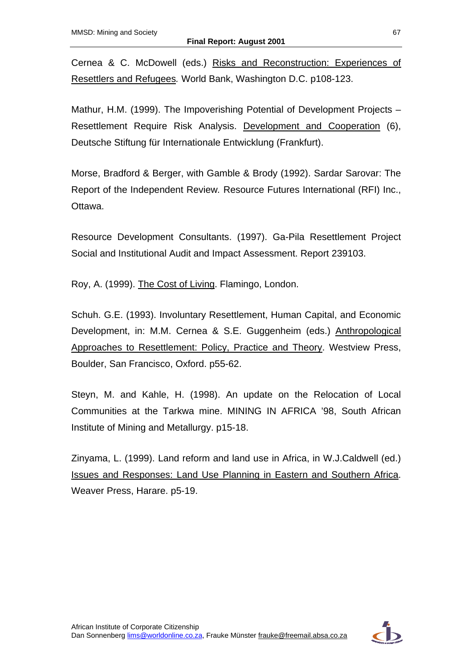Cernea & C. McDowell (eds.) Risks and Reconstruction: Experiences of Resettlers and Refugees*.* World Bank, Washington D.C. p108-123.

Mathur, H.M. (1999). The Impoverishing Potential of Development Projects – Resettlement Require Risk Analysis. Development and Cooperation (6), Deutsche Stiftung für Internationale Entwicklung (Frankfurt).

Morse, Bradford & Berger, with Gamble & Brody (1992). Sardar Sarovar: The Report of the Independent Review*.* Resource Futures International (RFI) Inc., Ottawa.

Resource Development Consultants. (1997). Ga-Pila Resettlement Project Social and Institutional Audit and Impact Assessment. Report 239103.

Roy, A. (1999). The Cost of Living. Flamingo, London.

Schuh. G.E. (1993). Involuntary Resettlement, Human Capital, and Economic Development, in: M.M. Cernea & S.E. Guggenheim (eds.) Anthropological Approaches to Resettlement: Policy, Practice and Theory. Westview Press, Boulder, San Francisco, Oxford. p55-62.

Steyn, M. and Kahle, H. (1998). An update on the Relocation of Local Communities at the Tarkwa mine. MINING IN AFRICA '98, South African Institute of Mining and Metallurgy. p15-18.

Zinyama, L. (1999). Land reform and land use in Africa, in W.J.Caldwell (ed.) Issues and Responses: Land Use Planning in Eastern and Southern Africa. Weaver Press, Harare. p5-19.

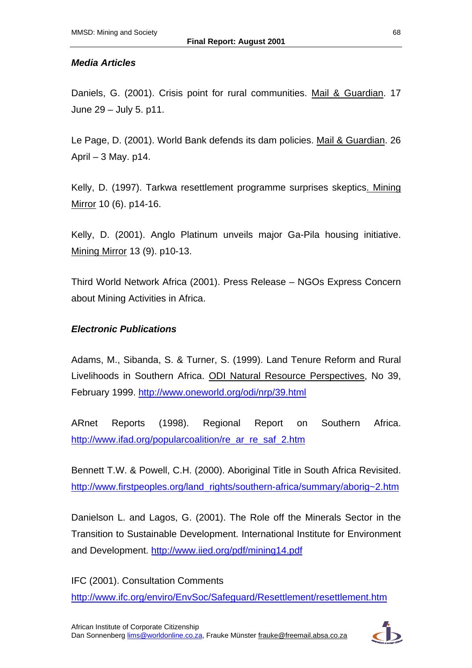### *Media Articles*

Daniels, G. (2001). Crisis point for rural communities. Mail & Guardian. 17 June 29 – July 5. p11.

Le Page, D. (2001). World Bank defends its dam policies. Mail & Guardian. 26 April – 3 May. p14.

Kelly, D. (1997). Tarkwa resettlement programme surprises skeptics. Mining Mirror 10 (6). p14-16.

Kelly, D. (2001). Anglo Platinum unveils major Ga-Pila housing initiative. Mining Mirror 13 (9). p10-13.

Third World Network Africa (2001). Press Release – NGOs Express Concern about Mining Activities in Africa.

### *Electronic Publications*

Adams, M., Sibanda, S. & Turner, S. (1999). Land Tenure Reform and Rural Livelihoods in Southern Africa. ODI Natural Resource Perspectives, No 39, February 1999. <http://www.oneworld.org/odi/nrp/39.html>

ARnet Reports (1998). Regional Report on Southern Africa. http://www.ifad.org/popularcoalition/re\_ar\_re\_saf\_2.htm

Bennett T.W. & Powell, C.H. (2000). Aboriginal Title in South Africa Revisited. [http://www.firstpeoples.org/land\\_rights/southern-africa/summary/aborig~2.htm](http://www.firstpeoples.org/land_rights/southern-africa/summary/aborig~2.htm)

Danielson L. and Lagos, G. (2001). The Role off the Minerals Sector in the Transition to Sustainable Development. International Institute for Environment and Development. <http://www.iied.org/pdf/mining14.pdf>

IFC (2001). Consultation Comments

<http://www.ifc.org/enviro/EnvSoc/Safeguard/Resettlement/resettlement.htm>

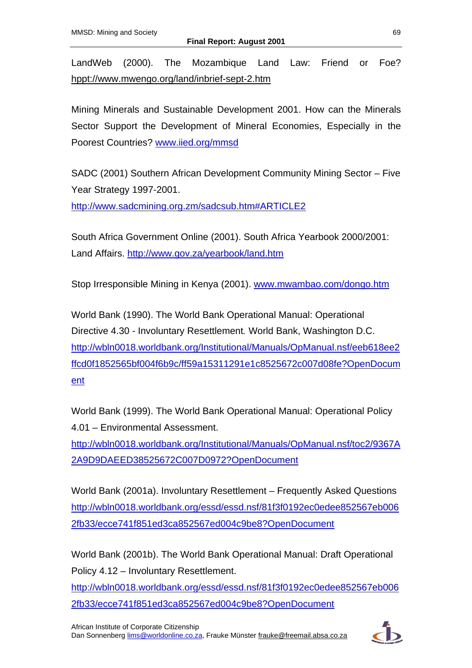LandWeb (2000). The Mozambique Land Law: Friend or Foe? hppt://www.mwengo.org/land/inbrief-sept-2.htm

Mining Minerals and Sustainable Development 2001. How can the Minerals Sector Support the Development of Mineral Economies, Especially in the Poorest Countries? [www.iied.org/mmsd](http://www.iied.org/mmsd)

SADC (2001) Southern African Development Community Mining Sector – Five Year Strategy 1997-2001.

<http://www.sadcmining.org.zm/sadcsub.htm#ARTICLE2>

South Africa Government Online (2001). South Africa Yearbook 2000/2001: Land Affairs. <http://www.gov.za/yearbook/land.htm>

Stop Irresponsible Mining in Kenya (2001). [www.mwambao.com/dongo.htm](http://www.mwambao.com/dongo.htm)

World Bank (1990). The World Bank Operational Manual: Operational Directive 4.30 - Involuntary Resettlement*.* World Bank, Washington D.C. [http://wbln0018.worldbank.org/Institutional/Manuals/OpManual.nsf/eeb618ee2](http://wbln0018.worldbank.org/Institutional/Manuals/OpManual.nsf/eeb618ee2ffcd0f1852565bf004f6b9c/ff59a15311291e1c8525672c007d08fe?OpenDocument) [ffcd0f1852565bf004f6b9c/ff59a15311291e1c8525672c007d08fe?OpenDocum](http://wbln0018.worldbank.org/Institutional/Manuals/OpManual.nsf/eeb618ee2ffcd0f1852565bf004f6b9c/ff59a15311291e1c8525672c007d08fe?OpenDocument) [ent](http://wbln0018.worldbank.org/Institutional/Manuals/OpManual.nsf/eeb618ee2ffcd0f1852565bf004f6b9c/ff59a15311291e1c8525672c007d08fe?OpenDocument)

World Bank (1999). The World Bank Operational Manual: Operational Policy 4.01 – Environmental Assessment.

[http://wbln0018.worldbank.org/Institutional/Manuals/OpManual.nsf/toc2/9367A](http://wbln0018.worldbank.org/Institutional/Manuals/OpManual.nsf/toc2/9367A2A9D9DAEED38525672C007D0972?OpenDocument) [2A9D9DAEED38525672C007D0972?OpenDocument](http://wbln0018.worldbank.org/Institutional/Manuals/OpManual.nsf/toc2/9367A2A9D9DAEED38525672C007D0972?OpenDocument)

World Bank (2001a). Involuntary Resettlement – Frequently Asked Questions [http://wbln0018.worldbank.org/essd/essd.nsf/81f3f0192ec0edee852567eb006](http://wbln0018.worldbank.org/essd/essd.nsf/81f3f0192ec0edee852567eb0062fb33/ecce741f851ed3ca852567ed004c9be8?OpenDocument) [2fb33/ecce741f851ed3ca852567ed004c9be8?OpenDocument](http://wbln0018.worldbank.org/essd/essd.nsf/81f3f0192ec0edee852567eb0062fb33/ecce741f851ed3ca852567ed004c9be8?OpenDocument)

World Bank (2001b). The World Bank Operational Manual: Draft Operational Policy 4.12 – Involuntary Resettlement.

[http://wbln0018.worldbank.org/essd/essd.nsf/81f3f0192ec0edee852567eb006](http://wbln0018.worldbank.org/essd/essd.nsf/81f3f0192ec0edee852567eb0062fb33/ecce741f851ed3ca852567ed004c9be8?OpenDocument) [2fb33/ecce741f851ed3ca852567ed004c9be8?OpenDocument](http://wbln0018.worldbank.org/essd/essd.nsf/81f3f0192ec0edee852567eb0062fb33/ecce741f851ed3ca852567ed004c9be8?OpenDocument)

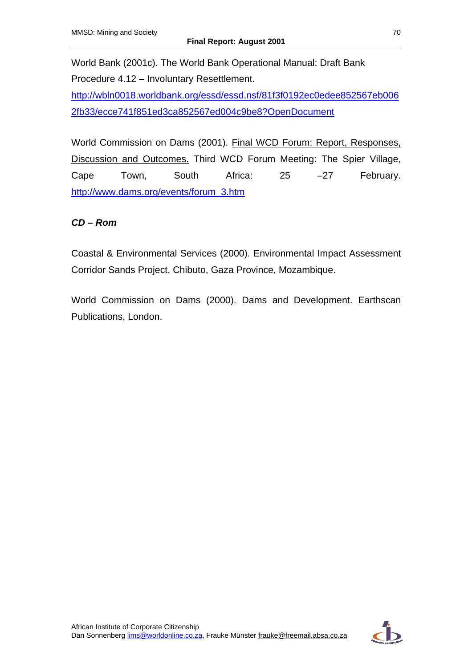World Bank (2001c). The World Bank Operational Manual: Draft Bank Procedure 4.12 – Involuntary Resettlement.

[http://wbln0018.worldbank.org/essd/essd.nsf/81f3f0192ec0edee852567eb006](http://wbln0018.worldbank.org/essd/essd.nsf/81f3f0192ec0edee852567eb0062fb33/ecce741f851ed3ca852567ed004c9be8?OpenDocument) [2fb33/ecce741f851ed3ca852567ed004c9be8?OpenDocument](http://wbln0018.worldbank.org/essd/essd.nsf/81f3f0192ec0edee852567eb0062fb33/ecce741f851ed3ca852567ed004c9be8?OpenDocument)

World Commission on Dams (2001). Final WCD Forum: Report, Responses, Discussion and Outcomes. Third WCD Forum Meeting: The Spier Village, Cape Town, South Africa: 25 –27 February. [http://www.dams.org/events/forum\\_3.htm](http://www.dams.org/events/forum_3.htm)

## *CD – Rom*

Coastal & Environmental Services (2000). Environmental Impact Assessment Corridor Sands Project, Chibuto, Gaza Province, Mozambique.

World Commission on Dams (2000). Dams and Development. Earthscan Publications, London.

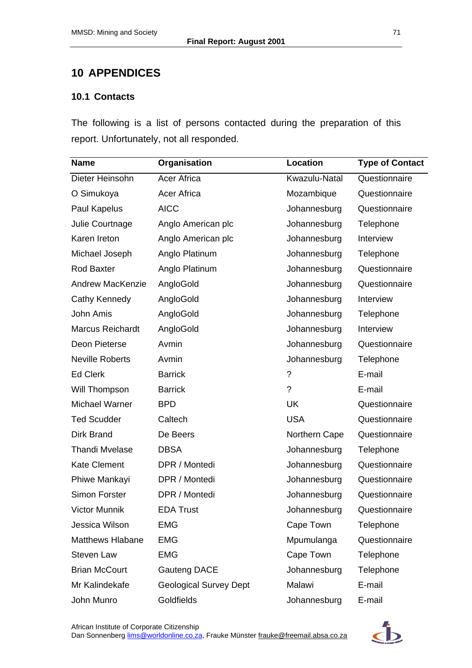# **10 APPENDICES**

### **10.1 Contacts**

The following is a list of persons contacted during the preparation of this report. Unfortunately, not all responded.

| <b>Name</b>             | Organisation                  | Location      | <b>Type of Contact</b> |
|-------------------------|-------------------------------|---------------|------------------------|
| Dieter Heinsohn         | <b>Acer Africa</b>            | Kwazulu-Natal | Questionnaire          |
| O Simukoya              | Acer Africa                   | Mozambique    | Questionnaire          |
| Paul Kapelus            | <b>AICC</b>                   | Johannesburg  | Questionnaire          |
| Julie Courtnage         | Anglo American plc            | Johannesburg  | Telephone              |
| Karen Ireton            | Anglo American plc            | Johannesburg  | Interview              |
| Michael Joseph          | Anglo Platinum                | Johannesburg  | Telephone              |
| <b>Rod Baxter</b>       | Anglo Platinum                | Johannesburg  | Questionnaire          |
| <b>Andrew MacKenzie</b> | AngloGold                     | Johannesburg  | Questionnaire          |
| Cathy Kennedy           | AngloGold                     | Johannesburg  | Interview              |
| John Amis               | AngloGold                     | Johannesburg  | Telephone              |
| <b>Marcus Reichardt</b> | AngloGold                     | Johannesburg  | Interview              |
| Deon Pieterse           | Avmin                         | Johannesburg  | Questionnaire          |
| <b>Neville Roberts</b>  | Avmin                         | Johannesburg  | Telephone              |
| <b>Ed Clerk</b>         | <b>Barrick</b>                | ?             | E-mail                 |
| Will Thompson           | <b>Barrick</b>                | ?             | E-mail                 |
| <b>Michael Warner</b>   | <b>BPD</b>                    | <b>UK</b>     | Questionnaire          |
| <b>Ted Scudder</b>      | Caltech                       | <b>USA</b>    | Questionnaire          |
| Dirk Brand              | De Beers                      | Northern Cape | Questionnaire          |
| <b>Thandi Mvelase</b>   | <b>DBSA</b>                   | Johannesburg  | Telephone              |
| <b>Kate Clement</b>     | DPR / Montedi                 | Johannesburg  | Questionnaire          |
| Phiwe Mankayi           | DPR / Montedi                 | Johannesburg  | Questionnaire          |
| Simon Forster           | DPR / Montedi                 | Johannesburg  | Questionnaire          |
| Victor Munnik           | <b>EDA Trust</b>              | Johannesburg  | Questionnaire          |
| Jessica Wilson          | <b>EMG</b>                    | Cape Town     | Telephone              |
| <b>Matthews Hlabane</b> | <b>EMG</b>                    | Mpumulanga    | Questionnaire          |
| Steven Law              | <b>EMG</b>                    | Cape Town     | Telephone              |
| <b>Brian McCourt</b>    | Gauteng DACE                  | Johannesburg  | Telephone              |
| Mr Kalindekafe          | <b>Geological Survey Dept</b> | Malawi        | E-mail                 |
| John Munro              | Goldfields                    | Johannesburg  | E-mail                 |

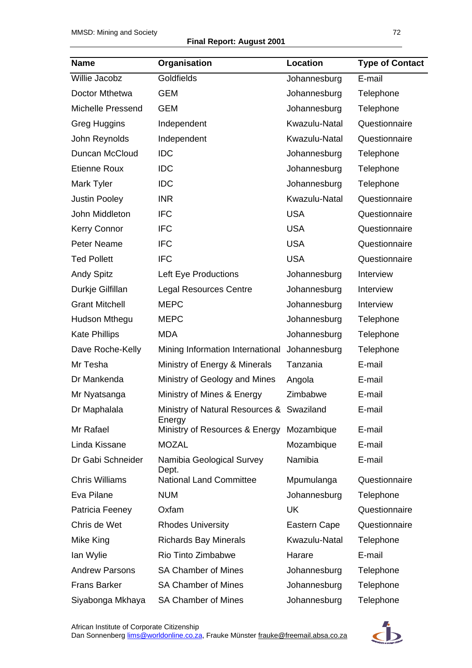#### **Final Report: August 2001**

| <b>Name</b>           | Organisation                                        | Location      | <b>Type of Contact</b> |
|-----------------------|-----------------------------------------------------|---------------|------------------------|
| Willie Jacobz         | Goldfields                                          | Johannesburg  | E-mail                 |
| Doctor Mthetwa        | <b>GEM</b>                                          | Johannesburg  | Telephone              |
| Michelle Pressend     | <b>GEM</b>                                          | Johannesburg  | Telephone              |
| <b>Greg Huggins</b>   | Independent                                         | Kwazulu-Natal | Questionnaire          |
| John Reynolds         | Independent                                         | Kwazulu-Natal | Questionnaire          |
| Duncan McCloud        | <b>IDC</b>                                          | Johannesburg  | Telephone              |
| <b>Etienne Roux</b>   | <b>IDC</b>                                          | Johannesburg  | Telephone              |
| Mark Tyler            | <b>IDC</b>                                          | Johannesburg  | Telephone              |
| <b>Justin Pooley</b>  | <b>INR</b>                                          | Kwazulu-Natal | Questionnaire          |
| John Middleton        | <b>IFC</b>                                          | <b>USA</b>    | Questionnaire          |
| <b>Kerry Connor</b>   | <b>IFC</b>                                          | <b>USA</b>    | Questionnaire          |
| <b>Peter Neame</b>    | <b>IFC</b>                                          | <b>USA</b>    | Questionnaire          |
| <b>Ted Pollett</b>    | <b>IFC</b>                                          | <b>USA</b>    | Questionnaire          |
| <b>Andy Spitz</b>     | Left Eye Productions                                | Johannesburg  | Interview              |
| Durkje Gilfillan      | <b>Legal Resources Centre</b>                       | Johannesburg  | Interview              |
| <b>Grant Mitchell</b> | <b>MEPC</b>                                         | Johannesburg  | Interview              |
| Hudson Mthegu         | <b>MEPC</b>                                         | Johannesburg  | Telephone              |
| <b>Kate Phillips</b>  | <b>MDA</b>                                          | Johannesburg  | Telephone              |
| Dave Roche-Kelly      | Mining Information International                    | Johannesburg  | Telephone              |
| Mr Tesha              | Ministry of Energy & Minerals                       | Tanzania      | E-mail                 |
| Dr Mankenda           | Ministry of Geology and Mines                       | Angola        | E-mail                 |
| Mr Nyatsanga          | Ministry of Mines & Energy                          | Zimbabwe      | E-mail                 |
| Dr Maphalala          | Ministry of Natural Resources & Swaziland<br>Energy |               | E-mail                 |
| Mr Rafael             | Ministry of Resources & Energy                      | Mozambique    | E-mail                 |
| Linda Kissane         | <b>MOZAL</b>                                        | Mozambique    | E-mail                 |
| Dr Gabi Schneider     | Namibia Geological Survey<br>Dept.                  | Namibia       | E-mail                 |
| <b>Chris Williams</b> | <b>National Land Committee</b>                      | Mpumulanga    | Questionnaire          |
| Eva Pilane            | <b>NUM</b>                                          | Johannesburg  | Telephone              |
| Patricia Feeney       | Oxfam                                               | UK            | Questionnaire          |
| Chris de Wet          | <b>Rhodes University</b>                            | Eastern Cape  | Questionnaire          |
| Mike King             | <b>Richards Bay Minerals</b>                        | Kwazulu-Natal | Telephone              |
| lan Wylie             | Rio Tinto Zimbabwe                                  | Harare        | E-mail                 |
| <b>Andrew Parsons</b> | <b>SA Chamber of Mines</b>                          | Johannesburg  | Telephone              |
| <b>Frans Barker</b>   | <b>SA Chamber of Mines</b>                          | Johannesburg  | Telephone              |
| Siyabonga Mkhaya      | <b>SA Chamber of Mines</b>                          | Johannesburg  | Telephone              |

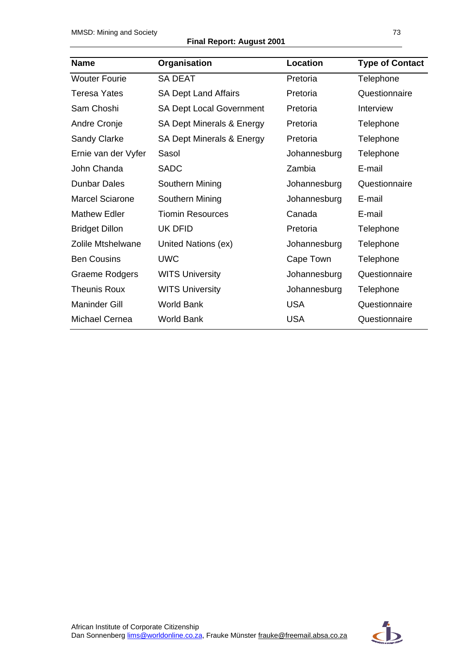**Final Report: August 2001** 

| <b>Name</b>            | Organisation                    | Location     | <b>Type of Contact</b> |
|------------------------|---------------------------------|--------------|------------------------|
| <b>Wouter Fourie</b>   | <b>SA DEAT</b>                  | Pretoria     | Telephone              |
| <b>Teresa Yates</b>    | <b>SA Dept Land Affairs</b>     | Pretoria     | Questionnaire          |
| Sam Choshi             | <b>SA Dept Local Government</b> | Pretoria     | Interview              |
| Andre Cronje           | SA Dept Minerals & Energy       | Pretoria     | Telephone              |
| Sandy Clarke           | SA Dept Minerals & Energy       | Pretoria     | Telephone              |
| Ernie van der Vyfer    | Sasol                           | Johannesburg | Telephone              |
| John Chanda            | <b>SADC</b>                     | Zambia       | E-mail                 |
| <b>Dunbar Dales</b>    | Southern Mining                 | Johannesburg | Questionnaire          |
| <b>Marcel Sciarone</b> | Southern Mining                 | Johannesburg | E-mail                 |
| <b>Mathew Edler</b>    | Tiomin Resources                | Canada       | E-mail                 |
| <b>Bridget Dillon</b>  | UK DFID                         | Pretoria     | Telephone              |
| Zolile Mtshelwane      | United Nations (ex)             | Johannesburg | Telephone              |
| <b>Ben Cousins</b>     | <b>UWC</b>                      | Cape Town    | Telephone              |
| Graeme Rodgers         | <b>WITS University</b>          | Johannesburg | Questionnaire          |
| <b>Theunis Roux</b>    | <b>WITS University</b>          | Johannesburg | Telephone              |
| <b>Maninder Gill</b>   | <b>World Bank</b>               | <b>USA</b>   | Questionnaire          |
| <b>Michael Cernea</b>  | <b>World Bank</b>               | <b>USA</b>   | Questionnaire          |

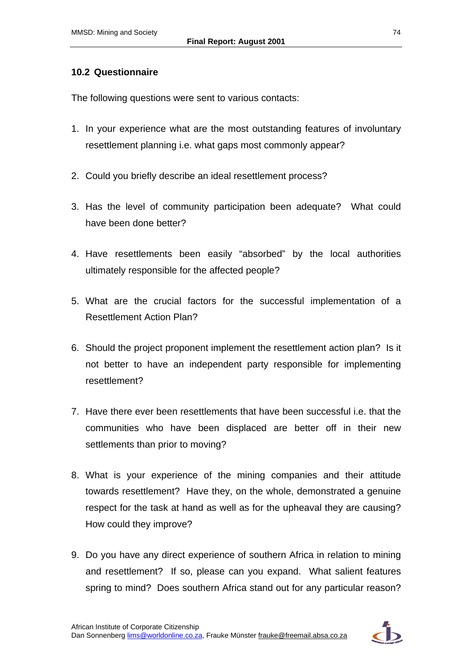### **10.2 Questionnaire**

The following questions were sent to various contacts:

- 1. In your experience what are the most outstanding features of involuntary resettlement planning i.e. what gaps most commonly appear?
- 2. Could you briefly describe an ideal resettlement process?
- 3. Has the level of community participation been adequate? What could have been done better?
- 4. Have resettlements been easily "absorbed" by the local authorities ultimately responsible for the affected people?
- 5. What are the crucial factors for the successful implementation of a Resettlement Action Plan?
- 6. Should the project proponent implement the resettlement action plan? Is it not better to have an independent party responsible for implementing resettlement?
- 7. Have there ever been resettlements that have been successful i.e. that the communities who have been displaced are better off in their new settlements than prior to moving?
- 8. What is your experience of the mining companies and their attitude towards resettlement? Have they, on the whole, demonstrated a genuine respect for the task at hand as well as for the upheaval they are causing? How could they improve?
- 9. Do you have any direct experience of southern Africa in relation to mining and resettlement? If so, please can you expand. What salient features spring to mind? Does southern Africa stand out for any particular reason?